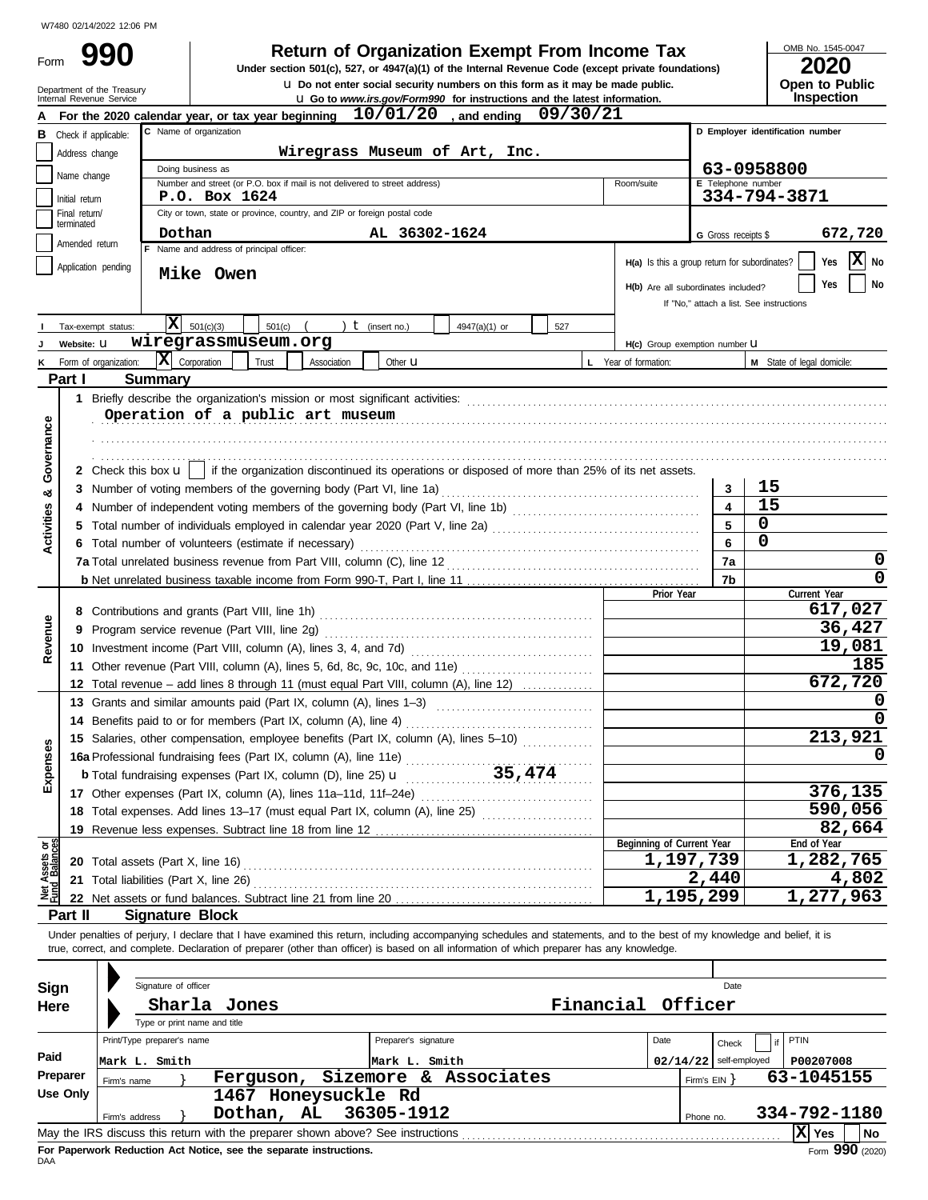Form 990

# **Return of Organization Exempt From Income Tax**<br>section 501(c), 527, or 4947(a)(1) of the Internal Revenue Code (except private foundations)<br>**2020**

**u** Do not enter social security numbers on this form as it may be made public. **Under section 501(c), 527, or 4947(a)(1) of the Internal Revenue Code (except private foundations)** OMB No. 1545-0047

|  | Open to Public |
|--|----------------|
|  | Inspection     |

|                         |                               | Department of the Treasury<br>Internal Revenue Service |                                                                                                                                                                            | <b>U.</b> Do not enter social security numbers on this form as it may be made public.<br><b>u</b> Go to <i>www.irs.gov/Form990</i> for instructions and the latest information. |                                                                         |                           |            |                                      | <b>Open to Public</b><br><b>Inspection</b> |  |  |  |  |  |
|-------------------------|-------------------------------|--------------------------------------------------------|----------------------------------------------------------------------------------------------------------------------------------------------------------------------------|---------------------------------------------------------------------------------------------------------------------------------------------------------------------------------|-------------------------------------------------------------------------|---------------------------|------------|--------------------------------------|--------------------------------------------|--|--|--|--|--|
|                         |                               |                                                        | For the 2020 calendar year, or tax year beginning                                                                                                                          | $10/01/20$ , and ending                                                                                                                                                         | 09/30/21                                                                |                           |            |                                      |                                            |  |  |  |  |  |
|                         | <b>B</b> Check if applicable: |                                                        | C Name of organization                                                                                                                                                     |                                                                                                                                                                                 |                                                                         |                           |            |                                      | D Employer identification number           |  |  |  |  |  |
|                         | Address change                |                                                        | Wiregrass Museum of Art, Inc.                                                                                                                                              |                                                                                                                                                                                 |                                                                         |                           |            |                                      |                                            |  |  |  |  |  |
|                         |                               |                                                        | Doing business as                                                                                                                                                          |                                                                                                                                                                                 | 63-0958800                                                              |                           |            |                                      |                                            |  |  |  |  |  |
|                         | Name change                   |                                                        | Number and street (or P.O. box if mail is not delivered to street address)                                                                                                 |                                                                                                                                                                                 | E Telephone number                                                      |                           |            |                                      |                                            |  |  |  |  |  |
|                         | Initial return                |                                                        | P.O. Box 1624<br>City or town, state or province, country, and ZIP or foreign postal code                                                                                  |                                                                                                                                                                                 |                                                                         | 334-794-3871              |            |                                      |                                            |  |  |  |  |  |
|                         | Final return/<br>terminated   |                                                        |                                                                                                                                                                            |                                                                                                                                                                                 |                                                                         |                           |            |                                      |                                            |  |  |  |  |  |
|                         | Amended return                | Dothan                                                 |                                                                                                                                                                            | G Gross receipts \$                                                                                                                                                             | 672,720                                                                 |                           |            |                                      |                                            |  |  |  |  |  |
|                         |                               | F Name and address of principal officer:               |                                                                                                                                                                            |                                                                                                                                                                                 | $\mathbf{X}$ No<br>H(a) Is this a group return for subordinates?<br>Yes |                           |            |                                      |                                            |  |  |  |  |  |
|                         |                               | Application pending                                    | Mike Owen                                                                                                                                                                  |                                                                                                                                                                                 |                                                                         |                           |            |                                      |                                            |  |  |  |  |  |
|                         |                               |                                                        |                                                                                                                                                                            |                                                                                                                                                                                 |                                                                         |                           |            | H(b) Are all subordinates included?  | Yes<br>No                                  |  |  |  |  |  |
|                         |                               |                                                        |                                                                                                                                                                            |                                                                                                                                                                                 |                                                                         |                           |            |                                      | If "No," attach a list. See instructions   |  |  |  |  |  |
|                         |                               | Tax-exempt status:                                     | $ \mathbf{X} $ 501(c)(3)<br>501(c)                                                                                                                                         | $t$ (insert no.)<br>4947(a)(1) or                                                                                                                                               | 527                                                                     |                           |            |                                      |                                            |  |  |  |  |  |
|                         | Website: U                    |                                                        | wiregrassmuseum.org                                                                                                                                                        |                                                                                                                                                                                 |                                                                         |                           |            | H(c) Group exemption number <b>U</b> |                                            |  |  |  |  |  |
|                         |                               | Form of organization:                                  | $ \mathbf{X} $ Corporation<br>Trust<br>Association                                                                                                                         | Other <b>u</b>                                                                                                                                                                  |                                                                         | L Year of formation:      |            |                                      | M State of legal domicile:                 |  |  |  |  |  |
|                         | Part I                        | Summary                                                |                                                                                                                                                                            |                                                                                                                                                                                 |                                                                         |                           |            |                                      |                                            |  |  |  |  |  |
|                         | $\mathbf 1$                   |                                                        |                                                                                                                                                                            |                                                                                                                                                                                 |                                                                         |                           |            |                                      |                                            |  |  |  |  |  |
|                         |                               |                                                        | Operation of a public art museum                                                                                                                                           |                                                                                                                                                                                 |                                                                         |                           |            |                                      |                                            |  |  |  |  |  |
| Governance              |                               |                                                        |                                                                                                                                                                            |                                                                                                                                                                                 |                                                                         |                           |            |                                      |                                            |  |  |  |  |  |
|                         |                               |                                                        |                                                                                                                                                                            |                                                                                                                                                                                 |                                                                         |                           |            |                                      |                                            |  |  |  |  |  |
|                         |                               |                                                        | 2 Check this box $\mathbf{u}$   if the organization discontinued its operations or disposed of more than 25% of its net assets.                                            |                                                                                                                                                                                 |                                                                         |                           |            |                                      |                                            |  |  |  |  |  |
| ಯ                       |                               |                                                        | 3 Number of voting members of the governing body (Part VI, line 1a)                                                                                                        |                                                                                                                                                                                 |                                                                         |                           |            | 3                                    | 15                                         |  |  |  |  |  |
|                         |                               |                                                        |                                                                                                                                                                            |                                                                                                                                                                                 |                                                                         |                           |            | 4                                    | 15                                         |  |  |  |  |  |
| <b>Activities</b>       |                               |                                                        |                                                                                                                                                                            |                                                                                                                                                                                 |                                                                         |                           |            | 5                                    | $\mathbf 0$                                |  |  |  |  |  |
|                         |                               |                                                        | 6 Total number of volunteers (estimate if necessary)                                                                                                                       |                                                                                                                                                                                 |                                                                         |                           |            | 6                                    | 0                                          |  |  |  |  |  |
|                         |                               |                                                        |                                                                                                                                                                            |                                                                                                                                                                                 |                                                                         |                           |            | 7a                                   | 0                                          |  |  |  |  |  |
|                         |                               |                                                        |                                                                                                                                                                            |                                                                                                                                                                                 |                                                                         |                           |            | 7b                                   | 0                                          |  |  |  |  |  |
|                         |                               |                                                        |                                                                                                                                                                            |                                                                                                                                                                                 |                                                                         |                           | Prior Year |                                      | Current Year<br>617,027                    |  |  |  |  |  |
|                         |                               |                                                        |                                                                                                                                                                            |                                                                                                                                                                                 |                                                                         |                           |            |                                      | 36,427                                     |  |  |  |  |  |
| Revenue                 |                               |                                                        |                                                                                                                                                                            |                                                                                                                                                                                 |                                                                         |                           |            |                                      | 19,081                                     |  |  |  |  |  |
|                         |                               |                                                        |                                                                                                                                                                            |                                                                                                                                                                                 |                                                                         |                           |            |                                      | 185                                        |  |  |  |  |  |
|                         |                               |                                                        | 12 Total revenue - add lines 8 through 11 (must equal Part VIII, column (A), line 12)                                                                                      |                                                                                                                                                                                 |                                                                         |                           |            |                                      | 672,720                                    |  |  |  |  |  |
|                         |                               |                                                        | 13 Grants and similar amounts paid (Part IX, column (A), lines 1-3)                                                                                                        |                                                                                                                                                                                 |                                                                         |                           |            |                                      | 0                                          |  |  |  |  |  |
|                         |                               |                                                        |                                                                                                                                                                            |                                                                                                                                                                                 |                                                                         |                           |            |                                      |                                            |  |  |  |  |  |
|                         |                               |                                                        | 15 Salaries, other compensation, employee benefits (Part IX, column (A), lines 5-10)                                                                                       |                                                                                                                                                                                 |                                                                         |                           |            |                                      | 213,921                                    |  |  |  |  |  |
| <b>Ses</b>              |                               |                                                        | 16a Professional fundraising fees (Part IX, column (A), line 11e)                                                                                                          |                                                                                                                                                                                 |                                                                         |                           |            |                                      | 0                                          |  |  |  |  |  |
| Expen                   |                               |                                                        |                                                                                                                                                                            |                                                                                                                                                                                 |                                                                         |                           |            |                                      |                                            |  |  |  |  |  |
|                         |                               |                                                        |                                                                                                                                                                            |                                                                                                                                                                                 |                                                                         |                           |            |                                      | 376,135                                    |  |  |  |  |  |
|                         |                               |                                                        | 18 Total expenses. Add lines 13-17 (must equal Part IX, column (A), line 25)                                                                                               |                                                                                                                                                                                 |                                                                         |                           |            |                                      | 590,056                                    |  |  |  |  |  |
|                         |                               |                                                        | 19 Revenue less expenses. Subtract line 18 from line 12                                                                                                                    |                                                                                                                                                                                 |                                                                         |                           |            |                                      | 82,664                                     |  |  |  |  |  |
|                         |                               |                                                        |                                                                                                                                                                            |                                                                                                                                                                                 |                                                                         | Beginning of Current Year |            |                                      | End of Year                                |  |  |  |  |  |
| Assets or<br>d Balances |                               |                                                        |                                                                                                                                                                            |                                                                                                                                                                                 |                                                                         |                           |            | 1,197,739                            | 1,282,765                                  |  |  |  |  |  |
|                         |                               |                                                        | 21 Total liabilities (Part X, line 26)                                                                                                                                     |                                                                                                                                                                                 |                                                                         |                           |            | 2,440                                | 4,802                                      |  |  |  |  |  |
| <b>PEN</b><br>PLA       |                               |                                                        |                                                                                                                                                                            |                                                                                                                                                                                 |                                                                         |                           |            | 1,195,299                            | 1,277,963                                  |  |  |  |  |  |
|                         | Part II                       |                                                        | <b>Signature Block</b>                                                                                                                                                     |                                                                                                                                                                                 |                                                                         |                           |            |                                      |                                            |  |  |  |  |  |
|                         |                               |                                                        | Under penalties of perjury, I declare that I have examined this return, including accompanying schedules and statements, and to the best of my knowledge and belief, it is |                                                                                                                                                                                 |                                                                         |                           |            |                                      |                                            |  |  |  |  |  |
|                         |                               |                                                        | true, correct, and complete. Declaration of preparer (other than officer) is based on all information of which preparer has any knowledge.                                 |                                                                                                                                                                                 |                                                                         |                           |            |                                      |                                            |  |  |  |  |  |
|                         |                               |                                                        |                                                                                                                                                                            |                                                                                                                                                                                 |                                                                         |                           |            |                                      |                                            |  |  |  |  |  |
| Sign                    |                               |                                                        | Signature of officer                                                                                                                                                       |                                                                                                                                                                                 |                                                                         |                           |            | Date                                 |                                            |  |  |  |  |  |
| Here                    |                               |                                                        | Sharla Jones                                                                                                                                                               |                                                                                                                                                                                 |                                                                         | Financial                 | Officer    |                                      |                                            |  |  |  |  |  |
|                         |                               |                                                        | Type or print name and title                                                                                                                                               |                                                                                                                                                                                 |                                                                         |                           |            |                                      |                                            |  |  |  |  |  |
|                         |                               | Print/Type preparer's name                             |                                                                                                                                                                            | Preparer's signature                                                                                                                                                            |                                                                         |                           | Date       | Check                                | PTIN<br>if                                 |  |  |  |  |  |
| Paid                    |                               | Mark L. Smith                                          |                                                                                                                                                                            | Mark L. Smith                                                                                                                                                                   |                                                                         |                           |            | $02/14/22$ self-employed             | P00207008                                  |  |  |  |  |  |
|                         | Preparer                      | Firm's name                                            | Ferguson,                                                                                                                                                                  | Sizemore & Associates                                                                                                                                                           |                                                                         |                           |            | Firm's $EIN$ }                       | 63-1045155                                 |  |  |  |  |  |
|                         | <b>Use Only</b>               |                                                        | 1467 Honeysuckle Rd                                                                                                                                                        |                                                                                                                                                                                 |                                                                         |                           |            |                                      |                                            |  |  |  |  |  |
|                         |                               | Firm's address                                         | Dothan, AL                                                                                                                                                                 | 36305-1912                                                                                                                                                                      |                                                                         |                           |            | Phone no.                            | 334-792-1180                               |  |  |  |  |  |
|                         |                               |                                                        |                                                                                                                                                                            |                                                                                                                                                                                 |                                                                         |                           |            |                                      | $ \overline{\mathbf{X}} $ Yes<br>No        |  |  |  |  |  |

| Sign<br>Here | Signature of officer<br>Type or print name and title                                  | Sharla Jones                                                                    | Financial             |          | Date<br>Officer |                               |  |  |  |  |  |  |
|--------------|---------------------------------------------------------------------------------------|---------------------------------------------------------------------------------|-----------------------|----------|-----------------|-------------------------------|--|--|--|--|--|--|
|              | Print/Type preparer's name                                                            |                                                                                 | Preparer's signature  | Date     | Check           | <b>PTIN</b>                   |  |  |  |  |  |  |
| Paid         | Mark L. Smith                                                                         |                                                                                 | Mark L. Smith         | 02/14/22 |                 | self-employed<br>P00207008    |  |  |  |  |  |  |
| Preparer     | Firm's name                                                                           | Ferguson,                                                                       | Sizemore & Associates |          | Firm's $EIN$    | 63-1045155                    |  |  |  |  |  |  |
| Use Only     |                                                                                       | 1467 Honeysuckle Rd                                                             |                       |          |                 |                               |  |  |  |  |  |  |
|              | Firm's address                                                                        | Dothan, AL 36305-1912                                                           |                       |          | Phone no.       | 334-792-1180                  |  |  |  |  |  |  |
|              |                                                                                       | May the IRS discuss this return with the preparer shown above? See instructions |                       |          |                 | ΙX<br><b>No</b><br><b>Yes</b> |  |  |  |  |  |  |
| DAA          | Form 990 (2020)<br>For Paperwork Reduction Act Notice, see the separate instructions. |                                                                                 |                       |          |                 |                               |  |  |  |  |  |  |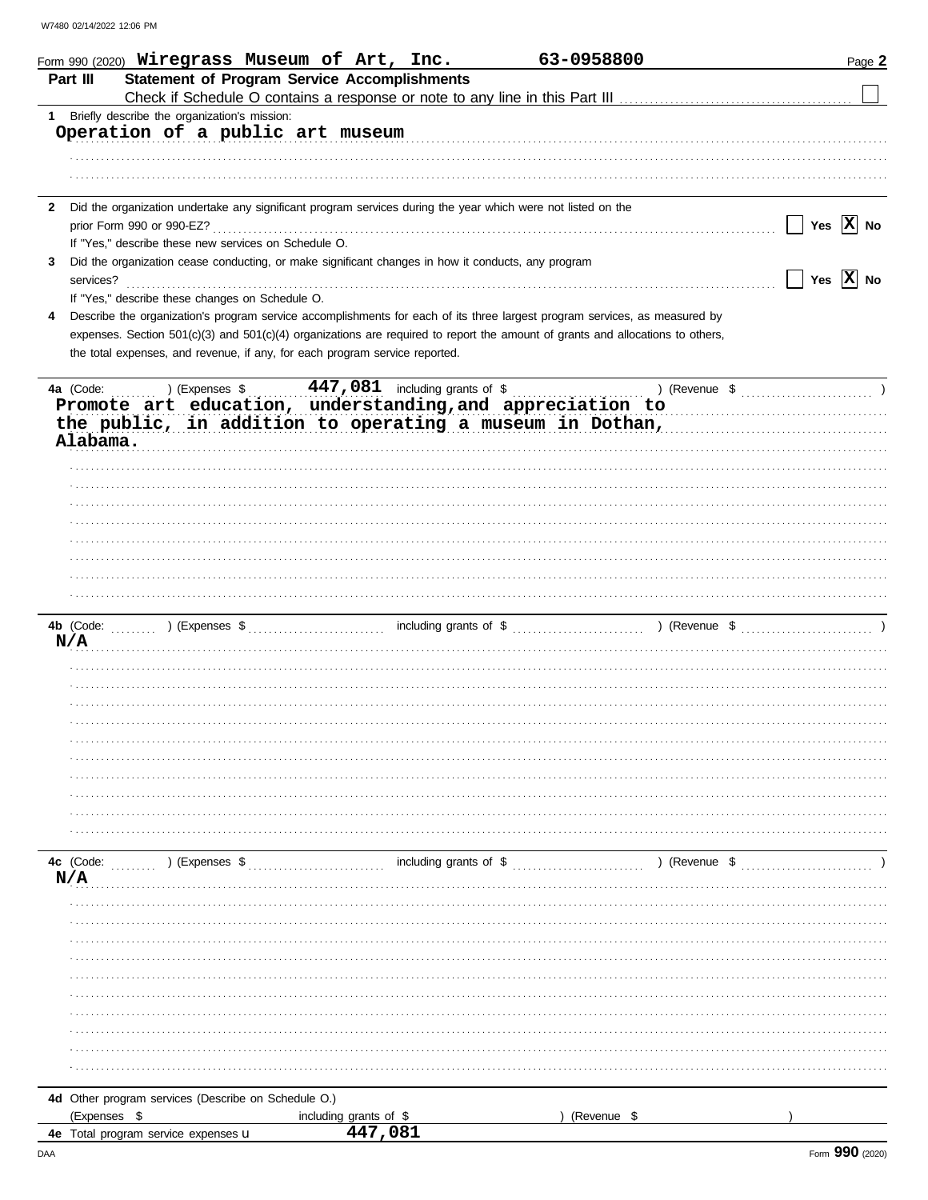|              | Form 990 (2020) Wiregrass Museum of Art, Inc.<br>63-0958800                                                                                                                   | Page 2                                                                   |
|--------------|-------------------------------------------------------------------------------------------------------------------------------------------------------------------------------|--------------------------------------------------------------------------|
| Part III     | <b>Statement of Program Service Accomplishments</b>                                                                                                                           |                                                                          |
|              |                                                                                                                                                                               |                                                                          |
| $1 \quad$    | Briefly describe the organization's mission:                                                                                                                                  |                                                                          |
|              | Operation of a public art museum                                                                                                                                              |                                                                          |
|              |                                                                                                                                                                               |                                                                          |
|              |                                                                                                                                                                               |                                                                          |
| $\mathbf{2}$ | Did the organization undertake any significant program services during the year which were not listed on the                                                                  |                                                                          |
|              | prior Form 990 or 990-EZ?                                                                                                                                                     | Yes $\overline{X}$ No                                                    |
|              | If "Yes," describe these new services on Schedule O.                                                                                                                          |                                                                          |
| 3            | Did the organization cease conducting, or make significant changes in how it conducts, any program                                                                            |                                                                          |
|              | services?                                                                                                                                                                     | Yes $ \mathbf{X} $ No                                                    |
| 4            | If "Yes," describe these changes on Schedule O.<br>Describe the organization's program service accomplishments for each of its three largest program services, as measured by |                                                                          |
|              | expenses. Section 501(c)(3) and 501(c)(4) organizations are required to report the amount of grants and allocations to others,                                                |                                                                          |
|              | the total expenses, and revenue, if any, for each program service reported.                                                                                                   |                                                                          |
|              |                                                                                                                                                                               |                                                                          |
|              | 447,081 including grants of \$<br>4a (Code:<br>) (Expenses \$                                                                                                                 | ) (Revenue $\frac{1}{2}$ (Revenue $\frac{1}{2}$ (Revenue $\frac{1}{2}$ ) |
|              | Promote art education, understanding, and appreciation to                                                                                                                     |                                                                          |
|              | the public, in addition to operating a museum in Dothan,                                                                                                                      |                                                                          |
|              | Alabama.                                                                                                                                                                      |                                                                          |
|              |                                                                                                                                                                               |                                                                          |
|              |                                                                                                                                                                               |                                                                          |
|              |                                                                                                                                                                               |                                                                          |
|              |                                                                                                                                                                               |                                                                          |
|              |                                                                                                                                                                               |                                                                          |
|              |                                                                                                                                                                               |                                                                          |
|              |                                                                                                                                                                               |                                                                          |
|              |                                                                                                                                                                               |                                                                          |
|              |                                                                                                                                                                               |                                                                          |
| N/A          |                                                                                                                                                                               |                                                                          |
|              |                                                                                                                                                                               |                                                                          |
|              |                                                                                                                                                                               |                                                                          |
|              |                                                                                                                                                                               |                                                                          |
|              |                                                                                                                                                                               |                                                                          |
|              |                                                                                                                                                                               |                                                                          |
|              |                                                                                                                                                                               |                                                                          |
|              |                                                                                                                                                                               |                                                                          |
|              |                                                                                                                                                                               |                                                                          |
|              |                                                                                                                                                                               |                                                                          |
|              |                                                                                                                                                                               |                                                                          |
|              | 4c (Code:<br>$\ldots$ , $\ldots$ ) (Expenses \$                                                                                                                               |                                                                          |
| N/A          |                                                                                                                                                                               |                                                                          |
|              |                                                                                                                                                                               |                                                                          |
|              |                                                                                                                                                                               |                                                                          |
|              |                                                                                                                                                                               |                                                                          |
|              |                                                                                                                                                                               |                                                                          |
|              |                                                                                                                                                                               |                                                                          |
|              |                                                                                                                                                                               |                                                                          |
|              |                                                                                                                                                                               |                                                                          |
|              |                                                                                                                                                                               |                                                                          |
|              |                                                                                                                                                                               |                                                                          |
|              |                                                                                                                                                                               |                                                                          |
|              |                                                                                                                                                                               |                                                                          |
|              | 4d Other program services (Describe on Schedule O.)                                                                                                                           |                                                                          |
|              | (Expenses \$<br>(Revenue \$<br>including grants of \$<br>447.081<br>4e Total program service expenses u                                                                       |                                                                          |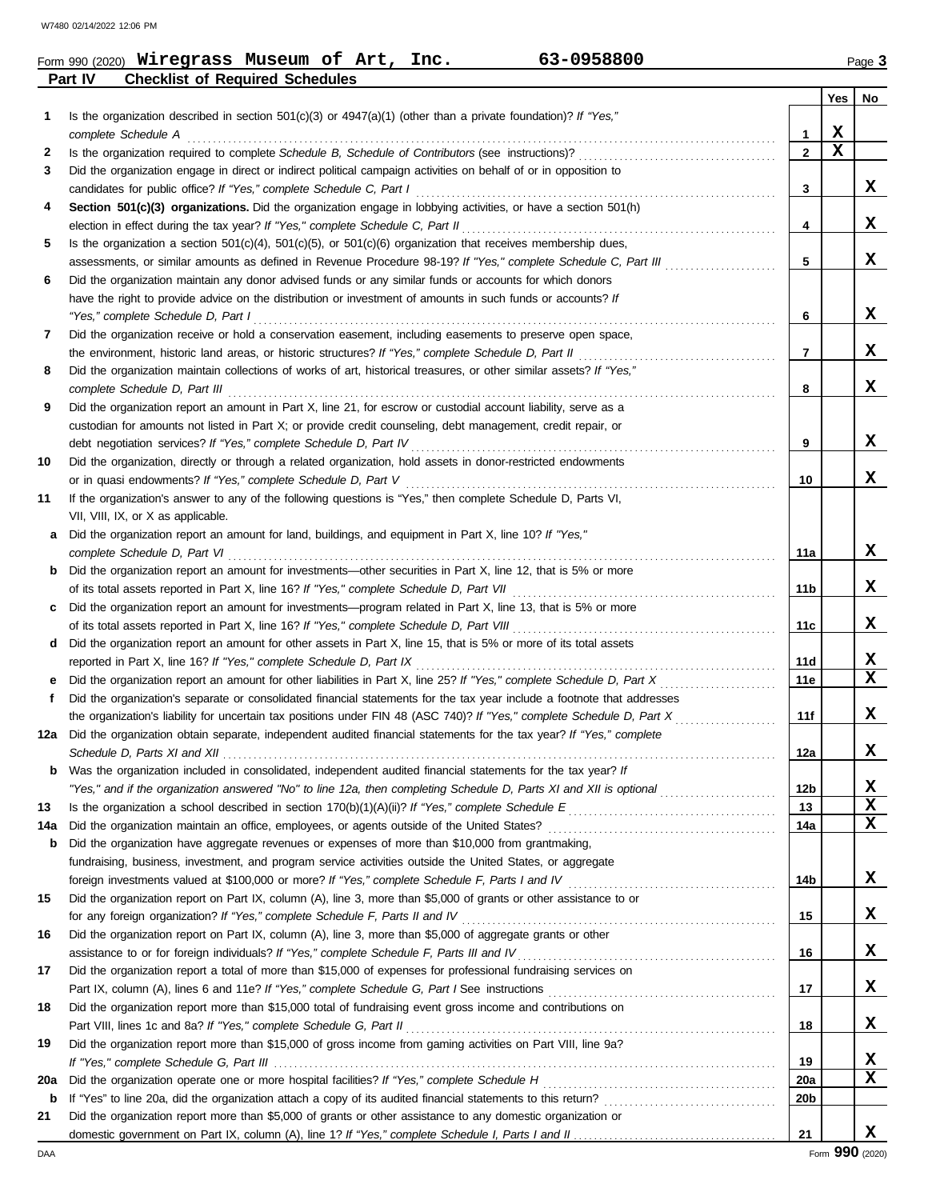|     | 63-0958800<br>Form 990 (2020) Wiregrass Museum of Art, Inc.                                                             |                 |             | Page 3      |
|-----|-------------------------------------------------------------------------------------------------------------------------|-----------------|-------------|-------------|
|     | <b>Checklist of Required Schedules</b><br>Part IV                                                                       |                 |             |             |
|     |                                                                                                                         |                 |             | Yes   No    |
| 1   | Is the organization described in section $501(c)(3)$ or $4947(a)(1)$ (other than a private foundation)? If "Yes,"       |                 |             |             |
|     | complete Schedule A                                                                                                     | 1               | X           |             |
| 2   | Is the organization required to complete Schedule B, Schedule of Contributors (see instructions)?                       | $\overline{2}$  | $\mathbf x$ |             |
| 3   | Did the organization engage in direct or indirect political campaign activities on behalf of or in opposition to        |                 |             |             |
|     | candidates for public office? If "Yes," complete Schedule C, Part I                                                     | 3               |             | X           |
| 4   | Section 501(c)(3) organizations. Did the organization engage in lobbying activities, or have a section 501(h)           |                 |             |             |
|     | election in effect during the tax year? If "Yes," complete Schedule C, Part II                                          | 4               |             | X           |
| 5   | Is the organization a section $501(c)(4)$ , $501(c)(5)$ , or $501(c)(6)$ organization that receives membership dues,    |                 |             |             |
|     | assessments, or similar amounts as defined in Revenue Procedure 98-19? If "Yes," complete Schedule C, Part III          | 5               |             | X           |
| 6   | Did the organization maintain any donor advised funds or any similar funds or accounts for which donors                 |                 |             |             |
|     | have the right to provide advice on the distribution or investment of amounts in such funds or accounts? If             |                 |             |             |
|     | "Yes," complete Schedule D, Part I                                                                                      | 6               |             | X           |
| 7   | Did the organization receive or hold a conservation easement, including easements to preserve open space,               |                 |             |             |
|     | the environment, historic land areas, or historic structures? If "Yes," complete Schedule D, Part II                    | 7               |             | X           |
| 8   | Did the organization maintain collections of works of art, historical treasures, or other similar assets? If "Yes,"     |                 |             |             |
|     | complete Schedule D, Part III                                                                                           | 8               |             | X           |
| 9   | Did the organization report an amount in Part X, line 21, for escrow or custodial account liability, serve as a         |                 |             |             |
|     | custodian for amounts not listed in Part X; or provide credit counseling, debt management, credit repair, or            |                 |             |             |
|     | debt negotiation services? If "Yes," complete Schedule D, Part IV                                                       | 9               |             | X           |
| 10  | Did the organization, directly or through a related organization, hold assets in donor-restricted endowments            |                 |             |             |
|     | or in quasi endowments? If "Yes," complete Schedule D, Part V                                                           | 10              |             | X           |
| 11  | If the organization's answer to any of the following questions is "Yes," then complete Schedule D, Parts VI,            |                 |             |             |
|     | VII, VIII, IX, or X as applicable.                                                                                      |                 |             |             |
| a   | Did the organization report an amount for land, buildings, and equipment in Part X, line 10? If "Yes,"                  |                 |             |             |
|     | complete Schedule D, Part VI                                                                                            | 11a             |             | X           |
|     | <b>b</b> Did the organization report an amount for investments—other securities in Part X, line 12, that is 5% or more  |                 |             |             |
|     | of its total assets reported in Part X, line 16? If "Yes," complete Schedule D, Part VII                                | 11b             |             | X           |
| C   | Did the organization report an amount for investments—program related in Part X, line 13, that is 5% or more            |                 |             |             |
|     | of its total assets reported in Part X, line 16? If "Yes," complete Schedule D, Part VIII                               | 11c             |             | x           |
|     | d Did the organization report an amount for other assets in Part X, line 15, that is 5% or more of its total assets     |                 |             |             |
|     | reported in Part X, line 16? If "Yes," complete Schedule D, Part IX                                                     | 11d             |             | X           |
| е   | Did the organization report an amount for other liabilities in Part X, line 25? If "Yes," complete Schedule D, Part X   | 11e             |             | $\mathbf x$ |
|     | Did the organization's separate or consolidated financial statements for the tax year include a footnote that addresses |                 |             |             |
|     | the organization's liability for uncertain tax positions under FIN 48 (ASC 740)? If "Yes," complete Schedule D, Part X  | 11f             |             | X           |
|     | Did the organization obtain separate, independent audited financial statements for the tax year? If "Yes," complete     |                 |             |             |
|     |                                                                                                                         | 12a             |             | X           |
|     | <b>b</b> Was the organization included in consolidated, independent audited financial statements for the tax year? If   |                 |             |             |
|     | "Yes," and if the organization answered "No" to line 12a, then completing Schedule D, Parts XI and XII is optional      | 12 <sub>b</sub> |             | X           |
| 13  |                                                                                                                         | 13              |             | $\mathbf x$ |
| 14a | Did the organization maintain an office, employees, or agents outside of the United States?                             | 14a             |             | X           |
| b   | Did the organization have aggregate revenues or expenses of more than \$10,000 from grantmaking,                        |                 |             |             |
|     | fundraising, business, investment, and program service activities outside the United States, or aggregate               |                 |             |             |
|     | foreign investments valued at \$100,000 or more? If "Yes," complete Schedule F, Parts I and IV [[[[[[[[[[[[[[[          | 14b             |             | X           |
| 15  | Did the organization report on Part IX, column (A), line 3, more than \$5,000 of grants or other assistance to or       |                 |             |             |
|     | for any foreign organization? If "Yes," complete Schedule F, Parts II and IV                                            | 15              |             | X           |
| 16  | Did the organization report on Part IX, column (A), line 3, more than \$5,000 of aggregate grants or other              |                 |             |             |
|     | assistance to or for foreign individuals? If "Yes," complete Schedule F, Parts III and IV                               | 16              |             | X           |
| 17  | Did the organization report a total of more than \$15,000 of expenses for professional fundraising services on          |                 |             |             |
|     |                                                                                                                         | 17              |             | X           |
| 18  | Did the organization report more than \$15,000 total of fundraising event gross income and contributions on             |                 |             |             |
|     | Part VIII, lines 1c and 8a? If "Yes," complete Schedule G, Part II                                                      | 18              |             | X           |
| 19  | Did the organization report more than \$15,000 of gross income from gaming activities on Part VIII, line 9a?            |                 |             |             |
|     |                                                                                                                         | 19              |             | X           |
| 20a | Did the organization operate one or more hospital facilities? If "Yes," complete Schedule H                             | <b>20a</b>      |             | x           |
| b   |                                                                                                                         | 20b             |             |             |
| 21  | Did the organization report more than \$5,000 of grants or other assistance to any domestic organization or             |                 |             |             |

domestic government on Part IX, column (A), line 1? If "Yes," complete Schedule I, Parts I and II.

**21**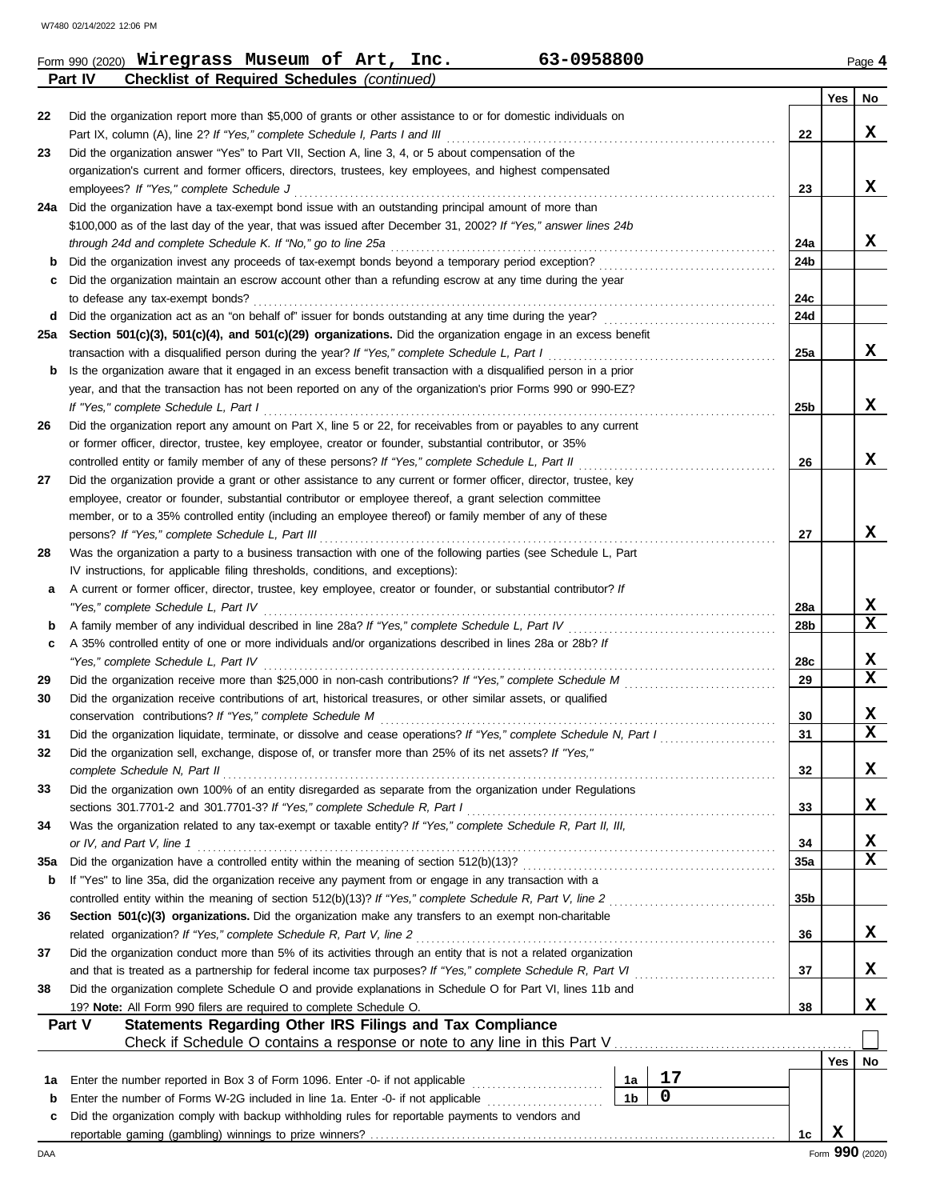|     | 63-0958800<br>Form 990 (2020) Wiregrass Museum of Art, Inc.                                                                                                                                                    |     |     | Page 4                  |
|-----|----------------------------------------------------------------------------------------------------------------------------------------------------------------------------------------------------------------|-----|-----|-------------------------|
|     | <b>Checklist of Required Schedules (continued)</b><br>Part IV                                                                                                                                                  |     |     |                         |
| 22  | Did the organization report more than \$5,000 of grants or other assistance to or for domestic individuals on                                                                                                  |     | Yes | No                      |
|     | Part IX, column (A), line 2? If "Yes," complete Schedule I, Parts I and III                                                                                                                                    | 22  |     | x                       |
| 23  | Did the organization answer "Yes" to Part VII, Section A, line 3, 4, or 5 about compensation of the                                                                                                            |     |     |                         |
|     | organization's current and former officers, directors, trustees, key employees, and highest compensated                                                                                                        |     |     |                         |
|     | employees? If "Yes," complete Schedule J                                                                                                                                                                       | 23  |     | X                       |
|     | 24a Did the organization have a tax-exempt bond issue with an outstanding principal amount of more than                                                                                                        |     |     |                         |
|     | \$100,000 as of the last day of the year, that was issued after December 31, 2002? If "Yes," answer lines 24b                                                                                                  |     |     |                         |
|     | through 24d and complete Schedule K. If "No," go to line 25a                                                                                                                                                   | 24a |     | x                       |
| b   | Did the organization invest any proceeds of tax-exempt bonds beyond a temporary period exception?<br>Did the organization maintain an escrow account other than a refunding escrow at any time during the year | 24b |     |                         |
| c   | to defease any tax-exempt bonds?                                                                                                                                                                               | 24c |     |                         |
|     | d Did the organization act as an "on behalf of" issuer for bonds outstanding at any time during the year?                                                                                                      | 24d |     |                         |
|     | 25a Section 501(c)(3), 501(c)(4), and 501(c)(29) organizations. Did the organization engage in an excess benefit                                                                                               |     |     |                         |
|     | transaction with a disqualified person during the year? If "Yes," complete Schedule L, Part I                                                                                                                  | 25a |     | X                       |
| b   | Is the organization aware that it engaged in an excess benefit transaction with a disqualified person in a prior                                                                                               |     |     |                         |
|     | year, and that the transaction has not been reported on any of the organization's prior Forms 990 or 990-EZ?                                                                                                   |     |     |                         |
|     | If "Yes," complete Schedule L, Part I                                                                                                                                                                          | 25b |     | X                       |
| 26  | Did the organization report any amount on Part X, line 5 or 22, for receivables from or payables to any current                                                                                                |     |     |                         |
|     | or former officer, director, trustee, key employee, creator or founder, substantial contributor, or 35%                                                                                                        |     |     |                         |
|     | controlled entity or family member of any of these persons? If "Yes," complete Schedule L, Part II                                                                                                             | 26  |     | x                       |
| 27  | Did the organization provide a grant or other assistance to any current or former officer, director, trustee, key                                                                                              |     |     |                         |
|     | employee, creator or founder, substantial contributor or employee thereof, a grant selection committee                                                                                                         |     |     |                         |
|     | member, or to a 35% controlled entity (including an employee thereof) or family member of any of these                                                                                                         |     |     | x                       |
| 28  | persons? If "Yes," complete Schedule L, Part III<br>Was the organization a party to a business transaction with one of the following parties (see Schedule L, Part                                             | 27  |     |                         |
|     | IV instructions, for applicable filing thresholds, conditions, and exceptions):                                                                                                                                |     |     |                         |
| а   | A current or former officer, director, trustee, key employee, creator or founder, or substantial contributor? If                                                                                               |     |     |                         |
|     | "Yes," complete Schedule L, Part IV                                                                                                                                                                            | 28a |     | X                       |
| b   | A family member of any individual described in line 28a? If "Yes," complete Schedule L, Part IV                                                                                                                | 28b |     | X                       |
| c   | A 35% controlled entity of one or more individuals and/or organizations described in lines 28a or 28b? If                                                                                                      |     |     |                         |
|     | "Yes," complete Schedule L, Part IV                                                                                                                                                                            | 28c |     | X                       |
| 29  | Did the organization receive more than \$25,000 in non-cash contributions? If "Yes," complete Schedule M                                                                                                       | 29  |     | $\mathbf{x}$            |
| 30  | Did the organization receive contributions of art, historical treasures, or other similar assets, or qualified                                                                                                 |     |     |                         |
|     | conservation contributions? If "Yes," complete Schedule M<br>.                                                                                                                                                 | 30  |     | X                       |
| 31  | Did the organization liquidate, terminate, or dissolve and cease operations? If "Yes," complete Schedule N, Part I                                                                                             | 31  |     | $\overline{\mathbf{x}}$ |
| 32  | Did the organization sell, exchange, dispose of, or transfer more than 25% of its net assets? If "Yes,"                                                                                                        |     |     | X                       |
|     | complete Schedule N, Part II<br>Did the organization own 100% of an entity disregarded as separate from the organization under Regulations                                                                     | 32  |     |                         |
| 33  | sections 301.7701-2 and 301.7701-3? If "Yes," complete Schedule R, Part I                                                                                                                                      | 33  |     | X                       |
| 34  | Was the organization related to any tax-exempt or taxable entity? If "Yes," complete Schedule R, Part II, III,                                                                                                 |     |     |                         |
|     | or IV, and Part V, line 1                                                                                                                                                                                      | 34  |     | X                       |
| 35a | Did the organization have a controlled entity within the meaning of section 512(b)(13)?                                                                                                                        | 35a |     | $\mathbf x$             |
| b   | If "Yes" to line 35a, did the organization receive any payment from or engage in any transaction with a                                                                                                        |     |     |                         |
|     | controlled entity within the meaning of section 512(b)(13)? If "Yes," complete Schedule R, Part V, line 2                                                                                                      | 35b |     |                         |
| 36  | Section 501(c)(3) organizations. Did the organization make any transfers to an exempt non-charitable                                                                                                           |     |     |                         |
|     | related organization? If "Yes," complete Schedule R, Part V, line 2                                                                                                                                            | 36  |     | X                       |
| 37  | Did the organization conduct more than 5% of its activities through an entity that is not a related organization                                                                                               |     |     |                         |
|     | and that is treated as a partnership for federal income tax purposes? If "Yes," complete Schedule R, Part VI                                                                                                   | 37  |     | X                       |
| 38  | Did the organization complete Schedule O and provide explanations in Schedule O for Part VI, lines 11b and                                                                                                     |     |     |                         |
|     | 19? Note: All Form 990 filers are required to complete Schedule O.<br>Statements Regarding Other IRS Filings and Tax Compliance<br>Part V                                                                      | 38  |     | X                       |
|     |                                                                                                                                                                                                                |     |     |                         |
|     |                                                                                                                                                                                                                |     | Yes | No                      |
| 1а  | 17<br>Enter the number reported in Box 3 of Form 1096. Enter -0- if not applicable<br>1a                                                                                                                       |     |     |                         |
| b   | $\mathbf 0$<br>1 <sub>b</sub><br>Enter the number of Forms W-2G included in line 1a. Enter -0- if not applicable                                                                                               |     |     |                         |
| c   | Did the organization comply with backup withholding rules for reportable payments to vendors and                                                                                                               |     |     |                         |
|     |                                                                                                                                                                                                                | 1c  | X   |                         |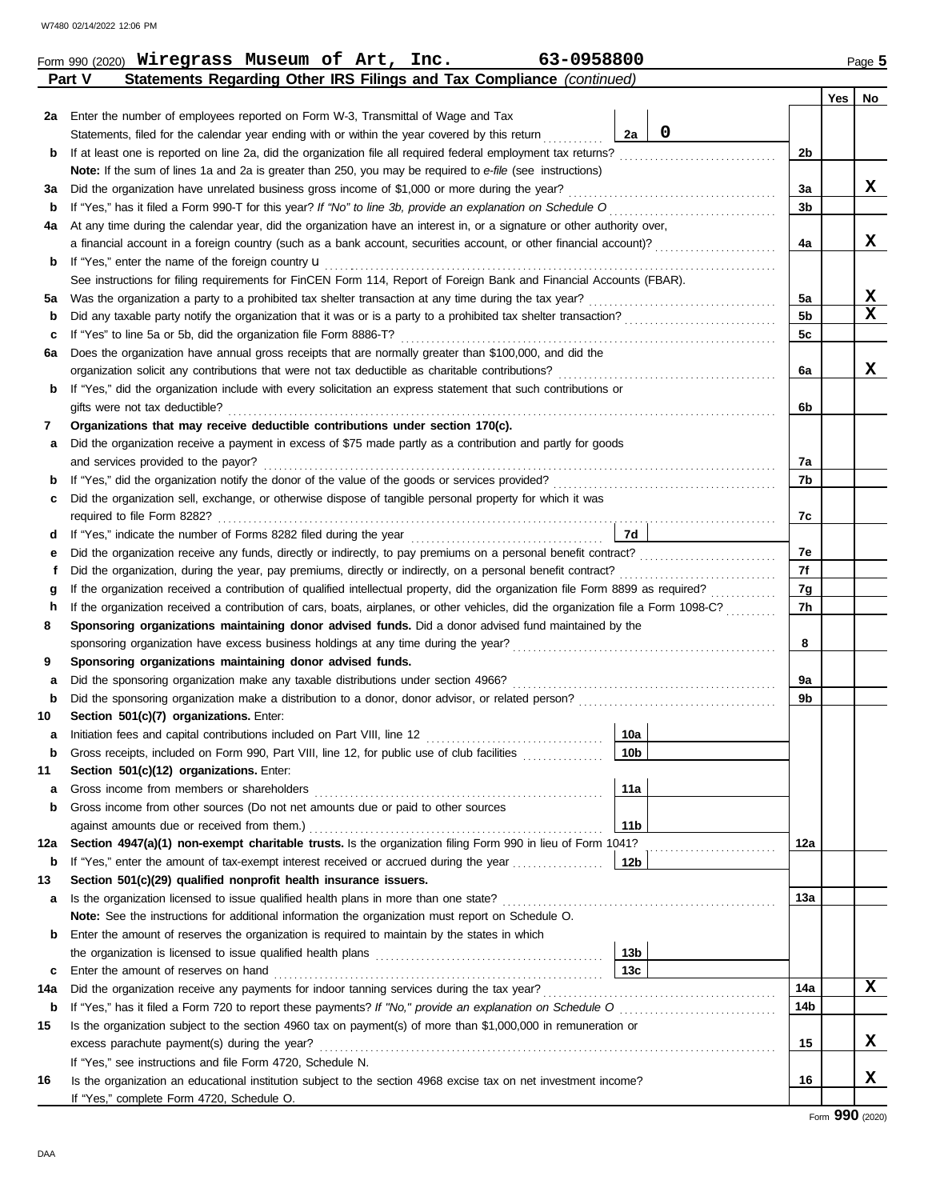|        | 63-0958800<br>Form 990 (2020) Wiregrass Museum of Art, Inc.                                                                                                |                |  | Page 5        |  |  |  |  |  |  |
|--------|------------------------------------------------------------------------------------------------------------------------------------------------------------|----------------|--|---------------|--|--|--|--|--|--|
|        | Statements Regarding Other IRS Filings and Tax Compliance (continued)<br>Part V                                                                            |                |  |               |  |  |  |  |  |  |
|        |                                                                                                                                                            |                |  | $Yes \mid No$ |  |  |  |  |  |  |
|        | 2a Enter the number of employees reported on Form W-3, Transmittal of Wage and Tax                                                                         |                |  |               |  |  |  |  |  |  |
|        | $\mathbf 0$<br>2a<br>Statements, filed for the calendar year ending with or within the year covered by this return                                         |                |  |               |  |  |  |  |  |  |
| b      | If at least one is reported on line 2a, did the organization file all required federal employment tax returns?                                             | 2b             |  |               |  |  |  |  |  |  |
|        | Note: If the sum of lines 1a and 2a is greater than 250, you may be required to e-file (see instructions)                                                  |                |  | X             |  |  |  |  |  |  |
| За     | Did the organization have unrelated business gross income of \$1,000 or more during the year?                                                              |                |  |               |  |  |  |  |  |  |
| b      | If "Yes," has it filed a Form 990-T for this year? If "No" to line 3b, provide an explanation on Schedule O                                                | 3 <sub>b</sub> |  |               |  |  |  |  |  |  |
| 4a     | At any time during the calendar year, did the organization have an interest in, or a signature or other authority over,                                    |                |  |               |  |  |  |  |  |  |
|        | a financial account in a foreign country (such as a bank account, securities account, or other financial account)?                                         | 4a             |  | x             |  |  |  |  |  |  |
| b      | If "Yes," enter the name of the foreign country $\mathbf u$                                                                                                |                |  |               |  |  |  |  |  |  |
|        | See instructions for filing requirements for FinCEN Form 114, Report of Foreign Bank and Financial Accounts (FBAR).                                        |                |  |               |  |  |  |  |  |  |
| 5a     | Was the organization a party to a prohibited tax shelter transaction at any time during the tax year?                                                      | 5a             |  | X             |  |  |  |  |  |  |
| b      |                                                                                                                                                            | 5b             |  | $\mathbf X$   |  |  |  |  |  |  |
| c      | If "Yes" to line 5a or 5b, did the organization file Form 8886-T?                                                                                          | 5c             |  |               |  |  |  |  |  |  |
| 6а     | Does the organization have annual gross receipts that are normally greater than \$100,000, and did the                                                     |                |  | X             |  |  |  |  |  |  |
|        | organization solicit any contributions that were not tax deductible as charitable contributions?                                                           | 6a             |  |               |  |  |  |  |  |  |
| b      | If "Yes," did the organization include with every solicitation an express statement that such contributions or                                             |                |  |               |  |  |  |  |  |  |
|        | gifts were not tax deductible?<br>Organizations that may receive deductible contributions under section 170(c).                                            | 6b             |  |               |  |  |  |  |  |  |
| 7      | Did the organization receive a payment in excess of \$75 made partly as a contribution and partly for goods                                                |                |  |               |  |  |  |  |  |  |
| а      | and services provided to the payor?                                                                                                                        | 7a             |  |               |  |  |  |  |  |  |
|        |                                                                                                                                                            | 7b             |  |               |  |  |  |  |  |  |
| b<br>c | Did the organization sell, exchange, or otherwise dispose of tangible personal property for which it was                                                   |                |  |               |  |  |  |  |  |  |
|        |                                                                                                                                                            | 7c             |  |               |  |  |  |  |  |  |
| d      | 7d                                                                                                                                                         |                |  |               |  |  |  |  |  |  |
| е      |                                                                                                                                                            | 7e             |  |               |  |  |  |  |  |  |
| f      | Did the organization, during the year, pay premiums, directly or indirectly, on a personal benefit contract?                                               | 7f             |  |               |  |  |  |  |  |  |
| g      | If the organization received a contribution of qualified intellectual property, did the organization file Form 8899 as required?                           |                |  |               |  |  |  |  |  |  |
| h      | If the organization received a contribution of cars, boats, airplanes, or other vehicles, did the organization file a Form 1098-C?                         | 7g<br>7h       |  |               |  |  |  |  |  |  |
| 8      | Sponsoring organizations maintaining donor advised funds. Did a donor advised fund maintained by the                                                       |                |  |               |  |  |  |  |  |  |
|        |                                                                                                                                                            | 8              |  |               |  |  |  |  |  |  |
| 9      | Sponsoring organizations maintaining donor advised funds.                                                                                                  |                |  |               |  |  |  |  |  |  |
| a      | Did the sponsoring organization make any taxable distributions under section 4966?                                                                         | 9a             |  |               |  |  |  |  |  |  |
| b      |                                                                                                                                                            | 9b             |  |               |  |  |  |  |  |  |
| 10     | Section 501(c)(7) organizations. Enter:                                                                                                                    |                |  |               |  |  |  |  |  |  |
|        | 10a                                                                                                                                                        |                |  |               |  |  |  |  |  |  |
| b      | 10 <sub>b</sub><br>Gross receipts, included on Form 990, Part VIII, line 12, for public use of club facilities                                             |                |  |               |  |  |  |  |  |  |
| 11     | Section 501(c)(12) organizations. Enter:                                                                                                                   |                |  |               |  |  |  |  |  |  |
| а      | 11a<br>Gross income from members or shareholders                                                                                                           |                |  |               |  |  |  |  |  |  |
| b      | Gross income from other sources (Do not net amounts due or paid to other sources                                                                           |                |  |               |  |  |  |  |  |  |
|        | 11 <sub>b</sub><br>against amounts due or received from them.)                                                                                             |                |  |               |  |  |  |  |  |  |
| 12a    | Section 4947(a)(1) non-exempt charitable trusts. Is the organization filing Form 990 in lieu of Form 1041?                                                 | 12a            |  |               |  |  |  |  |  |  |
| b      | 12 <sub>b</sub><br>If "Yes," enter the amount of tax-exempt interest received or accrued during the year                                                   |                |  |               |  |  |  |  |  |  |
| 13     | Section 501(c)(29) qualified nonprofit health insurance issuers.                                                                                           |                |  |               |  |  |  |  |  |  |
| а      | Is the organization licensed to issue qualified health plans in more than one state?                                                                       | 13a            |  |               |  |  |  |  |  |  |
|        | Note: See the instructions for additional information the organization must report on Schedule O.                                                          |                |  |               |  |  |  |  |  |  |
| b      | Enter the amount of reserves the organization is required to maintain by the states in which                                                               |                |  |               |  |  |  |  |  |  |
|        | 13 <sub>b</sub><br>the organization is licensed to issue qualified health plans [11] contains the organization is licensed to issue qualified health plans |                |  |               |  |  |  |  |  |  |
| c      | 13 <sub>c</sub><br>Enter the amount of reserves on hand                                                                                                    |                |  |               |  |  |  |  |  |  |
| 14a    | Did the organization receive any payments for indoor tanning services during the tax year?                                                                 | 14a            |  | x             |  |  |  |  |  |  |
| b      |                                                                                                                                                            | 14b            |  |               |  |  |  |  |  |  |
| 15     | Is the organization subject to the section 4960 tax on payment(s) of more than \$1,000,000 in remuneration or                                              |                |  |               |  |  |  |  |  |  |
|        | excess parachute payment(s) during the year?                                                                                                               | 15             |  | X             |  |  |  |  |  |  |
|        | If "Yes," see instructions and file Form 4720, Schedule N.                                                                                                 |                |  |               |  |  |  |  |  |  |
| 16     | Is the organization an educational institution subject to the section 4968 excise tax on net investment income?                                            | 16             |  | X             |  |  |  |  |  |  |
|        | If "Yes," complete Form 4720, Schedule O.                                                                                                                  |                |  |               |  |  |  |  |  |  |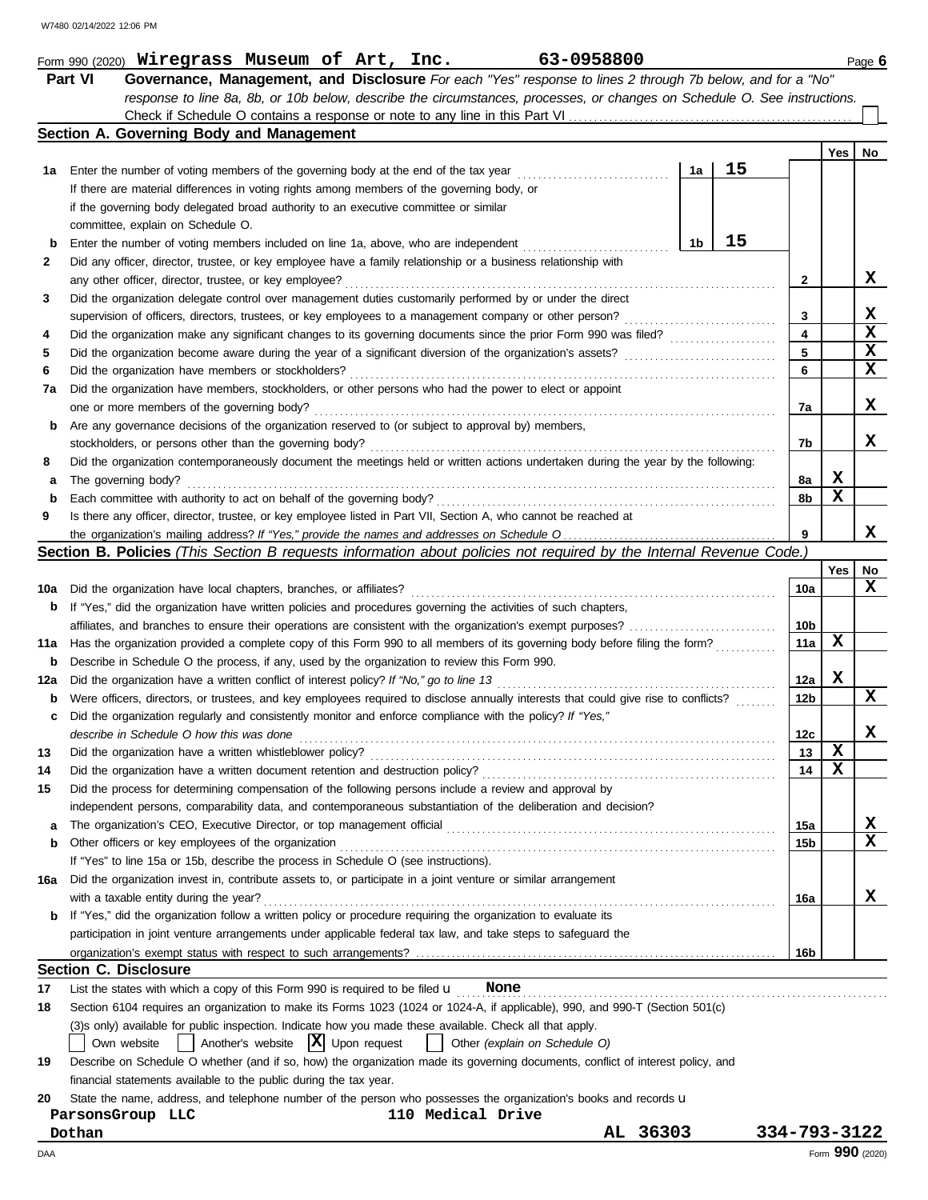|     | Part VI<br>Governance, Management, and Disclosure For each "Yes" response to lines 2 through 7b below, and for a "No"                 |    |    |              |             |                 |
|-----|---------------------------------------------------------------------------------------------------------------------------------------|----|----|--------------|-------------|-----------------|
|     | response to line 8a, 8b, or 10b below, describe the circumstances, processes, or changes on Schedule O. See instructions.             |    |    |              |             |                 |
|     |                                                                                                                                       |    |    |              |             |                 |
|     | Section A. Governing Body and Management                                                                                              |    |    |              |             |                 |
|     |                                                                                                                                       |    | 15 |              | Yes         | No              |
| 1a  | Enter the number of voting members of the governing body at the end of the tax year                                                   | 1a |    |              |             |                 |
|     | If there are material differences in voting rights among members of the governing body, or                                            |    |    |              |             |                 |
|     | if the governing body delegated broad authority to an executive committee or similar                                                  |    |    |              |             |                 |
|     | committee, explain on Schedule O.                                                                                                     |    | 15 |              |             |                 |
| b   | Enter the number of voting members included on line 1a, above, who are independent                                                    | 1b |    |              |             |                 |
| 2   | Did any officer, director, trustee, or key employee have a family relationship or a business relationship with                        |    |    |              |             |                 |
|     | any other officer, director, trustee, or key employee?                                                                                |    |    | $\mathbf{2}$ |             | x               |
| 3   | Did the organization delegate control over management duties customarily performed by or under the direct                             |    |    |              |             |                 |
|     | supervision of officers, directors, trustees, or key employees to a management company or other person?                               |    |    | 3            |             | x               |
| 4   |                                                                                                                                       |    |    | 4            |             | $\mathbf x$     |
| 5   |                                                                                                                                       |    |    | 5            |             | $\mathbf x$     |
| 6   | Did the organization have members or stockholders?                                                                                    |    |    | 6            |             | X               |
| 7a  | Did the organization have members, stockholders, or other persons who had the power to elect or appoint                               |    |    |              |             |                 |
|     | one or more members of the governing body?                                                                                            |    |    | 7а           |             | X               |
| b   | Are any governance decisions of the organization reserved to (or subject to approval by) members,                                     |    |    |              |             |                 |
|     | stockholders, or persons other than the governing body?                                                                               |    |    | 7b           |             | X               |
| 8   | Did the organization contemporaneously document the meetings held or written actions undertaken during the year by the following:     |    |    |              |             |                 |
| а   | The governing body?                                                                                                                   |    |    | 8а           | x           |                 |
| b   | Each committee with authority to act on behalf of the governing body?                                                                 |    |    | 8b           | $\mathbf x$ |                 |
| 9   | Is there any officer, director, trustee, or key employee listed in Part VII, Section A, who cannot be reached at                      |    |    |              |             |                 |
|     |                                                                                                                                       |    |    | 9            |             | x               |
|     | Section B. Policies (This Section B requests information about policies not required by the Internal Revenue Code.)                   |    |    |              |             |                 |
|     |                                                                                                                                       |    |    |              | Yes         | No<br>x         |
| 10a | Did the organization have local chapters, branches, or affiliates?                                                                    |    |    | 10a          |             |                 |
| b   | If "Yes," did the organization have written policies and procedures governing the activities of such chapters,                        |    |    |              |             |                 |
|     |                                                                                                                                       |    |    | 10b          |             |                 |
| 11a | Has the organization provided a complete copy of this Form 990 to all members of its governing body before filing the form?           |    |    | 11a          | x           |                 |
| b   | Describe in Schedule O the process, if any, used by the organization to review this Form 990.                                         |    |    |              |             |                 |
| 12a | Did the organization have a written conflict of interest policy? If "No," go to line 13                                               |    |    | 12a          | X           |                 |
| b   | Were officers, directors, or trustees, and key employees required to disclose annually interests that could give rise to conflicts?   |    |    | 12b          |             | X               |
| c   | Did the organization regularly and consistently monitor and enforce compliance with the policy? If "Yes,"                             |    |    |              |             |                 |
|     | describe in Schedule O how this was done                                                                                              |    |    | 12c          |             | X               |
| 13  | Did the organization have a written whistleblower policy?                                                                             |    |    | 13           | X           |                 |
| 14  |                                                                                                                                       |    |    | 14           | $\mathbf x$ |                 |
| 15  | Did the process for determining compensation of the following persons include a review and approval by                                |    |    |              |             |                 |
|     | independent persons, comparability data, and contemporaneous substantiation of the deliberation and decision?                         |    |    |              |             |                 |
| а   |                                                                                                                                       |    |    | 15a          |             | X               |
| b   | Other officers or key employees of the organization                                                                                   |    |    | 15b          |             | X               |
|     | If "Yes" to line 15a or 15b, describe the process in Schedule O (see instructions).                                                   |    |    |              |             |                 |
| 16a | Did the organization invest in, contribute assets to, or participate in a joint venture or similar arrangement                        |    |    |              |             |                 |
|     | with a taxable entity during the year?                                                                                                |    |    | 16a          |             | X               |
| b   | If "Yes," did the organization follow a written policy or procedure requiring the organization to evaluate its                        |    |    |              |             |                 |
|     | participation in joint venture arrangements under applicable federal tax law, and take steps to safeguard the                         |    |    |              |             |                 |
|     |                                                                                                                                       |    |    | 16b          |             |                 |
|     | <b>Section C. Disclosure</b>                                                                                                          |    |    |              |             |                 |
| 17  | List the states with which a copy of this Form 990 is required to be filed $\mathbf u$<br>None                                        |    |    |              |             |                 |
| 18  | Section 6104 requires an organization to make its Forms 1023 (1024 or 1024-A, if applicable), 990, and 990-T (Section 501(c)          |    |    |              |             |                 |
|     | (3)s only) available for public inspection. Indicate how you made these available. Check all that apply.                              |    |    |              |             |                 |
|     | Another's website $ \mathbf{X} $ Upon request<br>Other (explain on Schedule O)<br>Own website                                         |    |    |              |             |                 |
| 19  | Describe on Schedule O whether (and if so, how) the organization made its governing documents, conflict of interest policy, and       |    |    |              |             |                 |
|     | financial statements available to the public during the tax year.                                                                     |    |    |              |             |                 |
| 20  | State the name, address, and telephone number of the person who possesses the organization's books and records u<br>110 Medical Drive |    |    |              |             |                 |
|     | ParsonsGroup LLC<br>AL 36303<br>Dothan                                                                                                |    |    | 334-793-3122 |             |                 |
| DAA |                                                                                                                                       |    |    |              |             | Form 990 (2020) |
|     |                                                                                                                                       |    |    |              |             |                 |

Form 990 (2020) **Wiregrass Museum of Art, Inc.** 63-0958800 Page **6 Wiregrass Museum of Art, Inc. 63-0958800**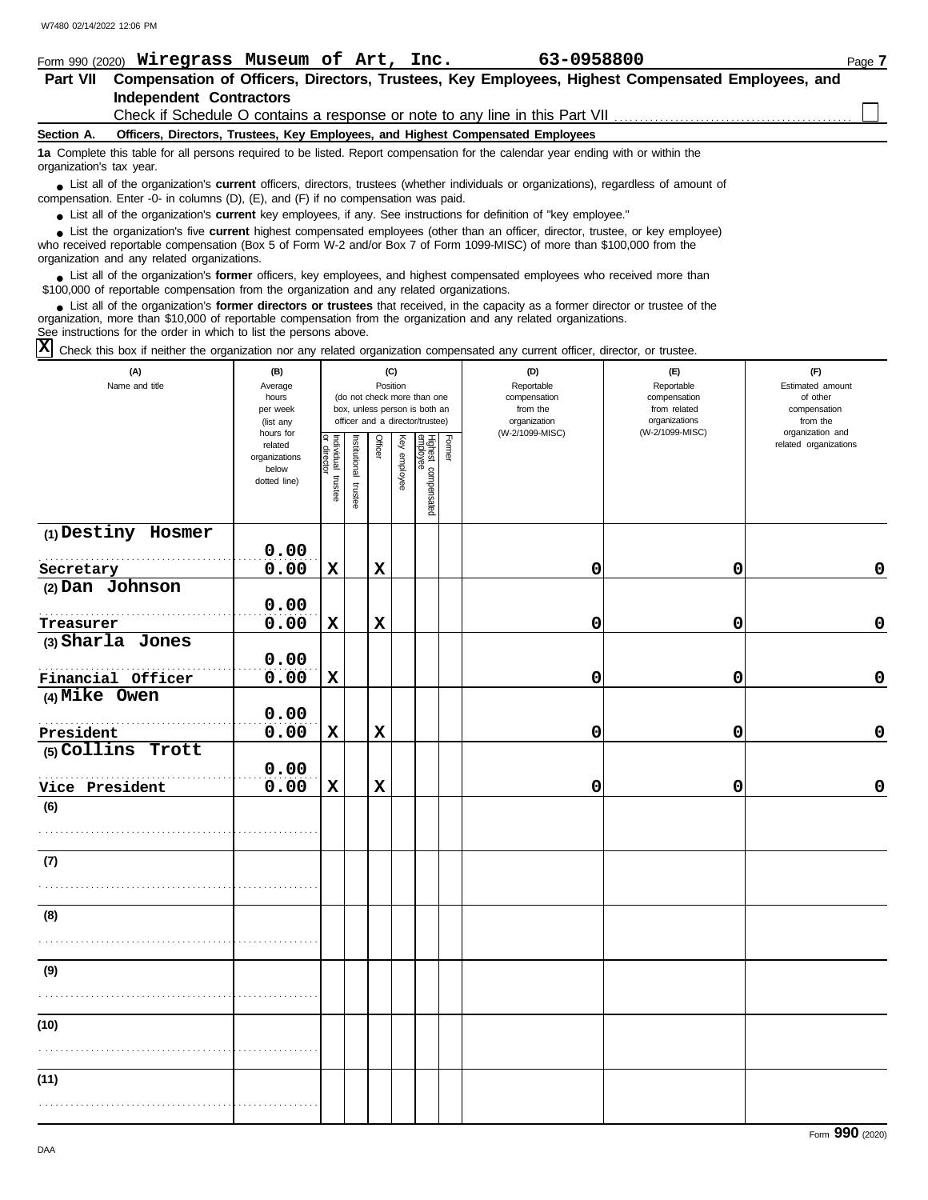|                          | Form 990 (2020) Wiregrass Museum of Art, Inc.                                                                                                                                                                                                                      | 63-0958800 | Page 7 |
|--------------------------|--------------------------------------------------------------------------------------------------------------------------------------------------------------------------------------------------------------------------------------------------------------------|------------|--------|
| <b>Part VII</b>          | Compensation of Officers, Directors, Trustees, Key Employees, Highest Compensated Employees, and                                                                                                                                                                   |            |        |
|                          | <b>Independent Contractors</b>                                                                                                                                                                                                                                     |            |        |
|                          | Check if Schedule O contains a response or note to any line in this Part VII                                                                                                                                                                                       |            |        |
| Section A.               | Officers, Directors, Trustees, Key Employees, and Highest Compensated Employees                                                                                                                                                                                    |            |        |
| organization's tax year. | 1a Complete this table for all persons required to be listed. Report compensation for the calendar year ending with or within the                                                                                                                                  |            |        |
|                          | • List all of the organization's <b>current</b> officers, directors, trustees (whether individuals or organizations), regardless of amount of<br>compensation. Enter -0- in columns $(D)$ , $(E)$ , and $(F)$ if no compensation was paid.                         |            |        |
|                          | • List all of the organization's <b>current</b> key employees, if any. See instructions for definition of "key employee."                                                                                                                                          |            |        |
|                          | • List the organization's five <b>current</b> highest compensated employees (other than an officer, director, trustee, or key employee)<br>who received reportable compensation (Box 5 of Form W-2 and/or Box 7 of Form 1099-MISC) of more than \$100,000 from the |            |        |

organization and any related organizations. ■ List all of the organization's **former** officers, key employees, and highest compensated employees who received more than<br> **•** 00.000 of reportable compensation from the examization and any related erganizations \$100,000 of reportable compensation from the organization and any related organizations.

List all of the organization's **former directors or trustees** that received, in the capacity as a former director or trustee of the organization, more than \$10,000 of reportable compensation from the organization and any related organizations. See instructions for the order in which to list the persons above. **•**

Check this box if neither the organization nor any related organization compensated any current officer, director, or trustee. **X**

| (A)<br>Name and title              | (B)<br>Average<br>hours<br>per week<br>(list any               |                    |                       |             | (C)<br>Position | (do not check more than one<br>box, unless person is both an<br>officer and a director/trustee) |               | (E)<br>Reportable<br>compensation<br>from related<br>organizations | (F)<br>Estimated amount<br>of other<br>compensation<br>from the |                                           |  |  |
|------------------------------------|----------------------------------------------------------------|--------------------|-----------------------|-------------|-----------------|-------------------------------------------------------------------------------------------------|---------------|--------------------------------------------------------------------|-----------------------------------------------------------------|-------------------------------------------|--|--|
|                                    | hours for<br>related<br>organizations<br>below<br>dotted line) | Individual trustee | Institutional trustee | Officer     | Key employee    | Highest compensated<br>employee                                                                 | <b>Former</b> | (W-2/1099-MISC)                                                    | (W-2/1099-MISC)                                                 | organization and<br>related organizations |  |  |
| (1) Destiny Hosmer                 | 0.00                                                           |                    |                       |             |                 |                                                                                                 |               |                                                                    |                                                                 |                                           |  |  |
| Secretary                          | 0.00                                                           | $\mathbf x$        |                       | $\mathbf x$ |                 |                                                                                                 |               | 0                                                                  | $\mathbf 0$                                                     | $\mathbf 0$                               |  |  |
| (2) Dan Johnson                    |                                                                |                    |                       |             |                 |                                                                                                 |               |                                                                    |                                                                 |                                           |  |  |
|                                    | 0.00                                                           |                    |                       |             |                 |                                                                                                 |               |                                                                    |                                                                 |                                           |  |  |
| Treasurer                          | 0.00                                                           | $\mathbf x$        |                       | $\mathbf x$ |                 |                                                                                                 |               | 0                                                                  | 0                                                               | $\pmb{0}$                                 |  |  |
| (3) Sharla Jones                   |                                                                |                    |                       |             |                 |                                                                                                 |               |                                                                    |                                                                 |                                           |  |  |
|                                    | 0.00<br>0.00                                                   | $\mathbf x$        |                       |             |                 |                                                                                                 |               |                                                                    |                                                                 | 0                                         |  |  |
| Financial Officer<br>(4) Mike Owen |                                                                |                    |                       |             |                 |                                                                                                 |               | 0                                                                  | 0                                                               |                                           |  |  |
|                                    | 0.00                                                           |                    |                       |             |                 |                                                                                                 |               |                                                                    |                                                                 |                                           |  |  |
| President                          | 0.00                                                           | $\mathbf x$        |                       | $\mathbf x$ |                 |                                                                                                 |               | 0                                                                  | 0                                                               | 0                                         |  |  |
| (5) Collins Trott                  | 0.00                                                           |                    |                       |             |                 |                                                                                                 |               |                                                                    |                                                                 |                                           |  |  |
| Vice President                     | 0.00                                                           | $\mathbf x$        |                       | $\mathbf x$ |                 |                                                                                                 |               | 0                                                                  | 0                                                               | $\mathbf 0$                               |  |  |
| (6)                                |                                                                |                    |                       |             |                 |                                                                                                 |               |                                                                    |                                                                 |                                           |  |  |
| (7)                                |                                                                |                    |                       |             |                 |                                                                                                 |               |                                                                    |                                                                 |                                           |  |  |
|                                    |                                                                |                    |                       |             |                 |                                                                                                 |               |                                                                    |                                                                 |                                           |  |  |
| (8)                                |                                                                |                    |                       |             |                 |                                                                                                 |               |                                                                    |                                                                 |                                           |  |  |
|                                    |                                                                |                    |                       |             |                 |                                                                                                 |               |                                                                    |                                                                 |                                           |  |  |
| (9)                                |                                                                |                    |                       |             |                 |                                                                                                 |               |                                                                    |                                                                 |                                           |  |  |
|                                    |                                                                |                    |                       |             |                 |                                                                                                 |               |                                                                    |                                                                 |                                           |  |  |
| (10)                               |                                                                |                    |                       |             |                 |                                                                                                 |               |                                                                    |                                                                 |                                           |  |  |
|                                    |                                                                |                    |                       |             |                 |                                                                                                 |               |                                                                    |                                                                 |                                           |  |  |
| (11)                               |                                                                |                    |                       |             |                 |                                                                                                 |               |                                                                    |                                                                 |                                           |  |  |
|                                    |                                                                |                    |                       |             |                 |                                                                                                 |               |                                                                    |                                                                 |                                           |  |  |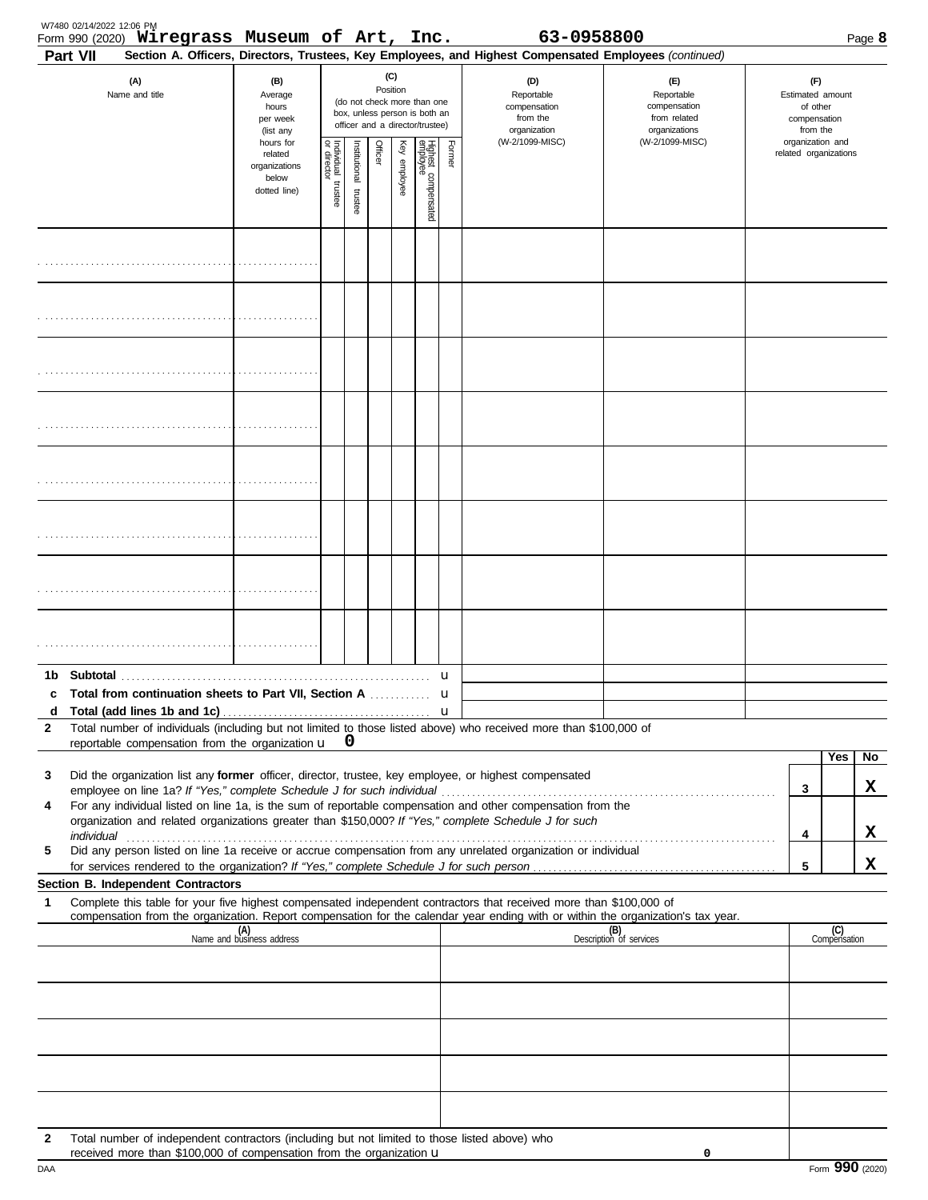| W7480 02/14/2022 12:06 PM<br>Form 990 (2020) Wiregrass Museum of Art, Inc.                                                                                                                                                                                                                                                                                                                                                                                                                                                               |                                                                             |                                        |                         |         |                 |                                                                                                 |        | 63-0958800                                                                                                                                                              |                                                                    |                                                                 |                     | Page 8            |
|------------------------------------------------------------------------------------------------------------------------------------------------------------------------------------------------------------------------------------------------------------------------------------------------------------------------------------------------------------------------------------------------------------------------------------------------------------------------------------------------------------------------------------------|-----------------------------------------------------------------------------|----------------------------------------|-------------------------|---------|-----------------|-------------------------------------------------------------------------------------------------|--------|-------------------------------------------------------------------------------------------------------------------------------------------------------------------------|--------------------------------------------------------------------|-----------------------------------------------------------------|---------------------|-------------------|
| Part VII<br>(A)<br>Name and title                                                                                                                                                                                                                                                                                                                                                                                                                                                                                                        | (B)<br>Average<br>hours<br>per week                                         |                                        |                         |         | (C)<br>Position | (do not check more than one<br>box, unless person is both an<br>officer and a director/trustee) |        | Section A. Officers, Directors, Trustees, Key Employees, and Highest Compensated Employees (continued)<br>(D)<br>Reportable<br>compensation<br>from the<br>organization | (E)<br>Reportable<br>compensation<br>from related<br>organizations | (F)<br>Estimated amount<br>of other<br>compensation<br>from the |                     |                   |
|                                                                                                                                                                                                                                                                                                                                                                                                                                                                                                                                          | (list any<br>hours for<br>related<br>organizations<br>below<br>dotted line) | Individual 1<br>or director<br>trustee | nstitutional<br>trustee | Officer | Key employee    | Highest compensated<br>employee                                                                 | Former | (W-2/1099-MISC)                                                                                                                                                         | (W-2/1099-MISC)                                                    | organization and<br>related organizations                       |                     |                   |
|                                                                                                                                                                                                                                                                                                                                                                                                                                                                                                                                          |                                                                             |                                        |                         |         |                 |                                                                                                 |        |                                                                                                                                                                         |                                                                    |                                                                 |                     |                   |
|                                                                                                                                                                                                                                                                                                                                                                                                                                                                                                                                          |                                                                             |                                        |                         |         |                 |                                                                                                 |        |                                                                                                                                                                         |                                                                    |                                                                 |                     |                   |
|                                                                                                                                                                                                                                                                                                                                                                                                                                                                                                                                          |                                                                             |                                        |                         |         |                 |                                                                                                 |        |                                                                                                                                                                         |                                                                    |                                                                 |                     |                   |
|                                                                                                                                                                                                                                                                                                                                                                                                                                                                                                                                          |                                                                             |                                        |                         |         |                 |                                                                                                 |        |                                                                                                                                                                         |                                                                    |                                                                 |                     |                   |
|                                                                                                                                                                                                                                                                                                                                                                                                                                                                                                                                          |                                                                             |                                        |                         |         |                 |                                                                                                 |        |                                                                                                                                                                         |                                                                    |                                                                 |                     |                   |
|                                                                                                                                                                                                                                                                                                                                                                                                                                                                                                                                          |                                                                             |                                        |                         |         |                 |                                                                                                 |        |                                                                                                                                                                         |                                                                    |                                                                 |                     |                   |
|                                                                                                                                                                                                                                                                                                                                                                                                                                                                                                                                          |                                                                             |                                        |                         |         |                 |                                                                                                 |        |                                                                                                                                                                         |                                                                    |                                                                 |                     |                   |
|                                                                                                                                                                                                                                                                                                                                                                                                                                                                                                                                          |                                                                             |                                        |                         |         |                 |                                                                                                 |        |                                                                                                                                                                         |                                                                    |                                                                 |                     |                   |
| c Total from continuation sheets to Part VII, Section A<br>d<br>Total number of individuals (including but not limited to those listed above) who received more than \$100,000 of<br>$\mathbf{2}$                                                                                                                                                                                                                                                                                                                                        |                                                                             |                                        |                         |         |                 |                                                                                                 | u<br>п |                                                                                                                                                                         |                                                                    |                                                                 |                     |                   |
| reportable compensation from the organization $\mathbf{u}$ $\mathbf{0}$<br>Did the organization list any former officer, director, trustee, key employee, or highest compensated<br>3<br>For any individual listed on line 1a, is the sum of reportable compensation and other compensation from the<br>4<br>organization and related organizations greater than \$150,000? If "Yes," complete Schedule J for such<br>Did any person listed on line 1a receive or accrue compensation from any unrelated organization or individual<br>5 |                                                                             |                                        |                         |         |                 |                                                                                                 |        |                                                                                                                                                                         |                                                                    | 3<br>4<br>5                                                     | Yes                 | No<br>X<br>x<br>x |
| Section B. Independent Contractors<br>Complete this table for your five highest compensated independent contractors that received more than \$100,000 of<br>1                                                                                                                                                                                                                                                                                                                                                                            |                                                                             |                                        |                         |         |                 |                                                                                                 |        |                                                                                                                                                                         |                                                                    |                                                                 |                     |                   |
| compensation from the organization. Report compensation for the calendar year ending with or within the organization's tax year.                                                                                                                                                                                                                                                                                                                                                                                                         | (A)<br>Name and business address                                            |                                        |                         |         |                 |                                                                                                 |        |                                                                                                                                                                         | (B)<br>Description of services                                     |                                                                 | (C)<br>Compensation |                   |
|                                                                                                                                                                                                                                                                                                                                                                                                                                                                                                                                          |                                                                             |                                        |                         |         |                 |                                                                                                 |        |                                                                                                                                                                         |                                                                    |                                                                 |                     |                   |
|                                                                                                                                                                                                                                                                                                                                                                                                                                                                                                                                          |                                                                             |                                        |                         |         |                 |                                                                                                 |        |                                                                                                                                                                         |                                                                    |                                                                 |                     |                   |
|                                                                                                                                                                                                                                                                                                                                                                                                                                                                                                                                          |                                                                             |                                        |                         |         |                 |                                                                                                 |        |                                                                                                                                                                         |                                                                    |                                                                 |                     |                   |
|                                                                                                                                                                                                                                                                                                                                                                                                                                                                                                                                          |                                                                             |                                        |                         |         |                 |                                                                                                 |        |                                                                                                                                                                         |                                                                    |                                                                 |                     |                   |
| Total number of independent contractors (including but not limited to those listed above) who<br>2<br>received more than \$100,000 of compensation from the organization u                                                                                                                                                                                                                                                                                                                                                               |                                                                             |                                        |                         |         |                 |                                                                                                 |        |                                                                                                                                                                         | 0                                                                  |                                                                 |                     |                   |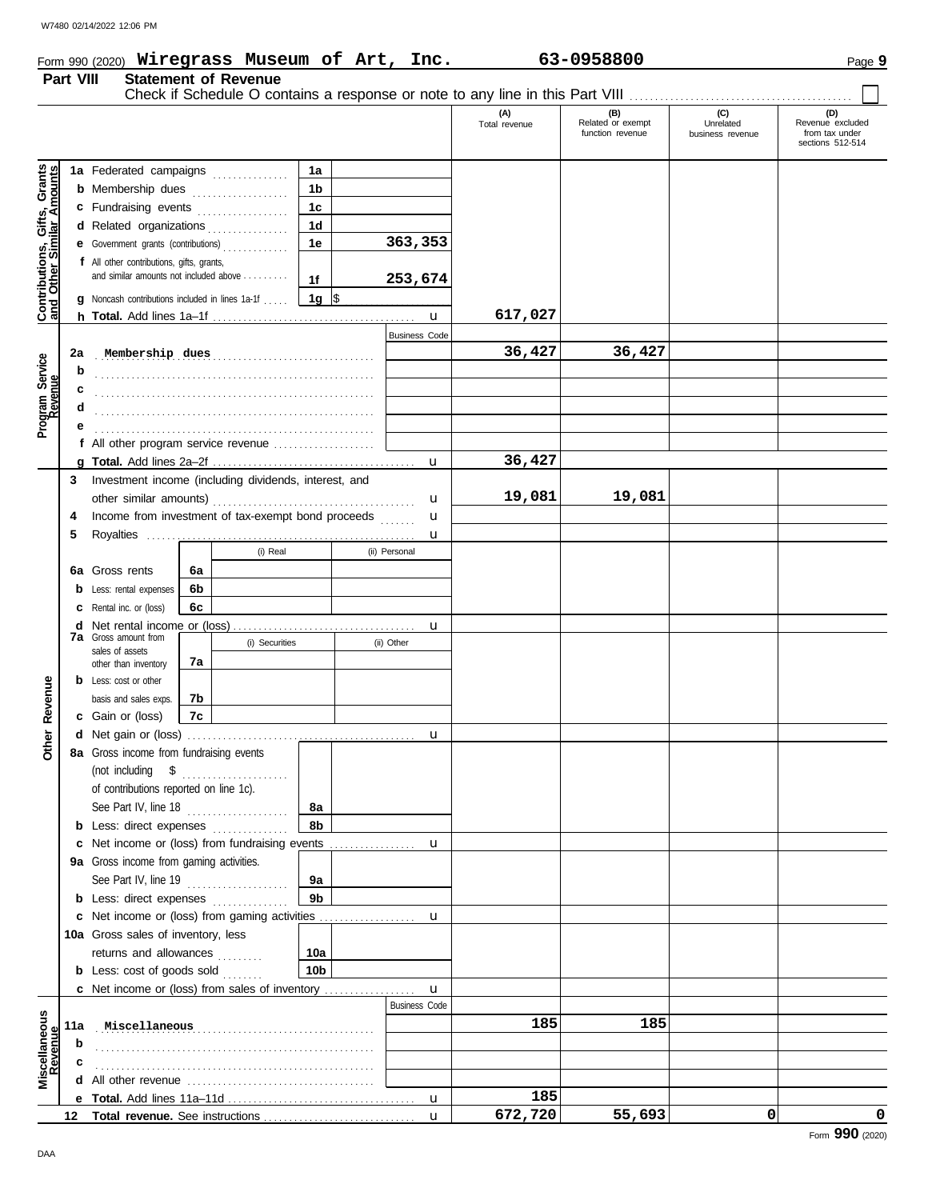## Form 990 (2020) Page **9 Wiregrass Museum of Art, Inc. 63-0958800**

|                                                                  | Part VIII |                                                                                                                                                                                                                                                                                               |    | <b>Statement of Revenue</b> |                                                                                       |        |                                                            | Check if Schedule O contains a response or note to any line in this Part VIII |                                              |                                      |                                                               |
|------------------------------------------------------------------|-----------|-----------------------------------------------------------------------------------------------------------------------------------------------------------------------------------------------------------------------------------------------------------------------------------------------|----|-----------------------------|---------------------------------------------------------------------------------------|--------|------------------------------------------------------------|-------------------------------------------------------------------------------|----------------------------------------------|--------------------------------------|---------------------------------------------------------------|
|                                                                  |           |                                                                                                                                                                                                                                                                                               |    |                             |                                                                                       |        |                                                            | (A)<br>Total revenue                                                          | (B)<br>Related or exempt<br>function revenue | (C)<br>Unrelated<br>business revenue | (D)<br>Revenue excluded<br>from tax under<br>sections 512-514 |
| <b>Contributions, Gifts, Grants</b><br>and Other Similar Amounts |           | 1a Federated campaigns<br><b>b</b> Membership dues<br>c Fundraising events<br>d Related organizations<br>e Government grants (contributions)<br>f All other contributions, gifts, grants,<br>and similar amounts not included above<br><b>g</b> Noncash contributions included in lines 1a-1f |    |                             | 1a<br>1 <sub>b</sub><br>1 <sub>c</sub><br>1 <sub>d</sub><br>1e<br>1f<br>1g $\sqrt{3}$ |        | 363,353<br>253,674<br>$\mathbf{u}$<br><b>Business Code</b> | 617,027                                                                       |                                              |                                      |                                                               |
|                                                                  | 2a        | Membership dues                                                                                                                                                                                                                                                                               |    |                             |                                                                                       | 36,427 | 36,427                                                     |                                                                               |                                              |                                      |                                                               |
| Program Service                                                  | b         |                                                                                                                                                                                                                                                                                               |    |                             |                                                                                       |        |                                                            |                                                                               |                                              |                                      |                                                               |
|                                                                  | c         |                                                                                                                                                                                                                                                                                               |    |                             |                                                                                       |        |                                                            |                                                                               |                                              |                                      |                                                               |
|                                                                  | d         |                                                                                                                                                                                                                                                                                               |    |                             |                                                                                       |        |                                                            |                                                                               |                                              |                                      |                                                               |
|                                                                  | е         |                                                                                                                                                                                                                                                                                               |    |                             |                                                                                       |        |                                                            |                                                                               |                                              |                                      |                                                               |
|                                                                  |           | f All other program service revenue                                                                                                                                                                                                                                                           |    |                             |                                                                                       |        | $\mathbf{u}$                                               | 36,427                                                                        |                                              |                                      |                                                               |
|                                                                  | 3         | Investment income (including dividends, interest, and                                                                                                                                                                                                                                         |    |                             |                                                                                       |        |                                                            |                                                                               |                                              |                                      |                                                               |
|                                                                  |           |                                                                                                                                                                                                                                                                                               |    |                             |                                                                                       |        | u                                                          | 19,081                                                                        | 19,081                                       |                                      |                                                               |
|                                                                  | 4         | Income from investment of tax-exempt bond proceeds                                                                                                                                                                                                                                            |    |                             |                                                                                       |        | u                                                          |                                                                               |                                              |                                      |                                                               |
|                                                                  | 5         |                                                                                                                                                                                                                                                                                               |    |                             |                                                                                       |        | u                                                          |                                                                               |                                              |                                      |                                                               |
|                                                                  |           |                                                                                                                                                                                                                                                                                               |    | (i) Real                    |                                                                                       |        | (ii) Personal                                              |                                                                               |                                              |                                      |                                                               |
|                                                                  |           | 6a Gross rents                                                                                                                                                                                                                                                                                | 6a |                             |                                                                                       |        |                                                            |                                                                               |                                              |                                      |                                                               |
|                                                                  |           | <b>b</b> Less: rental expenses                                                                                                                                                                                                                                                                | 6b |                             |                                                                                       |        |                                                            |                                                                               |                                              |                                      |                                                               |
|                                                                  |           | C Rental inc. or (loss)                                                                                                                                                                                                                                                                       | 6c |                             |                                                                                       |        |                                                            |                                                                               |                                              |                                      |                                                               |
|                                                                  |           | <b>7a</b> Gross amount from                                                                                                                                                                                                                                                                   |    |                             |                                                                                       |        | u                                                          |                                                                               |                                              |                                      |                                                               |
|                                                                  |           | sales of assets                                                                                                                                                                                                                                                                               |    | (i) Securities              |                                                                                       |        | (ii) Other                                                 |                                                                               |                                              |                                      |                                                               |
|                                                                  |           | other than inventory<br><b>b</b> Less: cost or other                                                                                                                                                                                                                                          | 7a |                             |                                                                                       |        |                                                            |                                                                               |                                              |                                      |                                                               |
|                                                                  |           | basis and sales exps.                                                                                                                                                                                                                                                                         | 7b |                             |                                                                                       |        |                                                            |                                                                               |                                              |                                      |                                                               |
| Revenue                                                          |           | <b>c</b> Gain or (loss)                                                                                                                                                                                                                                                                       | 7c |                             |                                                                                       |        |                                                            |                                                                               |                                              |                                      |                                                               |
| <u>her</u>                                                       |           |                                                                                                                                                                                                                                                                                               |    |                             |                                                                                       |        | u                                                          |                                                                               |                                              |                                      |                                                               |
| δ                                                                |           | 8a Gross income from fundraising events                                                                                                                                                                                                                                                       |    |                             |                                                                                       |        |                                                            |                                                                               |                                              |                                      |                                                               |
|                                                                  |           | (not including                                                                                                                                                                                                                                                                                |    | $\frac{1}{2}$               |                                                                                       |        |                                                            |                                                                               |                                              |                                      |                                                               |
|                                                                  |           | of contributions reported on line 1c).                                                                                                                                                                                                                                                        |    |                             |                                                                                       |        |                                                            |                                                                               |                                              |                                      |                                                               |
|                                                                  |           | See Part IV, line 18                                                                                                                                                                                                                                                                          |    |                             | 8a                                                                                    |        |                                                            |                                                                               |                                              |                                      |                                                               |
|                                                                  |           | <b>b</b> Less: direct expenses                                                                                                                                                                                                                                                                |    |                             | 8b                                                                                    |        |                                                            |                                                                               |                                              |                                      |                                                               |
|                                                                  |           | c Net income or (loss) from fundraising events                                                                                                                                                                                                                                                |    |                             |                                                                                       |        | u                                                          |                                                                               |                                              |                                      |                                                               |
|                                                                  |           | 9a Gross income from gaming activities.                                                                                                                                                                                                                                                       |    |                             |                                                                                       |        |                                                            |                                                                               |                                              |                                      |                                                               |
|                                                                  |           |                                                                                                                                                                                                                                                                                               |    |                             | 9a                                                                                    |        |                                                            |                                                                               |                                              |                                      |                                                               |
|                                                                  |           | <b>b</b> Less: direct expenses <i>minimum</i>                                                                                                                                                                                                                                                 |    |                             | 9 <sub>b</sub>                                                                        |        |                                                            |                                                                               |                                              |                                      |                                                               |
|                                                                  |           | c Net income or (loss) from gaming activities                                                                                                                                                                                                                                                 |    |                             |                                                                                       |        | u                                                          |                                                                               |                                              |                                      |                                                               |
|                                                                  |           | 10a Gross sales of inventory, less<br>returns and allowances                                                                                                                                                                                                                                  |    |                             | 10a                                                                                   |        |                                                            |                                                                               |                                              |                                      |                                                               |
|                                                                  |           | <b>b</b> Less: cost of goods sold                                                                                                                                                                                                                                                             |    |                             | 10 <sub>b</sub>                                                                       |        |                                                            |                                                                               |                                              |                                      |                                                               |
|                                                                  |           | c Net income or (loss) from sales of inventory                                                                                                                                                                                                                                                |    |                             |                                                                                       |        | u                                                          |                                                                               |                                              |                                      |                                                               |
|                                                                  |           |                                                                                                                                                                                                                                                                                               |    |                             |                                                                                       |        | <b>Business Code</b>                                       |                                                                               |                                              |                                      |                                                               |
| Miscellaneous<br>Revenue                                         | 11a       | Miscellaneous                                                                                                                                                                                                                                                                                 |    |                             |                                                                                       |        |                                                            | 185                                                                           | 185                                          |                                      |                                                               |
|                                                                  | b         |                                                                                                                                                                                                                                                                                               |    |                             |                                                                                       |        |                                                            |                                                                               |                                              |                                      |                                                               |
|                                                                  |           |                                                                                                                                                                                                                                                                                               |    |                             |                                                                                       |        |                                                            |                                                                               |                                              |                                      |                                                               |
|                                                                  |           |                                                                                                                                                                                                                                                                                               |    |                             |                                                                                       |        |                                                            |                                                                               |                                              |                                      |                                                               |
|                                                                  |           |                                                                                                                                                                                                                                                                                               |    |                             |                                                                                       |        | $\mathbf u$                                                | 185                                                                           |                                              |                                      |                                                               |
|                                                                  | 12        |                                                                                                                                                                                                                                                                                               |    |                             |                                                                                       |        | $\mathbf{u}$                                               | 672,720                                                                       | 55,693                                       | 0                                    | 0                                                             |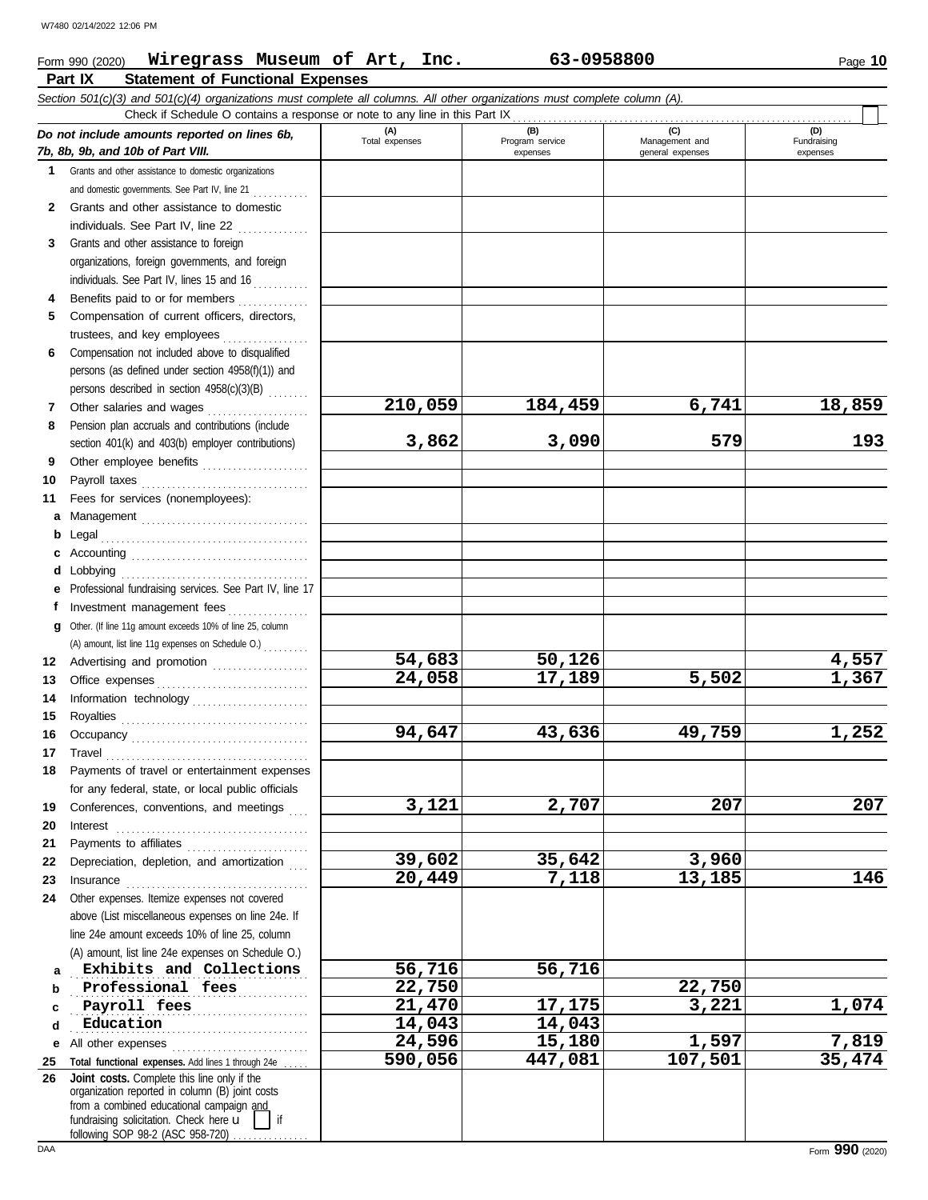#### **Part IX Statement of Functional Expenses** Form 990 (2020) Page **10 Wiregrass Museum of Art, Inc. 63-0958800** *Section 501(c)(3) and 501(c)(4) organizations must complete all columns. All other organizations must complete column (A). Do not include amounts reported on lines 6b, 7b, 8b, 9b, and 10b of Part VIII.* **1 2 3 4 5 6 7 8 9 10 11 a** Management . . . . . . . . . . . . . . . . . . . . . . . . . . . . . . . . . **b** Legal . . . . . . . . . . . . . . . . . . . . . . . . . . . . . . . . . . . . . . . . . **c** Accounting . . . . . . . . . . . . . . . . . . . . . . . . . . . . . . . . . . . **d** Lobbying . . . . . . . . . . . . . . . . . . . . . . . . . . . . . . . . . . . . . **e** Professional fundraising services. See Part IV, line 17 **f g** Other. (If line 11g amount exceeds 10% of line 25, column **12** Advertising and promotion . . . . . . . . . . . . . . . . . . **13 14 15 16 17 18 19 20 21 22 23** Grants and other assistance to domestic organizations and domestic governments. See Part IV, line 21 . . . . . . . . . . . Grants and other assistance to domestic individuals. See Part IV, line 22 . . . . . . . . . . . . . . Grants and other assistance to foreign organizations, foreign governments, and foreign individuals. See Part IV, lines 15 and 16 Benefits paid to or for members . . . . . . . . . . . . . . Compensation of current officers, directors, trustees, and key employees . . . . . . . . . . . . . . . . . Compensation not included above to disqualified persons (as defined under section 4958(f)(1)) and persons described in section 4958(c)(3)(B) . . . . . . . . Other salaries and wages . . . . . . . . . . . . . . . . . . . . Pension plan accruals and contributions (include section 401(k) and 403(b) employer contributions) Other employee benefits ..................... Payroll taxes . . . . . . . . . . . . . . . . . . . . . . . . . . . . . . . . . Fees for services (nonemployees): Investment management fees ................. Office expenses . . . . . . . . . . . . . . . . . . . . . . . . . . . . . . Information technology . . . . . . . . . . . . . . . . . . . . . . . Royalties . . . . . . . . . . . . . . . . . . . . . . . . . . . . . . . . . . . . . Occupancy . . . . . . . . . . . . . . . . . . . . . . . . . . . . . . . . . . . Travel . . . . . . . . . . . . . . . . . . . . . . . . . . . . . . . . . . . . . . . . Payments of travel or entertainment expenses for any federal, state, or local public officials Conferences, conventions, and meetings Interest . . . . . . . . . . . . . . . . . . . . . . . . . . . . . . . . . . . . . . Payments to affiliates . . . . . . . . . . . . . . . . . . . . . . . . Depreciation, depletion, and amortization Insurance . . . . . . . . . . . . . . . . . . . . . . . . . . . . . . . . . . . . **(A) (B) (C) (D)** Management and expenses and general expenses (D)<br>Fundraising expenses Check if Schedule O contains a response or note to any line in this Part IX (A) amount, list line 11g expenses on Schedule O.) . . . . . . . . . **210,059 184,459 6,741 18,859 3,862 3,090 579 193 54,683 50,126 4,557 24,058 17,189 5,502 1,367 94,647 43,636 49,759 1,252 3,121 2,707 207 207 39,602 35,642 3,960 20,449 7,118 13,185 146** W7480 02/14/2022 12:06 PM

DAA Form **990** (2020) **a** Exhibits and Collections **66,716 56,716 b c d e** All other expenses . . . . . . . . . . . . . . . . . . . . . . . . . . . 25 Total functional expenses. Add lines 1 through 24e ..... **26** (A) amount, list line 24e expenses on Schedule O.) fundraising solicitation. Check here  $\mathbf{u}$  | if organization reported in column (B) joint costs from a combined educational campaign and following SOP 98-2 (ASC 958-720) . . . . . . . . . . . . . . . . . . . . . . . . . . . . . . . . . . . . . . . . . . . . . . . **Professional fees 22,750 22,750** . . . . . . . . . . . . . . . . . . . . . . . . . . . . . . . . . . . . . . . . . . . . . . . **Payroll fees 21,470 17,175 3,221 1,074 Education 14,043 14,043 Joint costs.** Complete this line only if the **24,596 15,180 1,597 7,819**

**590,056 447,081 107,501 35,474**

**24**

Other expenses. Itemize expenses not covered above (List miscellaneous expenses on line 24e. If line 24e amount exceeds 10% of line 25, column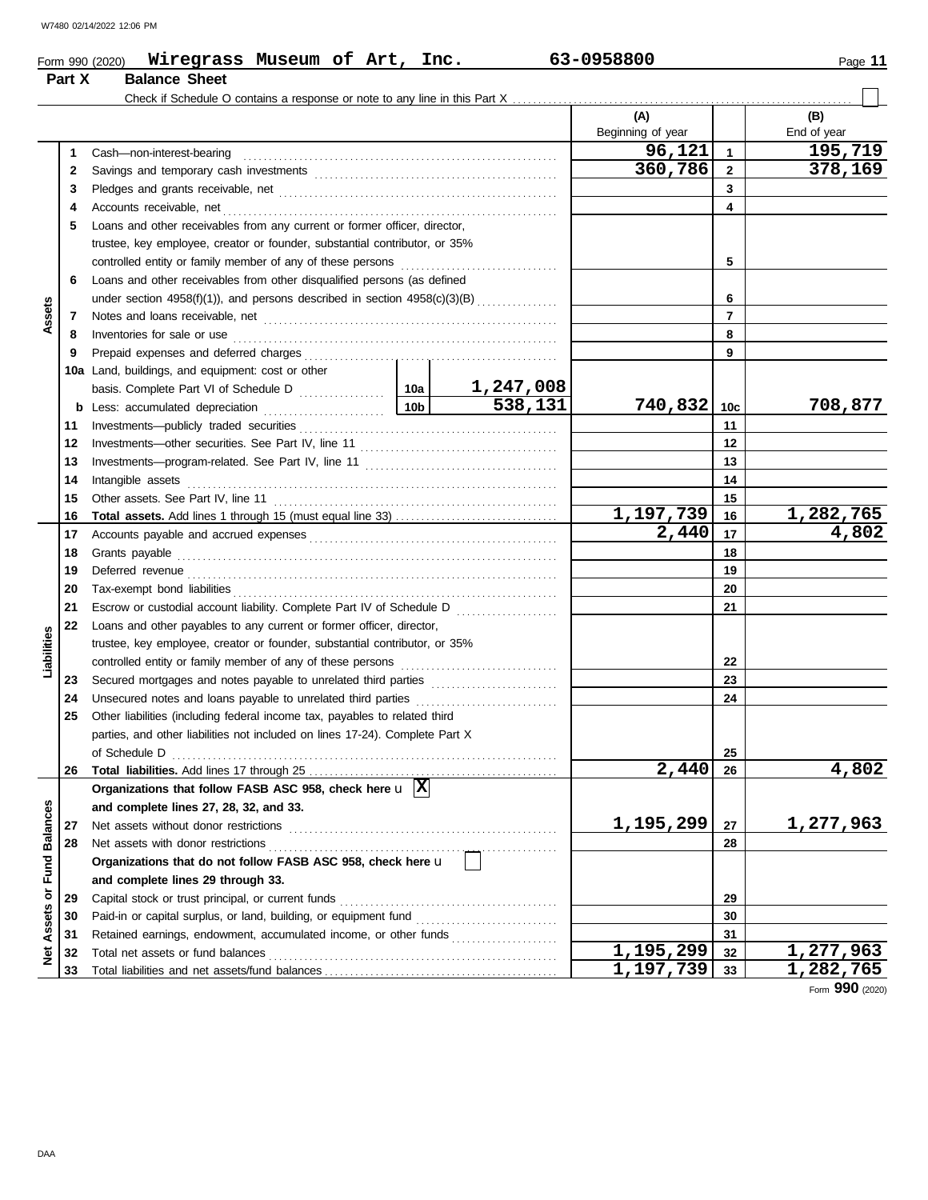| Form 990 (2020) | Wiregrass Museum of Art, Inc.                                              |  |  | 63-0958800               | Page 11            |
|-----------------|----------------------------------------------------------------------------|--|--|--------------------------|--------------------|
| <b>Part X</b>   | <b>Balance Sheet</b>                                                       |  |  |                          |                    |
|                 | Check if Schedule O contains a response or note to any line in this Part X |  |  |                          |                    |
|                 |                                                                            |  |  | (A)<br>Beginning of year | (B)<br>End of year |

|                          | 1. | Cash-non-interest-bearing                                                                                                                                                                                                      |           |    | 96,121           | $\mathbf{1}$   | 195,719          |
|--------------------------|----|--------------------------------------------------------------------------------------------------------------------------------------------------------------------------------------------------------------------------------|-----------|----|------------------|----------------|------------------|
|                          | 2  |                                                                                                                                                                                                                                |           |    | 360,786          | $\mathbf{2}$   | 378,169          |
|                          | 3  |                                                                                                                                                                                                                                |           |    |                  | 3              |                  |
|                          | 4  |                                                                                                                                                                                                                                |           |    |                  | 4              |                  |
|                          | 5  | Loans and other receivables from any current or former officer, director,                                                                                                                                                      |           |    |                  |                |                  |
|                          |    | trustee, key employee, creator or founder, substantial contributor, or 35%                                                                                                                                                     |           |    |                  |                |                  |
|                          |    |                                                                                                                                                                                                                                |           |    |                  | 5              |                  |
|                          | 6  | Loans and other receivables from other disqualified persons (as defined                                                                                                                                                        |           |    |                  |                |                  |
|                          |    | under section 4958(f)(1)), and persons described in section $4958(c)(3)(B)$                                                                                                                                                    |           |    |                  | 6              |                  |
| Assets                   | 7  |                                                                                                                                                                                                                                |           |    |                  | $\overline{7}$ |                  |
|                          | 8  |                                                                                                                                                                                                                                |           |    |                  | 8              |                  |
|                          | 9  |                                                                                                                                                                                                                                |           |    |                  | 9              |                  |
|                          |    | 10a Land, buildings, and equipment: cost or other                                                                                                                                                                              |           |    |                  |                |                  |
|                          |    |                                                                                                                                                                                                                                |           |    |                  |                |                  |
|                          |    | basis. Complete Part VI of Schedule D<br><b>b</b> Less: accumulated depreciation<br><b>b</b> Less: accumulated depreciation<br><b>10b</b><br>538,131                                                                           |           |    | 740,832          | 10c            | 708,877          |
|                          | 11 |                                                                                                                                                                                                                                |           |    |                  | 11             |                  |
|                          | 12 |                                                                                                                                                                                                                                |           |    |                  | 12             |                  |
|                          | 13 |                                                                                                                                                                                                                                |           |    | 13               |                |                  |
|                          | 14 |                                                                                                                                                                                                                                |           |    |                  | 14             |                  |
|                          | 15 | Intangible assets with a state of the contract of the state of the state of the state of the state of the state of the state of the state of the state of the state of the state of the state of the state of the state of the |           |    | 15               |                |                  |
|                          | 16 |                                                                                                                                                                                                                                | 1,197,739 | 16 | 1,282,765        |                |                  |
|                          | 17 |                                                                                                                                                                                                                                | 2,440     | 17 | 4,802            |                |                  |
|                          | 18 |                                                                                                                                                                                                                                |           | 18 |                  |                |                  |
|                          | 19 |                                                                                                                                                                                                                                |           |    |                  | 19             |                  |
|                          | 20 |                                                                                                                                                                                                                                |           |    |                  | 20             |                  |
|                          | 21 |                                                                                                                                                                                                                                |           |    |                  | 21             |                  |
|                          | 22 | Loans and other payables to any current or former officer, director,                                                                                                                                                           |           |    |                  |                |                  |
|                          |    | trustee, key employee, creator or founder, substantial contributor, or 35%                                                                                                                                                     |           |    |                  |                |                  |
| Liabilities              |    |                                                                                                                                                                                                                                |           |    |                  | 22             |                  |
|                          | 23 | Secured mortgages and notes payable to unrelated third parties                                                                                                                                                                 |           |    |                  | 23             |                  |
|                          | 24 | Unsecured notes and loans payable to unrelated third parties [[[[[[[[[[[[[[[[[[[[[[[]]]]]]]]]                                                                                                                                  |           |    |                  | 24             |                  |
|                          | 25 | Other liabilities (including federal income tax, payables to related third                                                                                                                                                     |           |    |                  |                |                  |
|                          |    | parties, and other liabilities not included on lines 17-24). Complete Part X                                                                                                                                                   |           |    |                  |                |                  |
|                          |    |                                                                                                                                                                                                                                |           |    |                  | 25             |                  |
|                          | 26 |                                                                                                                                                                                                                                |           |    | 2,440            | 26             | 4,802            |
|                          |    | Organizations that follow FASB ASC 958, check here $\mathbf{u}$  X                                                                                                                                                             |           |    |                  |                |                  |
| ces                      |    | and complete lines 27, 28, 32, and 33.                                                                                                                                                                                         |           |    |                  |                |                  |
|                          | 27 | Net assets without donor restrictions                                                                                                                                                                                          |           |    | <u>1,195,299</u> | 27             | <u>1,277,963</u> |
|                          | 28 |                                                                                                                                                                                                                                |           |    |                  | 28             |                  |
|                          |    | Organizations that do not follow FASB ASC 958, check here u                                                                                                                                                                    |           |    |                  |                |                  |
|                          |    | and complete lines 29 through 33.                                                                                                                                                                                              |           |    |                  |                |                  |
|                          | 29 |                                                                                                                                                                                                                                |           |    | 29               |                |                  |
|                          | 30 | Paid-in or capital surplus, or land, building, or equipment fund                                                                                                                                                               |           |    |                  | 30             |                  |
| Net Assets or Fund Balan | 31 | Retained earnings, endowment, accumulated income, or other funds                                                                                                                                                               |           |    |                  | 31             |                  |
|                          | 32 | Total net assets or fund balances                                                                                                                                                                                              |           |    | 1,195,299        | 32             | 1,277,963        |
|                          | 33 |                                                                                                                                                                                                                                | 1,197,739 | 33 | 1,282,765        |                |                  |
|                          |    |                                                                                                                                                                                                                                |           |    |                  |                | Form 990 (2020)  |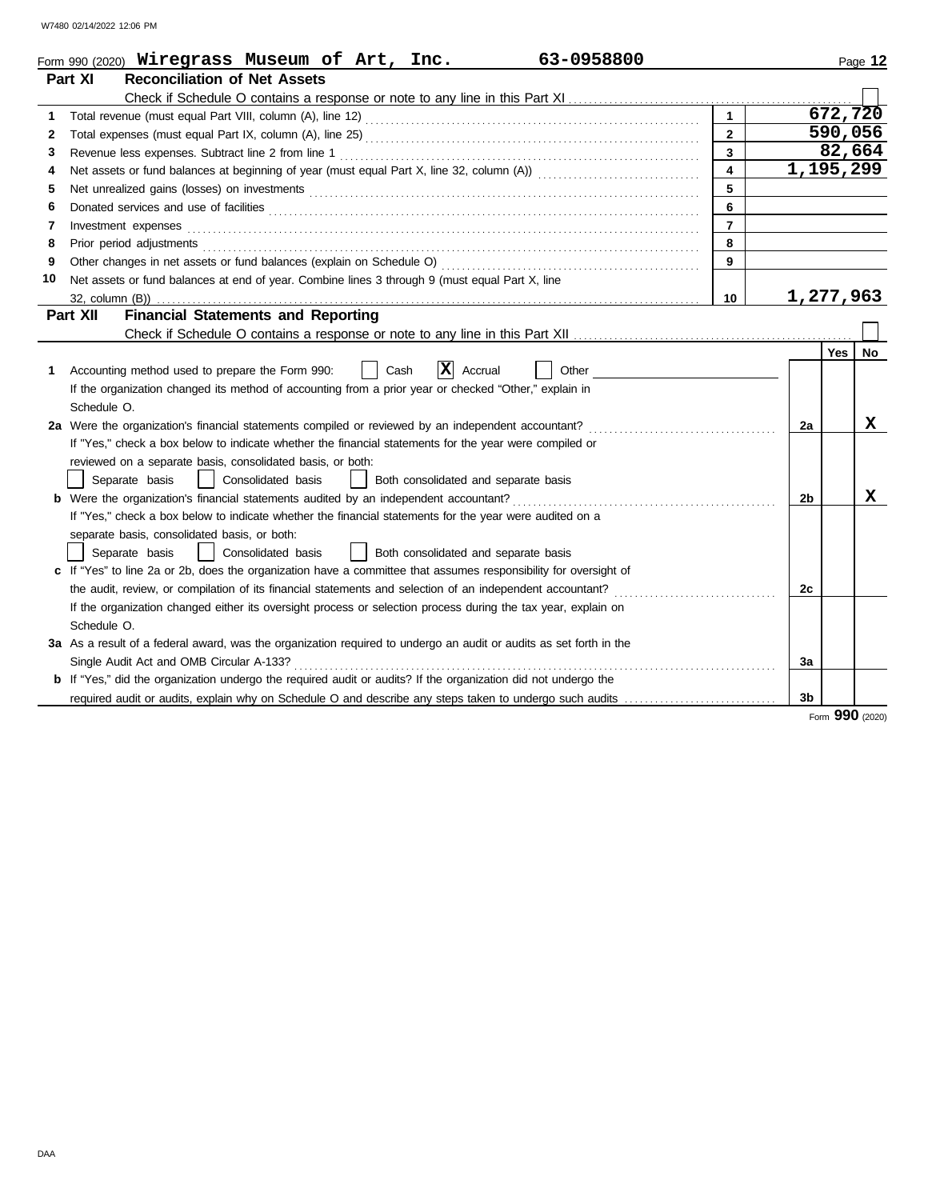|    | 63-0958800<br>Form 990 (2020) Wiregrass Museum of Art, Inc.                                                                                                                                                                    |                         |                | Page 12          |  |  |  |  |
|----|--------------------------------------------------------------------------------------------------------------------------------------------------------------------------------------------------------------------------------|-------------------------|----------------|------------------|--|--|--|--|
|    | Part XI<br><b>Reconciliation of Net Assets</b>                                                                                                                                                                                 |                         |                |                  |  |  |  |  |
|    |                                                                                                                                                                                                                                |                         |                |                  |  |  |  |  |
| 1  |                                                                                                                                                                                                                                |                         |                | 672,720          |  |  |  |  |
| 2  |                                                                                                                                                                                                                                | $\overline{2}$          |                | 590,056          |  |  |  |  |
| 3  | $\overline{\mathbf{3}}$                                                                                                                                                                                                        |                         |                |                  |  |  |  |  |
| 4  |                                                                                                                                                                                                                                | $\overline{\mathbf{4}}$ |                | 1,195,299        |  |  |  |  |
| 5  |                                                                                                                                                                                                                                | 5                       |                |                  |  |  |  |  |
| 6  | Donated services and use of facilities <b>constants and interview of the service of the services</b> and use of facilities                                                                                                     | 6                       |                |                  |  |  |  |  |
| 7  | Investment expenses                                                                                                                                                                                                            | $\overline{7}$          |                |                  |  |  |  |  |
| 8  | Prior period adjustments [11, 12] and the contract of the contract of the contract of the contract of the contract of the contract of the contract of the contract of the contract of the contract of the contract of the cont | 8                       |                |                  |  |  |  |  |
| 9  |                                                                                                                                                                                                                                | 9                       |                |                  |  |  |  |  |
| 10 | Net assets or fund balances at end of year. Combine lines 3 through 9 (must equal Part X, line                                                                                                                                 |                         |                |                  |  |  |  |  |
|    |                                                                                                                                                                                                                                | 10                      |                | 1,277,963        |  |  |  |  |
|    | <b>Financial Statements and Reporting</b><br>Part XII                                                                                                                                                                          |                         |                |                  |  |  |  |  |
|    |                                                                                                                                                                                                                                |                         |                |                  |  |  |  |  |
|    |                                                                                                                                                                                                                                |                         |                | <b>Yes</b><br>No |  |  |  |  |
| 1  | X<br>Accounting method used to prepare the Form 990:<br>Cash<br>Accrual<br>Other                                                                                                                                               |                         |                |                  |  |  |  |  |
|    | If the organization changed its method of accounting from a prior year or checked "Other," explain in                                                                                                                          |                         |                |                  |  |  |  |  |
|    | Schedule O.                                                                                                                                                                                                                    |                         |                |                  |  |  |  |  |
|    | 2a Were the organization's financial statements compiled or reviewed by an independent accountant?                                                                                                                             |                         | 2a             | X                |  |  |  |  |
|    | If "Yes," check a box below to indicate whether the financial statements for the year were compiled or                                                                                                                         |                         |                |                  |  |  |  |  |
|    | reviewed on a separate basis, consolidated basis, or both:                                                                                                                                                                     |                         |                |                  |  |  |  |  |
|    | Separate basis<br>Consolidated basis<br>Both consolidated and separate basis                                                                                                                                                   |                         |                |                  |  |  |  |  |
|    | Were the organization's financial statements audited by an independent accountant?                                                                                                                                             |                         | 2 <sub>b</sub> | x                |  |  |  |  |
|    | If "Yes," check a box below to indicate whether the financial statements for the year were audited on a                                                                                                                        |                         |                |                  |  |  |  |  |
|    | separate basis, consolidated basis, or both:                                                                                                                                                                                   |                         |                |                  |  |  |  |  |
|    | Separate basis<br>Consolidated basis<br>Both consolidated and separate basis                                                                                                                                                   |                         |                |                  |  |  |  |  |
|    | c If "Yes" to line 2a or 2b, does the organization have a committee that assumes responsibility for oversight of                                                                                                               |                         |                |                  |  |  |  |  |
|    | the audit, review, or compilation of its financial statements and selection of an independent accountant?                                                                                                                      |                         | 2c             |                  |  |  |  |  |
|    | If the organization changed either its oversight process or selection process during the tax year, explain on                                                                                                                  |                         |                |                  |  |  |  |  |
|    | Schedule O.                                                                                                                                                                                                                    |                         |                |                  |  |  |  |  |
|    | 3a As a result of a federal award, was the organization required to undergo an audit or audits as set forth in the                                                                                                             |                         |                |                  |  |  |  |  |
|    | Single Audit Act and OMB Circular A-133?                                                                                                                                                                                       |                         | 3a             |                  |  |  |  |  |
|    | <b>b</b> If "Yes," did the organization undergo the required audit or audits? If the organization did not undergo the                                                                                                          |                         |                |                  |  |  |  |  |
|    | required audit or audits, explain why on Schedule O and describe any steps taken to undergo such audits                                                                                                                        |                         | 3 <sub>b</sub> |                  |  |  |  |  |

Form **990** (2020)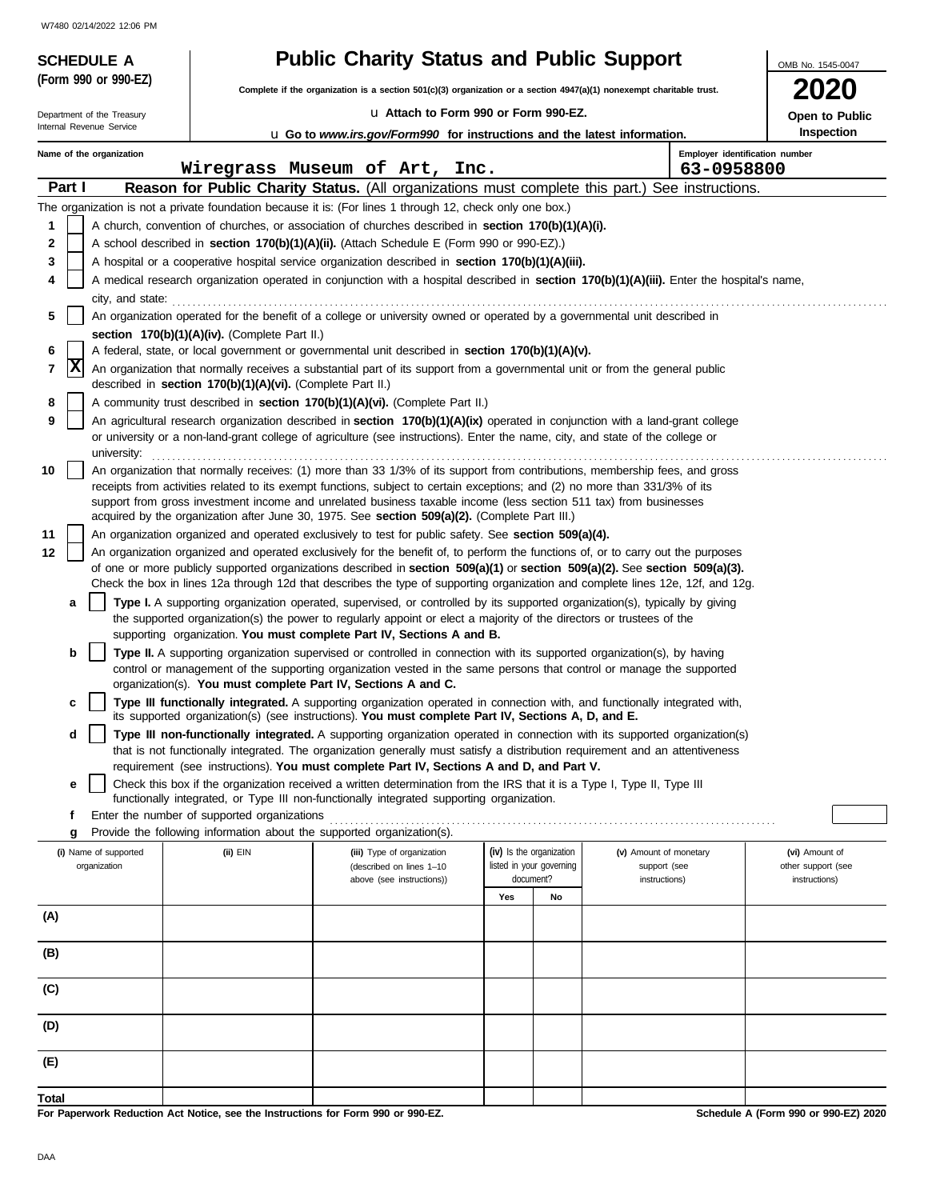| <b>SCHEDULE A</b>                                      |                                                                                                                       | <b>Public Charity Status and Public Support</b>                                                                                                                                                                                                                                                                              |           |                          |                                                                                                                                            | OMB No. 1545-0047                    |
|--------------------------------------------------------|-----------------------------------------------------------------------------------------------------------------------|------------------------------------------------------------------------------------------------------------------------------------------------------------------------------------------------------------------------------------------------------------------------------------------------------------------------------|-----------|--------------------------|--------------------------------------------------------------------------------------------------------------------------------------------|--------------------------------------|
| (Form 990 or 990-EZ)                                   |                                                                                                                       | Complete if the organization is a section 501(c)(3) organization or a section 4947(a)(1) nonexempt charitable trust.                                                                                                                                                                                                         |           |                          |                                                                                                                                            |                                      |
|                                                        |                                                                                                                       | La Attach to Form 990 or Form 990-EZ.                                                                                                                                                                                                                                                                                        |           |                          |                                                                                                                                            |                                      |
| Department of the Treasury<br>Internal Revenue Service |                                                                                                                       | <b>u</b> Go to www.irs.gov/Form990 for instructions and the latest information.                                                                                                                                                                                                                                              |           |                          |                                                                                                                                            | Open to Public<br>Inspection         |
| Name of the organization                               |                                                                                                                       |                                                                                                                                                                                                                                                                                                                              |           |                          | Employer identification number                                                                                                             |                                      |
|                                                        |                                                                                                                       | Wiregrass Museum of Art, Inc.                                                                                                                                                                                                                                                                                                |           |                          | 63-0958800                                                                                                                                 |                                      |
| Part I                                                 |                                                                                                                       |                                                                                                                                                                                                                                                                                                                              |           |                          | Reason for Public Charity Status. (All organizations must complete this part.) See instructions.                                           |                                      |
|                                                        |                                                                                                                       | The organization is not a private foundation because it is: (For lines 1 through 12, check only one box.)                                                                                                                                                                                                                    |           |                          |                                                                                                                                            |                                      |
| 1                                                      |                                                                                                                       | A church, convention of churches, or association of churches described in section 170(b)(1)(A)(i).                                                                                                                                                                                                                           |           |                          |                                                                                                                                            |                                      |
| 2                                                      |                                                                                                                       | A school described in section 170(b)(1)(A)(ii). (Attach Schedule E (Form 990 or 990-EZ).)                                                                                                                                                                                                                                    |           |                          |                                                                                                                                            |                                      |
| 3                                                      |                                                                                                                       | A hospital or a cooperative hospital service organization described in section 170(b)(1)(A)(iii).                                                                                                                                                                                                                            |           |                          |                                                                                                                                            |                                      |
| 4                                                      |                                                                                                                       |                                                                                                                                                                                                                                                                                                                              |           |                          | A medical research organization operated in conjunction with a hospital described in section 170(b)(1)(A)(iii). Enter the hospital's name, |                                      |
| city, and state:<br>5                                  |                                                                                                                       | An organization operated for the benefit of a college or university owned or operated by a governmental unit described in                                                                                                                                                                                                    |           |                          |                                                                                                                                            |                                      |
|                                                        | section 170(b)(1)(A)(iv). (Complete Part II.)                                                                         |                                                                                                                                                                                                                                                                                                                              |           |                          |                                                                                                                                            |                                      |
| 6                                                      |                                                                                                                       | A federal, state, or local government or governmental unit described in section 170(b)(1)(A)(v).                                                                                                                                                                                                                             |           |                          |                                                                                                                                            |                                      |
| x<br>7                                                 |                                                                                                                       | An organization that normally receives a substantial part of its support from a governmental unit or from the general public                                                                                                                                                                                                 |           |                          |                                                                                                                                            |                                      |
|                                                        | described in section 170(b)(1)(A)(vi). (Complete Part II.)                                                            |                                                                                                                                                                                                                                                                                                                              |           |                          |                                                                                                                                            |                                      |
| 8                                                      |                                                                                                                       | A community trust described in section 170(b)(1)(A)(vi). (Complete Part II.)                                                                                                                                                                                                                                                 |           |                          |                                                                                                                                            |                                      |
| 9<br>university:                                       |                                                                                                                       | An agricultural research organization described in section 170(b)(1)(A)(ix) operated in conjunction with a land-grant college<br>or university or a non-land-grant college of agriculture (see instructions). Enter the name, city, and state of the college or                                                              |           |                          |                                                                                                                                            |                                      |
| 10                                                     |                                                                                                                       | An organization that normally receives: (1) more than 33 1/3% of its support from contributions, membership fees, and gross                                                                                                                                                                                                  |           |                          |                                                                                                                                            |                                      |
|                                                        |                                                                                                                       | receipts from activities related to its exempt functions, subject to certain exceptions; and (2) no more than 331/3% of its                                                                                                                                                                                                  |           |                          |                                                                                                                                            |                                      |
|                                                        |                                                                                                                       | support from gross investment income and unrelated business taxable income (less section 511 tax) from businesses<br>acquired by the organization after June 30, 1975. See section 509(a)(2). (Complete Part III.)                                                                                                           |           |                          |                                                                                                                                            |                                      |
| 11                                                     |                                                                                                                       | An organization organized and operated exclusively to test for public safety. See section 509(a)(4).                                                                                                                                                                                                                         |           |                          |                                                                                                                                            |                                      |
| 12                                                     |                                                                                                                       | An organization organized and operated exclusively for the benefit of, to perform the functions of, or to carry out the purposes                                                                                                                                                                                             |           |                          |                                                                                                                                            |                                      |
|                                                        |                                                                                                                       | of one or more publicly supported organizations described in section $509(a)(1)$ or section $509(a)(2)$ . See section $509(a)(3)$ .                                                                                                                                                                                          |           |                          |                                                                                                                                            |                                      |
|                                                        |                                                                                                                       |                                                                                                                                                                                                                                                                                                                              |           |                          | Check the box in lines 12a through 12d that describes the type of supporting organization and complete lines 12e, 12f, and 12g.            |                                      |
| а                                                      |                                                                                                                       | Type I. A supporting organization operated, supervised, or controlled by its supported organization(s), typically by giving<br>the supported organization(s) the power to regularly appoint or elect a majority of the directors or trustees of the<br>supporting organization. You must complete Part IV, Sections A and B. |           |                          |                                                                                                                                            |                                      |
| b                                                      |                                                                                                                       | Type II. A supporting organization supervised or controlled in connection with its supported organization(s), by having                                                                                                                                                                                                      |           |                          |                                                                                                                                            |                                      |
|                                                        |                                                                                                                       | control or management of the supporting organization vested in the same persons that control or manage the supported                                                                                                                                                                                                         |           |                          |                                                                                                                                            |                                      |
|                                                        | organization(s). You must complete Part IV, Sections A and C.                                                         |                                                                                                                                                                                                                                                                                                                              |           |                          |                                                                                                                                            |                                      |
| c                                                      |                                                                                                                       | Type III functionally integrated. A supporting organization operated in connection with, and functionally integrated with,<br>its supported organization(s) (see instructions). You must complete Part IV, Sections A, D, and E.                                                                                             |           |                          |                                                                                                                                            |                                      |
| d                                                      |                                                                                                                       | Type III non-functionally integrated. A supporting organization operated in connection with its supported organization(s)<br>that is not functionally integrated. The organization generally must satisfy a distribution requirement and an attentiveness                                                                    |           |                          |                                                                                                                                            |                                      |
|                                                        |                                                                                                                       | requirement (see instructions). You must complete Part IV, Sections A and D, and Part V.                                                                                                                                                                                                                                     |           |                          |                                                                                                                                            |                                      |
| е                                                      |                                                                                                                       | Check this box if the organization received a written determination from the IRS that it is a Type I, Type II, Type III<br>functionally integrated, or Type III non-functionally integrated supporting organization.                                                                                                         |           |                          |                                                                                                                                            |                                      |
| f<br>g                                                 | Enter the number of supported organizations<br>Provide the following information about the supported organization(s). |                                                                                                                                                                                                                                                                                                                              |           |                          |                                                                                                                                            |                                      |
| (i) Name of supported                                  | $(ii)$ EIN                                                                                                            | (iii) Type of organization                                                                                                                                                                                                                                                                                                   |           | (iv) Is the organization | (v) Amount of monetary                                                                                                                     | (vi) Amount of                       |
| organization                                           |                                                                                                                       | (described on lines 1-10                                                                                                                                                                                                                                                                                                     |           | listed in your governing | support (see                                                                                                                               | other support (see                   |
|                                                        |                                                                                                                       | above (see instructions))                                                                                                                                                                                                                                                                                                    | document? |                          | instructions)                                                                                                                              | instructions)                        |
| (A)                                                    |                                                                                                                       |                                                                                                                                                                                                                                                                                                                              | Yes       | No                       |                                                                                                                                            |                                      |
|                                                        |                                                                                                                       |                                                                                                                                                                                                                                                                                                                              |           |                          |                                                                                                                                            |                                      |
| (B)                                                    |                                                                                                                       |                                                                                                                                                                                                                                                                                                                              |           |                          |                                                                                                                                            |                                      |
| (C)                                                    |                                                                                                                       |                                                                                                                                                                                                                                                                                                                              |           |                          |                                                                                                                                            |                                      |
| (D)                                                    |                                                                                                                       |                                                                                                                                                                                                                                                                                                                              |           |                          |                                                                                                                                            |                                      |
| (E)                                                    |                                                                                                                       |                                                                                                                                                                                                                                                                                                                              |           |                          |                                                                                                                                            |                                      |
| Total                                                  |                                                                                                                       |                                                                                                                                                                                                                                                                                                                              |           |                          |                                                                                                                                            |                                      |
|                                                        | For Paperwork Reduction Act Notice, see the Instructions for Form 990 or 990-EZ.                                      |                                                                                                                                                                                                                                                                                                                              |           |                          |                                                                                                                                            | Schedule A (Form 990 or 990-EZ) 2020 |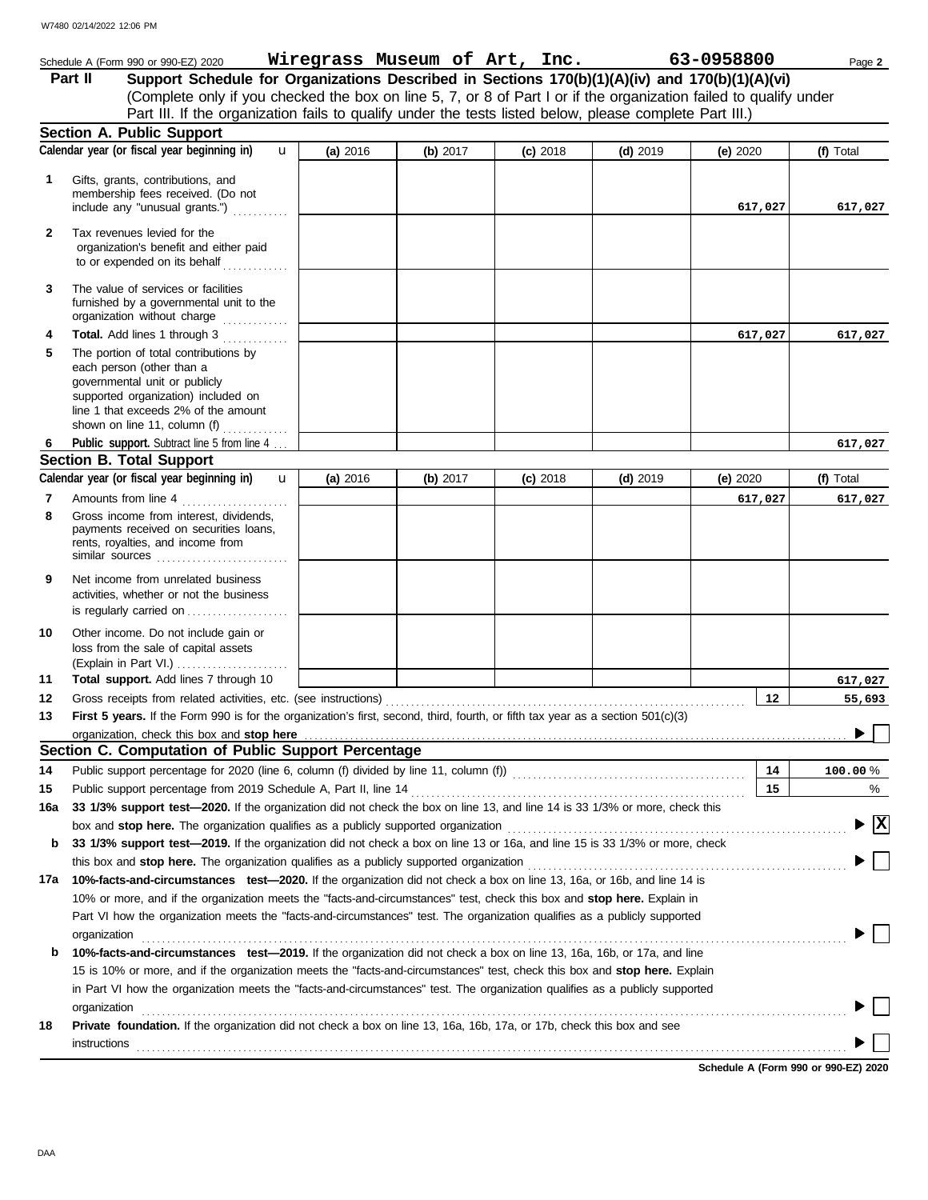|              | Schedule A (Form 990 or 990-EZ) 2020                                                                                                                                                                                                |            |          | Wiregrass Museum of Art, Inc. 63-0958800                                                                         |            |                   | Page 2                                        |
|--------------|-------------------------------------------------------------------------------------------------------------------------------------------------------------------------------------------------------------------------------------|------------|----------|------------------------------------------------------------------------------------------------------------------|------------|-------------------|-----------------------------------------------|
|              | Support Schedule for Organizations Described in Sections 170(b)(1)(A)(iv) and 170(b)(1)(A)(vi)<br>Part II                                                                                                                           |            |          |                                                                                                                  |            |                   |                                               |
|              | (Complete only if you checked the box on line 5, 7, or 8 of Part I or if the organization failed to qualify under                                                                                                                   |            |          |                                                                                                                  |            |                   |                                               |
|              | Part III. If the organization fails to qualify under the tests listed below, please complete Part III.)                                                                                                                             |            |          |                                                                                                                  |            |                   |                                               |
|              | Section A. Public Support                                                                                                                                                                                                           |            |          |                                                                                                                  |            |                   |                                               |
|              | Calendar year (or fiscal year beginning in)<br>$\mathbf{u}$                                                                                                                                                                         | (a) 2016   | (b) 2017 | $(c)$ 2018                                                                                                       | $(d)$ 2019 | (e) $2020$        | (f) Total                                     |
|              |                                                                                                                                                                                                                                     |            |          |                                                                                                                  |            |                   |                                               |
| 1            | Gifts, grants, contributions, and                                                                                                                                                                                                   |            |          |                                                                                                                  |            |                   |                                               |
|              | membership fees received. (Do not                                                                                                                                                                                                   |            |          |                                                                                                                  |            |                   |                                               |
|              | include any "unusual grants.")                                                                                                                                                                                                      |            |          |                                                                                                                  |            | 617,027           | 617,027                                       |
| $\mathbf{2}$ | Tax revenues levied for the                                                                                                                                                                                                         |            |          |                                                                                                                  |            |                   |                                               |
|              | organization's benefit and either paid                                                                                                                                                                                              |            |          |                                                                                                                  |            |                   |                                               |
|              | to or expended on its behalf<br><u> 1999 - Johann Barne</u>                                                                                                                                                                         |            |          |                                                                                                                  |            |                   |                                               |
| 3            | The value of services or facilities                                                                                                                                                                                                 |            |          |                                                                                                                  |            |                   |                                               |
|              | furnished by a governmental unit to the                                                                                                                                                                                             |            |          |                                                                                                                  |            |                   |                                               |
|              | organization without charge                                                                                                                                                                                                         |            |          |                                                                                                                  |            |                   |                                               |
| 4            | <b>Total.</b> Add lines 1 through 3<br><u> 1999 - Januar A</u>                                                                                                                                                                      |            |          |                                                                                                                  |            | 617,027           | 617,027                                       |
| 5            | The portion of total contributions by                                                                                                                                                                                               |            |          |                                                                                                                  |            |                   |                                               |
|              | each person (other than a                                                                                                                                                                                                           |            |          |                                                                                                                  |            |                   |                                               |
|              | governmental unit or publicly                                                                                                                                                                                                       |            |          |                                                                                                                  |            |                   |                                               |
|              | supported organization) included on<br>line 1 that exceeds 2% of the amount                                                                                                                                                         |            |          |                                                                                                                  |            |                   |                                               |
|              | shown on line 11, column (f)                                                                                                                                                                                                        |            |          |                                                                                                                  |            |                   |                                               |
| 6            | .<br>Public support. Subtract line 5 from line 4                                                                                                                                                                                    |            |          |                                                                                                                  |            |                   | 617,027                                       |
|              | <b>Section B. Total Support</b>                                                                                                                                                                                                     |            |          |                                                                                                                  |            |                   |                                               |
|              | Calendar year (or fiscal year beginning in)<br>$\mathbf{u}$                                                                                                                                                                         | (a) $2016$ | (b) 2017 | $(c)$ 2018                                                                                                       | $(d)$ 2019 | (e) $2020$        | (f) Total                                     |
| $\mathbf{7}$ | Amounts from line 4                                                                                                                                                                                                                 |            |          |                                                                                                                  |            | 617,027           | 617,027                                       |
| 8            | Gross income from interest, dividends,                                                                                                                                                                                              |            |          |                                                                                                                  |            |                   |                                               |
|              | payments received on securities loans,                                                                                                                                                                                              |            |          |                                                                                                                  |            |                   |                                               |
|              | rents, royalties, and income from                                                                                                                                                                                                   |            |          |                                                                                                                  |            |                   |                                               |
|              | similar sources                                                                                                                                                                                                                     |            |          |                                                                                                                  |            |                   |                                               |
| 9            | Net income from unrelated business                                                                                                                                                                                                  |            |          |                                                                                                                  |            |                   |                                               |
|              | activities, whether or not the business                                                                                                                                                                                             |            |          |                                                                                                                  |            |                   |                                               |
|              | is regularly carried on                                                                                                                                                                                                             |            |          |                                                                                                                  |            |                   |                                               |
| 10           | Other income. Do not include gain or                                                                                                                                                                                                |            |          |                                                                                                                  |            |                   |                                               |
|              | loss from the sale of capital assets                                                                                                                                                                                                |            |          |                                                                                                                  |            |                   |                                               |
|              | (Explain in Part VI.)                                                                                                                                                                                                               |            |          |                                                                                                                  |            |                   |                                               |
| 11           | Total support. Add lines 7 through 10                                                                                                                                                                                               |            |          |                                                                                                                  |            |                   | 617,027                                       |
| 12           |                                                                                                                                                                                                                                     |            |          |                                                                                                                  |            | $12 \overline{ }$ | 55,693                                        |
| 13           | First 5 years. If the Form 990 is for the organization's first, second, third, fourth, or fifth tax year as a section 501(c)(3)                                                                                                     |            |          |                                                                                                                  |            |                   |                                               |
|              | organization, check this box and stop here <b>construction and construction</b> construction of the box and stop here construction and construction of the construction of the construction of the construction of the construction |            |          |                                                                                                                  |            |                   |                                               |
|              | Section C. Computation of Public Support Percentage                                                                                                                                                                                 |            |          | and the control of the control of the control of the control of the control of the control of the control of the |            |                   |                                               |
| 14           |                                                                                                                                                                                                                                     |            |          |                                                                                                                  |            | 14                | 100.00%                                       |
| 15           |                                                                                                                                                                                                                                     |            |          |                                                                                                                  |            | 15                | %                                             |
| 16a          | 33 1/3% support test-2020. If the organization did not check the box on line 13, and line 14 is 33 1/3% or more, check this                                                                                                         |            |          |                                                                                                                  |            |                   |                                               |
|              |                                                                                                                                                                                                                                     |            |          |                                                                                                                  |            |                   | $\blacktriangleright$ $\overline{\mathrm{x}}$ |
| b            | 33 1/3% support test-2019. If the organization did not check a box on line 13 or 16a, and line 15 is 33 1/3% or more, check                                                                                                         |            |          |                                                                                                                  |            |                   |                                               |
|              | this box and <b>stop here.</b> The organization qualifies as a publicly supported organization                                                                                                                                      |            |          |                                                                                                                  |            |                   |                                               |
| 17a          | 10%-facts-and-circumstances test-2020. If the organization did not check a box on line 13, 16a, or 16b, and line 14 is                                                                                                              |            |          |                                                                                                                  |            |                   |                                               |
|              | 10% or more, and if the organization meets the "facts-and-circumstances" test, check this box and stop here. Explain in                                                                                                             |            |          |                                                                                                                  |            |                   |                                               |
|              | Part VI how the organization meets the "facts-and-circumstances" test. The organization qualifies as a publicly supported                                                                                                           |            |          |                                                                                                                  |            |                   |                                               |
|              | organization                                                                                                                                                                                                                        |            |          |                                                                                                                  |            |                   |                                               |
| b            | 10%-facts-and-circumstances test-2019. If the organization did not check a box on line 13, 16a, 16b, or 17a, and line                                                                                                               |            |          |                                                                                                                  |            |                   |                                               |
|              | 15 is 10% or more, and if the organization meets the "facts-and-circumstances" test, check this box and stop here. Explain                                                                                                          |            |          |                                                                                                                  |            |                   |                                               |
|              | in Part VI how the organization meets the "facts-and-circumstances" test. The organization qualifies as a publicly supported                                                                                                        |            |          |                                                                                                                  |            |                   |                                               |
|              | organization<br>Private foundation. If the organization did not check a box on line 13, 16a, 16b, 17a, or 17b, check this box and see                                                                                               |            |          |                                                                                                                  |            |                   |                                               |
| 18           |                                                                                                                                                                                                                                     |            |          |                                                                                                                  |            |                   |                                               |
|              | instructions                                                                                                                                                                                                                        |            |          |                                                                                                                  |            |                   |                                               |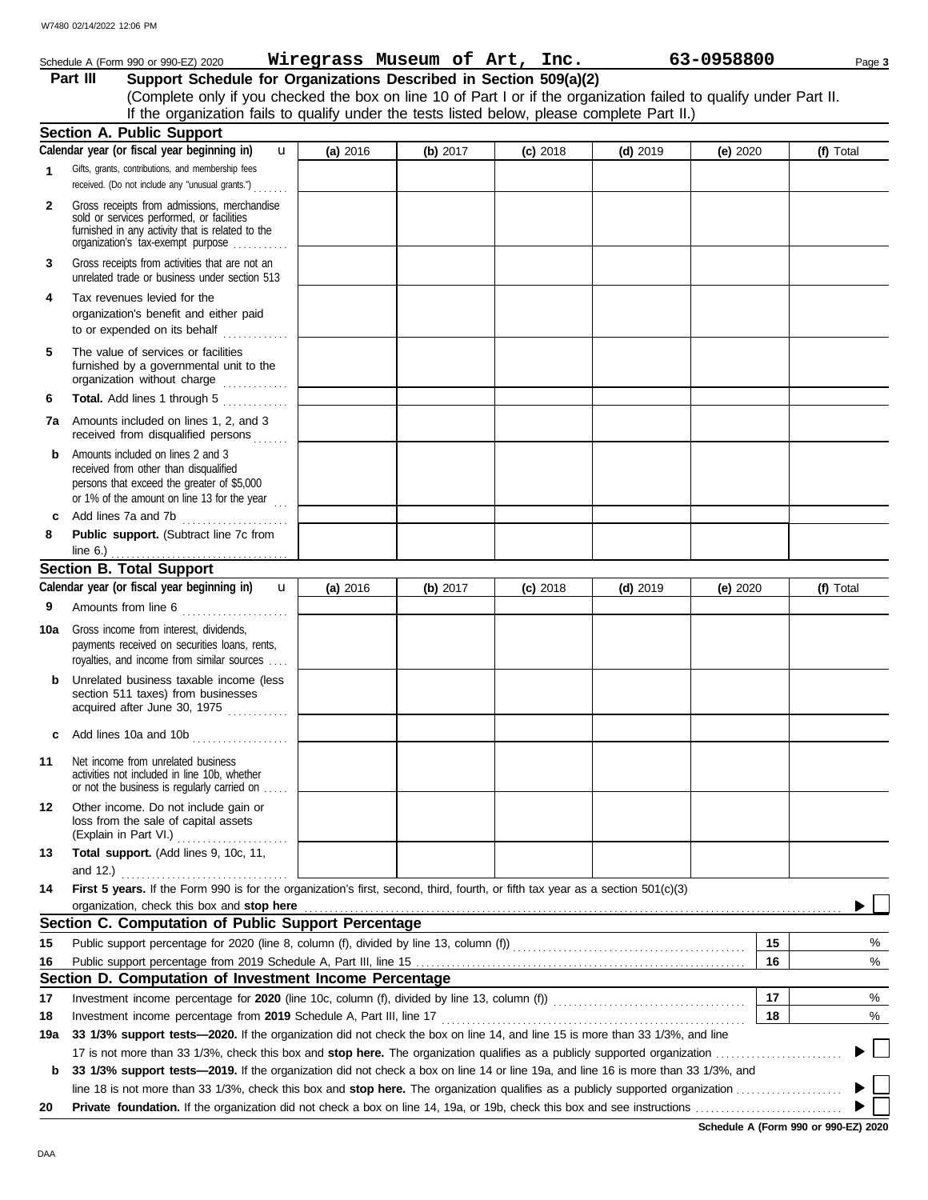|              | Schedule A (Form 990 or 990-EZ) 2020                                                                                                                                                                                                 | Wiregrass Museum of Art, Inc. |          |            |            | 63-0958800 |    | Page 3    |
|--------------|--------------------------------------------------------------------------------------------------------------------------------------------------------------------------------------------------------------------------------------|-------------------------------|----------|------------|------------|------------|----|-----------|
|              | Support Schedule for Organizations Described in Section 509(a)(2)<br>Part III                                                                                                                                                        |                               |          |            |            |            |    |           |
|              | (Complete only if you checked the box on line 10 of Part I or if the organization failed to qualify under Part II.                                                                                                                   |                               |          |            |            |            |    |           |
|              | If the organization fails to qualify under the tests listed below, please complete Part II.)                                                                                                                                         |                               |          |            |            |            |    |           |
|              | <b>Section A. Public Support</b>                                                                                                                                                                                                     |                               |          |            |            |            |    |           |
|              | Calendar year (or fiscal year beginning in)<br>$\mathbf{u}$                                                                                                                                                                          | (a) 2016                      | (b) 2017 | $(c)$ 2018 | $(d)$ 2019 | (e) $2020$ |    | (f) Total |
| 1.           | Gifts, grants, contributions, and membership fees<br>received. (Do not include any "unusual grants.")                                                                                                                                |                               |          |            |            |            |    |           |
| $\mathbf{2}$ | Gross receipts from admissions, merchandise<br>sold or services performed, or facilities<br>furnished in any activity that is related to the<br>organization's tax-exempt purpose                                                    |                               |          |            |            |            |    |           |
| 3            | Gross receipts from activities that are not an<br>unrelated trade or business under section 513                                                                                                                                      |                               |          |            |            |            |    |           |
| 4            | Tax revenues levied for the<br>organization's benefit and either paid<br>to or expended on its behalf                                                                                                                                |                               |          |            |            |            |    |           |
| 5            | The value of services or facilities<br>furnished by a governmental unit to the<br>organization without charge                                                                                                                        |                               |          |            |            |            |    |           |
| 6            | Total. Add lines 1 through 5                                                                                                                                                                                                         |                               |          |            |            |            |    |           |
|              | 7a Amounts included on lines 1, 2, and 3<br>received from disqualified persons                                                                                                                                                       |                               |          |            |            |            |    |           |
| b            | Amounts included on lines 2 and 3<br>received from other than disqualified<br>persons that exceed the greater of \$5,000<br>or 1% of the amount on line 13 for the year $\ldots$                                                     |                               |          |            |            |            |    |           |
| c            | Add lines 7a and 7b                                                                                                                                                                                                                  |                               |          |            |            |            |    |           |
| 8            | Public support. (Subtract line 7c from<br>line 6.) $\ldots$ $\ldots$ $\ldots$ $\ldots$ $\ldots$ $\ldots$ $\ldots$                                                                                                                    |                               |          |            |            |            |    |           |
|              | <b>Section B. Total Support</b>                                                                                                                                                                                                      |                               |          |            |            |            |    |           |
|              | Calendar year (or fiscal year beginning in)<br>$\mathbf{u}$                                                                                                                                                                          | (a) 2016                      | (b) 2017 | $(c)$ 2018 | $(d)$ 2019 | (e) $2020$ |    | (f) Total |
| 9            | Amounts from line 6                                                                                                                                                                                                                  |                               |          |            |            |            |    |           |
|              | <b>10a</b> Gross income from interest, dividends,<br>payments received on securities loans, rents,<br>royalties, and income from similar sources                                                                                     |                               |          |            |            |            |    |           |
| b            | Unrelated business taxable income (less<br>section 511 taxes) from businesses<br>acquired after June 30, 1975                                                                                                                        |                               |          |            |            |            |    |           |
| c            | Add lines 10a and 10b                                                                                                                                                                                                                |                               |          |            |            |            |    |           |
| 11           | Net income from unrelated business<br>activities not included in line 10b, whether<br>or not the business is regularly carried on                                                                                                    |                               |          |            |            |            |    |           |
| 12           | Other income. Do not include gain or<br>loss from the sale of capital assets                                                                                                                                                         |                               |          |            |            |            |    |           |
| 13           | Total support. (Add lines 9, 10c, 11,                                                                                                                                                                                                |                               |          |            |            |            |    |           |
| 14           | First 5 years. If the Form 990 is for the organization's first, second, third, fourth, or fifth tax year as a section 501(c)(3)                                                                                                      |                               |          |            |            |            |    |           |
|              | organization, check this box and stop here <i>manual content of the content of the content of the content of the content of the content of the content of the content of the content of the content of the content of the conten</i> |                               |          |            |            |            |    |           |
|              | Section C. Computation of Public Support Percentage                                                                                                                                                                                  |                               |          |            |            |            |    |           |
| 15           |                                                                                                                                                                                                                                      |                               |          |            |            |            | 15 | %         |
| 16           |                                                                                                                                                                                                                                      |                               |          |            |            |            | 16 | %         |
|              | Section D. Computation of Investment Income Percentage                                                                                                                                                                               |                               |          |            |            |            |    |           |
| 17           |                                                                                                                                                                                                                                      |                               |          |            |            |            | 17 | %         |
| 18           | Investment income percentage from 2019 Schedule A, Part III, line 17                                                                                                                                                                 |                               |          |            |            |            | 18 | %         |
| 19a          | 33 1/3% support tests-2020. If the organization did not check the box on line 14, and line 15 is more than 33 1/3%, and line                                                                                                         |                               |          |            |            |            |    |           |
|              |                                                                                                                                                                                                                                      |                               |          |            |            |            |    |           |
| b            | 33 1/3% support tests—2019. If the organization did not check a box on line 14 or line 19a, and line 16 is more than 33 1/3%, and                                                                                                    |                               |          |            |            |            |    |           |
|              |                                                                                                                                                                                                                                      |                               |          |            |            |            |    |           |
| 20           |                                                                                                                                                                                                                                      |                               |          |            |            |            |    |           |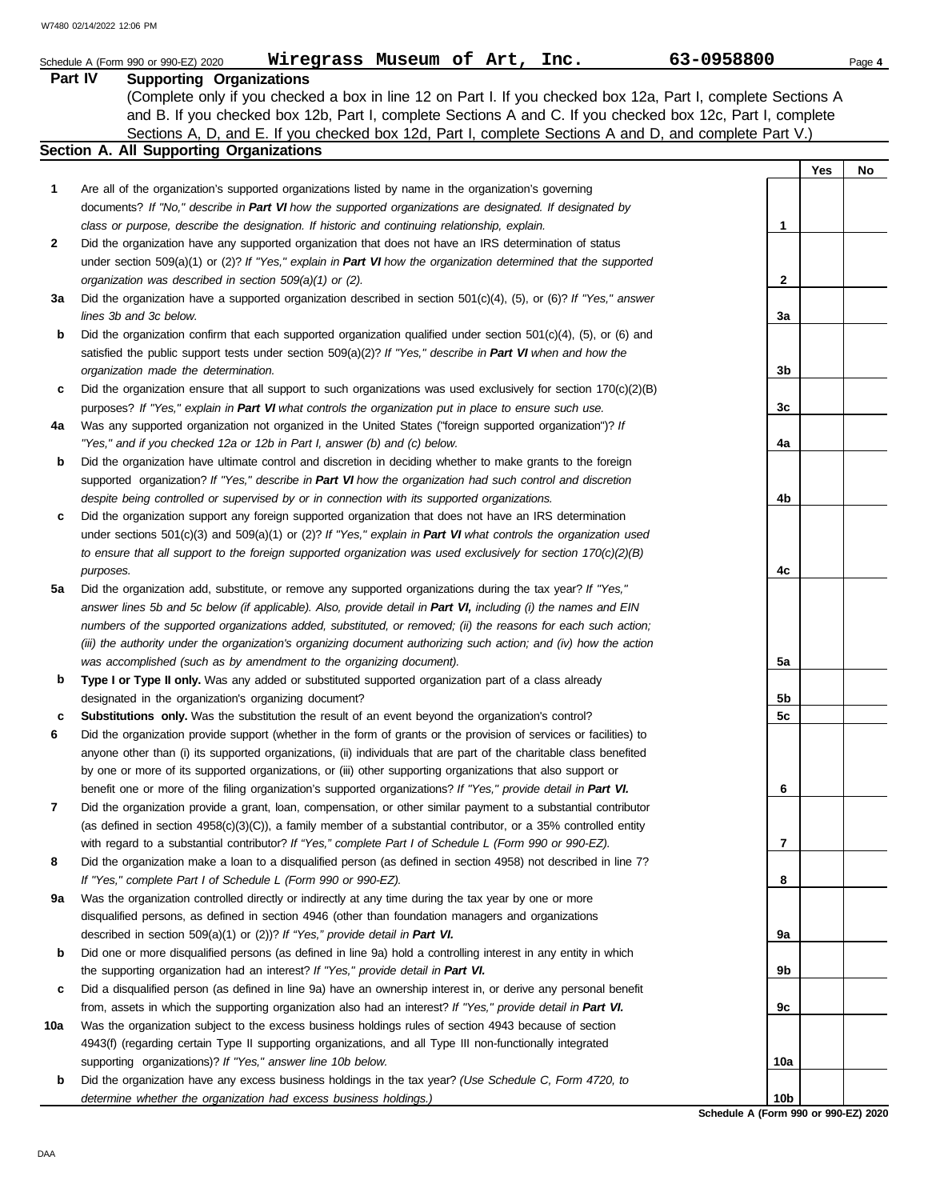|     | 63-0958800<br>Wiregrass Museum of Art, Inc.<br>Schedule A (Form 990 or 990-EZ) 2020                                                                                         |     |     | Page 4 |
|-----|-----------------------------------------------------------------------------------------------------------------------------------------------------------------------------|-----|-----|--------|
|     | <b>Supporting Organizations</b><br>Part IV                                                                                                                                  |     |     |        |
|     | (Complete only if you checked a box in line 12 on Part I. If you checked box 12a, Part I, complete Sections A                                                               |     |     |        |
|     | and B. If you checked box 12b, Part I, complete Sections A and C. If you checked box 12c, Part I, complete                                                                  |     |     |        |
|     | Sections A, D, and E. If you checked box 12d, Part I, complete Sections A and D, and complete Part V.)                                                                      |     |     |        |
|     | Section A. All Supporting Organizations                                                                                                                                     |     |     |        |
|     |                                                                                                                                                                             |     | Yes | No     |
| 1   | Are all of the organization's supported organizations listed by name in the organization's governing                                                                        |     |     |        |
|     | documents? If "No," describe in Part VI how the supported organizations are designated. If designated by                                                                    |     |     |        |
|     | class or purpose, describe the designation. If historic and continuing relationship, explain.                                                                               | 1   |     |        |
| 2   | Did the organization have any supported organization that does not have an IRS determination of status                                                                      |     |     |        |
|     | under section $509(a)(1)$ or (2)? If "Yes," explain in Part VI how the organization determined that the supported                                                           |     |     |        |
|     |                                                                                                                                                                             | 2   |     |        |
|     | organization was described in section 509(a)(1) or (2).                                                                                                                     |     |     |        |
| За  | Did the organization have a supported organization described in section $501(c)(4)$ , (5), or (6)? If "Yes," answer                                                         |     |     |        |
|     | lines 3b and 3c below.                                                                                                                                                      | За  |     |        |
| b   | Did the organization confirm that each supported organization qualified under section $501(c)(4)$ , (5), or (6) and                                                         |     |     |        |
|     | satisfied the public support tests under section $509(a)(2)$ ? If "Yes," describe in Part VI when and how the                                                               |     |     |        |
|     | organization made the determination.                                                                                                                                        | 3b  |     |        |
| c   | Did the organization ensure that all support to such organizations was used exclusively for section 170(c)(2)(B)                                                            |     |     |        |
|     | purposes? If "Yes," explain in Part VI what controls the organization put in place to ensure such use.                                                                      | 3c  |     |        |
| 4a  | Was any supported organization not organized in the United States ("foreign supported organization")? If                                                                    |     |     |        |
|     | "Yes," and if you checked 12a or 12b in Part I, answer (b) and (c) below.                                                                                                   | 4a  |     |        |
| b   | Did the organization have ultimate control and discretion in deciding whether to make grants to the foreign                                                                 |     |     |        |
|     | supported organization? If "Yes," describe in Part VI how the organization had such control and discretion                                                                  |     |     |        |
|     | despite being controlled or supervised by or in connection with its supported organizations.                                                                                | 4b  |     |        |
| c   | Did the organization support any foreign supported organization that does not have an IRS determination                                                                     |     |     |        |
|     | under sections $501(c)(3)$ and $509(a)(1)$ or (2)? If "Yes," explain in Part VI what controls the organization used                                                         |     |     |        |
|     | to ensure that all support to the foreign supported organization was used exclusively for section $170(c)(2)(B)$                                                            |     |     |        |
|     | purposes.                                                                                                                                                                   | 4c  |     |        |
| 5a  | Did the organization add, substitute, or remove any supported organizations during the tax year? If "Yes,"                                                                  |     |     |        |
|     | answer lines 5b and 5c below (if applicable). Also, provide detail in Part VI, including (i) the names and EIN                                                              |     |     |        |
|     | numbers of the supported organizations added, substituted, or removed; (ii) the reasons for each such action;                                                               |     |     |        |
|     | (iii) the authority under the organization's organizing document authorizing such action; and (iv) how the action                                                           |     |     |        |
|     | was accomplished (such as by amendment to the organizing document).                                                                                                         | 5a  |     |        |
| b   | Type I or Type II only. Was any added or substituted supported organization part of a class already                                                                         |     |     |        |
|     | designated in the organization's organizing document?                                                                                                                       | 5b  |     |        |
|     | Substitutions only. Was the substitution the result of an event beyond the organization's control?                                                                          | 5c  |     |        |
| 6   | Did the organization provide support (whether in the form of grants or the provision of services or facilities) to                                                          |     |     |        |
|     | anyone other than (i) its supported organizations, (ii) individuals that are part of the charitable class benefited                                                         |     |     |        |
|     | by one or more of its supported organizations, or (iii) other supporting organizations that also support or                                                                 |     |     |        |
|     | benefit one or more of the filing organization's supported organizations? If "Yes," provide detail in Part VI.                                                              | 6   |     |        |
| 7   | Did the organization provide a grant, loan, compensation, or other similar payment to a substantial contributor                                                             |     |     |        |
|     | (as defined in section 4958(c)(3)(C)), a family member of a substantial contributor, or a 35% controlled entity                                                             |     |     |        |
|     | with regard to a substantial contributor? If "Yes," complete Part I of Schedule L (Form 990 or 990-EZ).                                                                     | 7   |     |        |
| 8   | Did the organization make a loan to a disqualified person (as defined in section 4958) not described in line 7?                                                             |     |     |        |
|     | If "Yes," complete Part I of Schedule L (Form 990 or 990-EZ).                                                                                                               | 8   |     |        |
| 9а  | Was the organization controlled directly or indirectly at any time during the tax year by one or more                                                                       |     |     |        |
|     | disqualified persons, as defined in section 4946 (other than foundation managers and organizations                                                                          |     |     |        |
|     | described in section 509(a)(1) or (2))? If "Yes," provide detail in Part VI.                                                                                                | 9a  |     |        |
| b   | Did one or more disqualified persons (as defined in line 9a) hold a controlling interest in any entity in which                                                             |     |     |        |
|     | the supporting organization had an interest? If "Yes," provide detail in Part VI.                                                                                           | 9b  |     |        |
| c   | Did a disqualified person (as defined in line 9a) have an ownership interest in, or derive any personal benefit                                                             |     |     |        |
|     | from, assets in which the supporting organization also had an interest? If "Yes," provide detail in Part VI.                                                                | 9c  |     |        |
| 10a | Was the organization subject to the excess business holdings rules of section 4943 because of section                                                                       |     |     |        |
|     | 4943(f) (regarding certain Type II supporting organizations, and all Type III non-functionally integrated                                                                   |     |     |        |
|     | supporting organizations)? If "Yes," answer line 10b below.                                                                                                                 |     |     |        |
|     |                                                                                                                                                                             | 10a |     |        |
| b   | Did the organization have any excess business holdings in the tax year? (Use Schedule C, Form 4720, to<br>determine whether the organization had excess business holdings.) | 10b |     |        |
|     |                                                                                                                                                                             |     |     |        |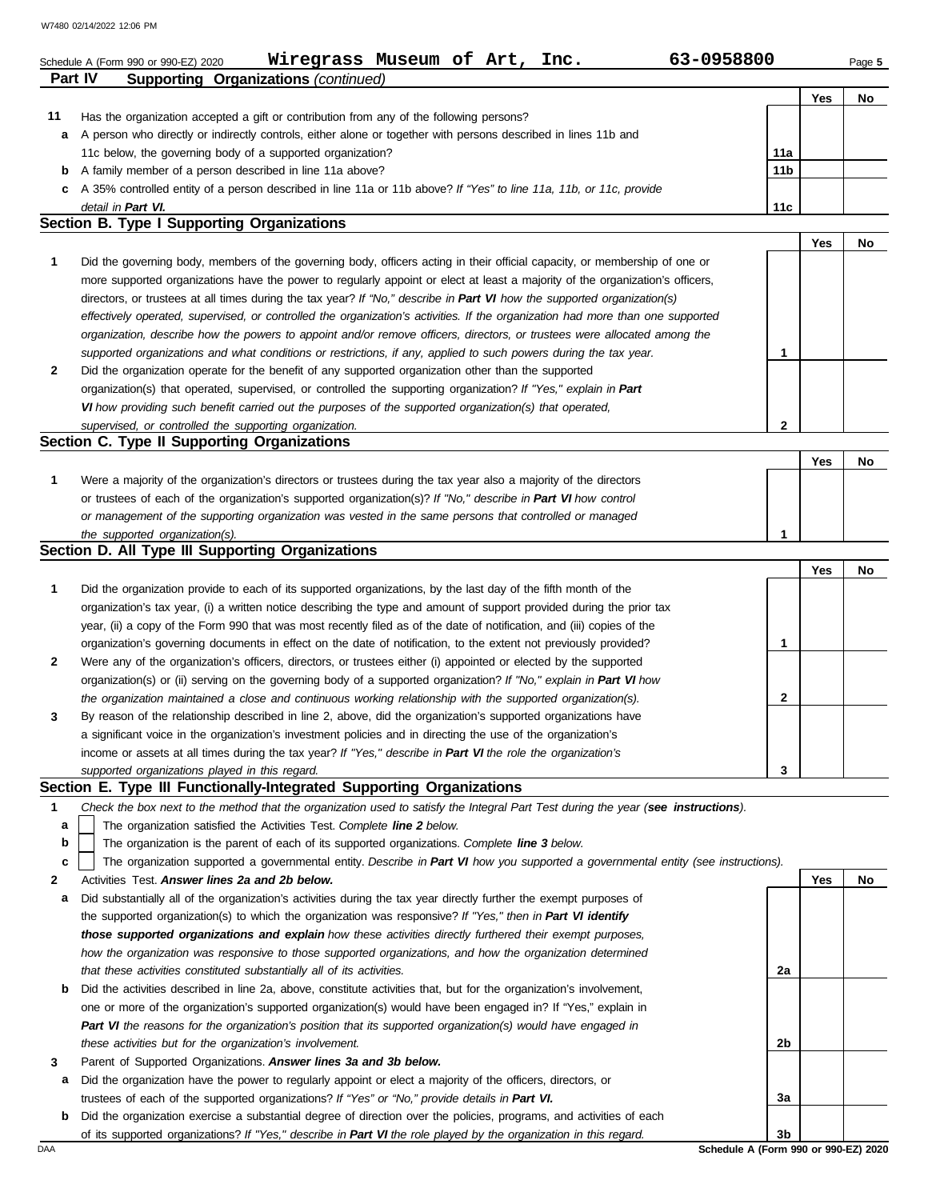|    | 63-0958800<br>Wiregrass Museum of Art, Inc.<br>Schedule A (Form 990 or 990-EZ) 2020<br><b>Supporting Organizations (continued)</b><br><b>Part IV</b> |              |     | Page 5 |
|----|------------------------------------------------------------------------------------------------------------------------------------------------------|--------------|-----|--------|
|    |                                                                                                                                                      |              | Yes | No     |
| 11 | Has the organization accepted a gift or contribution from any of the following persons?                                                              |              |     |        |
| а  | A person who directly or indirectly controls, either alone or together with persons described in lines 11b and                                       |              |     |        |
|    | 11c below, the governing body of a supported organization?                                                                                           | 11a          |     |        |
| b  | A family member of a person described in line 11a above?                                                                                             | 11b          |     |        |
| c  | A 35% controlled entity of a person described in line 11a or 11b above? If "Yes" to line 11a, 11b, or 11c, provide                                   |              |     |        |
|    | detail in Part VI.                                                                                                                                   | 11c          |     |        |
|    | Section B. Type I Supporting Organizations                                                                                                           |              |     |        |
|    |                                                                                                                                                      |              | Yes | No     |
| 1  | Did the governing body, members of the governing body, officers acting in their official capacity, or membership of one or                           |              |     |        |
|    | more supported organizations have the power to regularly appoint or elect at least a majority of the organization's officers,                        |              |     |        |
|    | directors, or trustees at all times during the tax year? If "No," describe in Part VI how the supported organization(s)                              |              |     |        |
|    | effectively operated, supervised, or controlled the organization's activities. If the organization had more than one supported                       |              |     |        |
|    | organization, describe how the powers to appoint and/or remove officers, directors, or trustees were allocated among the                             |              |     |        |
|    | supported organizations and what conditions or restrictions, if any, applied to such powers during the tax year.                                     | 1            |     |        |
| 2  | Did the organization operate for the benefit of any supported organization other than the supported                                                  |              |     |        |
|    | organization(s) that operated, supervised, or controlled the supporting organization? If "Yes," explain in Part                                      |              |     |        |
|    | VI how providing such benefit carried out the purposes of the supported organization(s) that operated,                                               |              |     |        |
|    | supervised, or controlled the supporting organization.<br>Section C. Type II Supporting Organizations                                                | $\mathbf{2}$ |     |        |
|    |                                                                                                                                                      |              | Yes | No     |
| 1  | Were a majority of the organization's directors or trustees during the tax year also a majority of the directors                                     |              |     |        |
|    | or trustees of each of the organization's supported organization(s)? If "No," describe in Part VI how control                                        |              |     |        |
|    | or management of the supporting organization was vested in the same persons that controlled or managed                                               |              |     |        |
|    | the supported organization(s).                                                                                                                       | 1            |     |        |
|    | Section D. All Type III Supporting Organizations                                                                                                     |              |     |        |
|    |                                                                                                                                                      |              | Yes | No     |
| 1  | Did the organization provide to each of its supported organizations, by the last day of the fifth month of the                                       |              |     |        |
|    | organization's tax year, (i) a written notice describing the type and amount of support provided during the prior tax                                |              |     |        |
|    | year, (ii) a copy of the Form 990 that was most recently filed as of the date of notification, and (iii) copies of the                               |              |     |        |
|    | organization's governing documents in effect on the date of notification, to the extent not previously provided?                                     | 1            |     |        |
| 2  | Were any of the organization's officers, directors, or trustees either (i) appointed or elected by the supported                                     |              |     |        |
|    | organization(s) or (ii) serving on the governing body of a supported organization? If "No," explain in Part VI how                                   |              |     |        |
|    | the organization maintained a close and continuous working relationship with the supported organization(s).                                          | 2            |     |        |
| 3  | By reason of the relationship described in line 2, above, did the organization's supported organizations have                                        |              |     |        |
|    | a significant voice in the organization's investment policies and in directing the use of the organization's                                         |              |     |        |
|    | income or assets at all times during the tax year? If "Yes," describe in Part VI the role the organization's                                         |              |     |        |
|    | supported organizations played in this regard.                                                                                                       | 3            |     |        |
|    | Section E. Type III Functionally-Integrated Supporting Organizations                                                                                 |              |     |        |
| 1  | Check the box next to the method that the organization used to satisfy the Integral Part Test during the year (see instructions).                    |              |     |        |
| а  | The organization satisfied the Activities Test. Complete line 2 below.                                                                               |              |     |        |
| b  | The organization is the parent of each of its supported organizations. Complete line 3 below.                                                        |              |     |        |
| c  | The organization supported a governmental entity. Describe in Part VI how you supported a governmental entity (see instructions).                    |              |     |        |
| 2  | Activities Test. Answer lines 2a and 2b below.                                                                                                       |              | Yes | No     |
| а  | Did substantially all of the organization's activities during the tax year directly further the exempt purposes of                                   |              |     |        |
|    | the supported organization(s) to which the organization was responsive? If "Yes," then in Part VI identify                                           |              |     |        |
|    | those supported organizations and explain how these activities directly furthered their exempt purposes,                                             |              |     |        |
|    | how the organization was responsive to those supported organizations, and how the organization determined                                            |              |     |        |
|    | that these activities constituted substantially all of its activities.                                                                               | 2a           |     |        |
| b  | Did the activities described in line 2a, above, constitute activities that, but for the organization's involvement,                                  |              |     |        |
|    | one or more of the organization's supported organization(s) would have been engaged in? If "Yes," explain in                                         |              |     |        |

**3** Parent of Supported Organizations. *Answer lines 3a and 3b below.*

*these activities but for the organization's involvement.*

- **a** Did the organization have the power to regularly appoint or elect a majority of the officers, directors, or trustees of each of the supported organizations? *If "Yes" or "No," provide details in Part VI.*
- **b** Did the organization exercise a substantial degree of direction over the policies, programs, and activities of each of its supported organizations? *If "Yes," describe in Part VI the role played by the organization in this regard.*

*Part VI the reasons for the organization's position that its supported organization(s) would have engaged in*

DAA **Schedule A (Form 990 or 990-EZ) 2020 3b**

**2b**

**3a**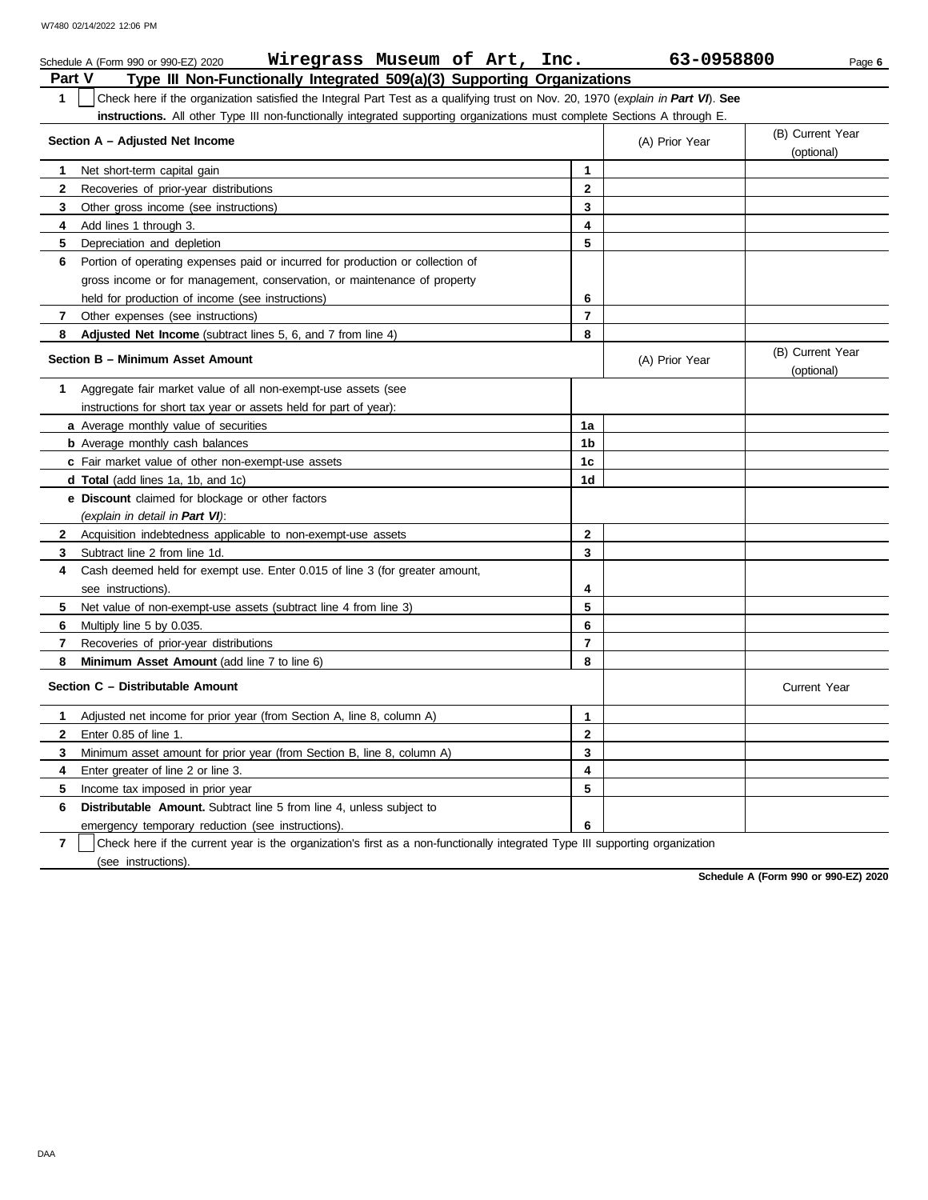|                         | Wiregrass Museum of Art, Inc.<br>Schedule A (Form 990 or 990-EZ) 2020                                                            |                | 63-0958800     | Page 6                         |
|-------------------------|----------------------------------------------------------------------------------------------------------------------------------|----------------|----------------|--------------------------------|
| Part V                  | Type III Non-Functionally Integrated 509(a)(3) Supporting Organizations                                                          |                |                |                                |
| $\mathbf{1}$            | Check here if the organization satisfied the Integral Part Test as a qualifying trust on Nov. 20, 1970 (explain in Part VI). See |                |                |                                |
|                         | instructions. All other Type III non-functionally integrated supporting organizations must complete Sections A through E.        |                |                |                                |
|                         | Section A - Adjusted Net Income                                                                                                  |                | (A) Prior Year | (B) Current Year<br>(optional) |
| 1.                      | Net short-term capital gain                                                                                                      | 1              |                |                                |
| 2                       | Recoveries of prior-year distributions                                                                                           | $\mathbf{2}$   |                |                                |
| 3                       | Other gross income (see instructions)                                                                                            | 3              |                |                                |
| 4                       | Add lines 1 through 3.                                                                                                           | 4              |                |                                |
| 5                       | Depreciation and depletion                                                                                                       | 5              |                |                                |
| 6                       | Portion of operating expenses paid or incurred for production or collection of                                                   |                |                |                                |
|                         | gross income or for management, conservation, or maintenance of property                                                         |                |                |                                |
|                         | held for production of income (see instructions)                                                                                 | 6              |                |                                |
| 7                       | Other expenses (see instructions)                                                                                                | $\overline{7}$ |                |                                |
| 8                       | Adjusted Net Income (subtract lines 5, 6, and 7 from line 4)                                                                     | 8              |                |                                |
|                         | Section B - Minimum Asset Amount                                                                                                 |                | (A) Prior Year | (B) Current Year<br>(optional) |
| 1                       | Aggregate fair market value of all non-exempt-use assets (see                                                                    |                |                |                                |
|                         | instructions for short tax year or assets held for part of year):                                                                |                |                |                                |
|                         | a Average monthly value of securities                                                                                            | 1a             |                |                                |
|                         | <b>b</b> Average monthly cash balances                                                                                           | 1 <sub>b</sub> |                |                                |
|                         | c Fair market value of other non-exempt-use assets                                                                               | 1 <sub>c</sub> |                |                                |
|                         | d Total (add lines 1a, 1b, and 1c)                                                                                               | 1 <sub>d</sub> |                |                                |
|                         | <b>e</b> Discount claimed for blockage or other factors                                                                          |                |                |                                |
|                         | (explain in detail in Part VI):                                                                                                  |                |                |                                |
| $\mathbf{2}$            | Acquisition indebtedness applicable to non-exempt-use assets                                                                     | $\mathbf{2}$   |                |                                |
| 3                       | Subtract line 2 from line 1d.                                                                                                    | $\mathbf 3$    |                |                                |
| 4                       | Cash deemed held for exempt use. Enter 0.015 of line 3 (for greater amount,                                                      |                |                |                                |
|                         | see instructions).                                                                                                               | 4              |                |                                |
| 5                       | Net value of non-exempt-use assets (subtract line 4 from line 3)                                                                 | 5              |                |                                |
| 6                       | Multiply line 5 by 0.035.                                                                                                        | 6              |                |                                |
| $\overline{\mathbf{r}}$ | Recoveries of prior-year distributions                                                                                           | $\overline{7}$ |                |                                |
| 8                       | Minimum Asset Amount (add line 7 to line 6)                                                                                      | 8              |                |                                |
|                         | Section C - Distributable Amount                                                                                                 |                |                | Current Year                   |
| 1                       | Adjusted net income for prior year (from Section A, line 8, column A)                                                            | 1              |                |                                |
| $\mathbf{2}$            | Enter 0.85 of line 1.                                                                                                            | $\mathbf{2}$   |                |                                |
| 3                       | Minimum asset amount for prior year (from Section B, line 8, column A)                                                           | 3              |                |                                |
| 4                       | Enter greater of line 2 or line 3.                                                                                               | 4              |                |                                |
| 5                       | Income tax imposed in prior year                                                                                                 | 5              |                |                                |
| 6                       | <b>Distributable Amount.</b> Subtract line 5 from line 4, unless subject to                                                      |                |                |                                |
|                         | emergency temporary reduction (see instructions).                                                                                | 6              |                |                                |

**7** (see instructions). Check here if the current year is the organization's first as a non-functionally integrated Type III supporting organization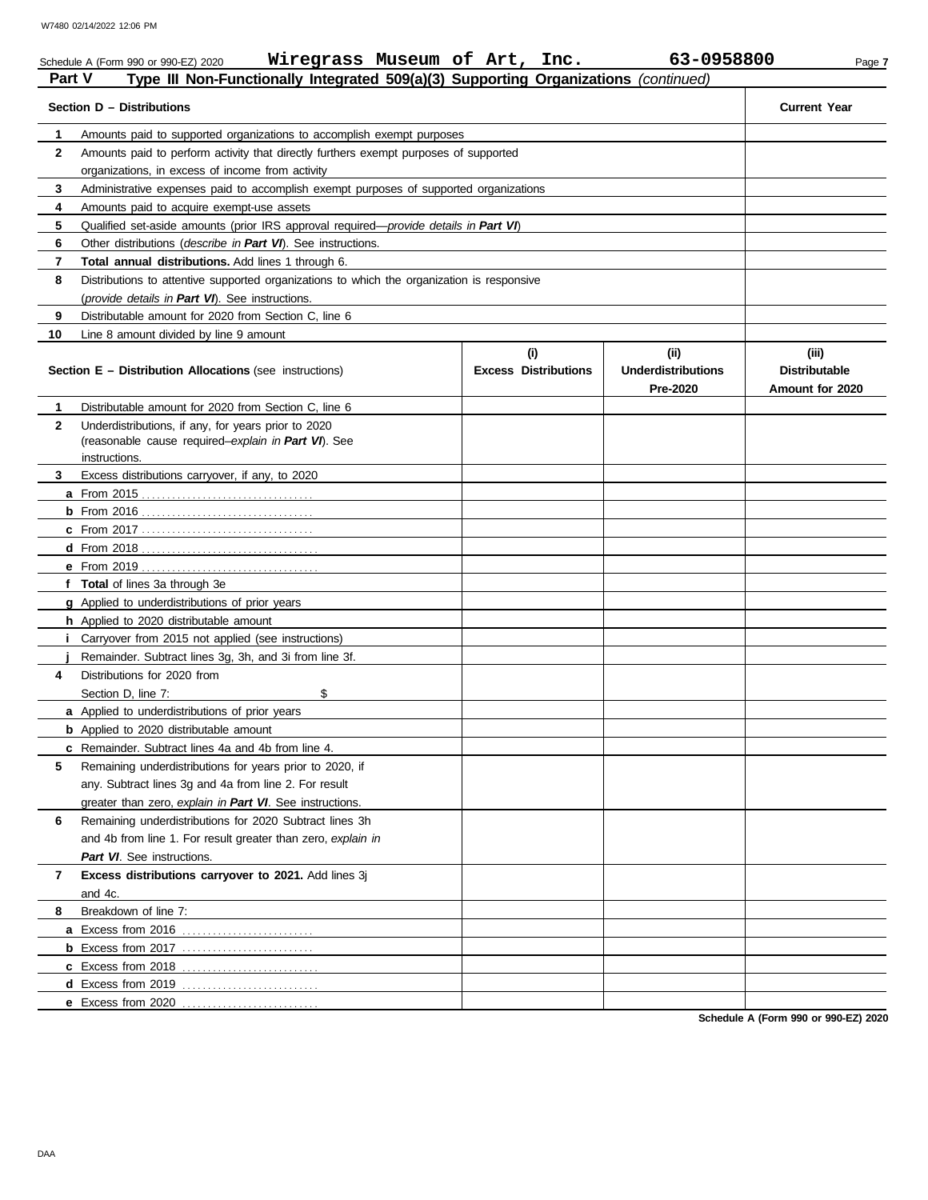|               | Wiregrass Museum of Art, Inc.<br>Schedule A (Form 990 or 990-EZ) 2020                         |                             | 63-0958800                            | Page 7                                  |  |  |  |  |  |  |  |
|---------------|-----------------------------------------------------------------------------------------------|-----------------------------|---------------------------------------|-----------------------------------------|--|--|--|--|--|--|--|
| <b>Part V</b> | Type III Non-Functionally Integrated 509(a)(3) Supporting Organizations (continued)           |                             |                                       |                                         |  |  |  |  |  |  |  |
|               | Section D - Distributions                                                                     |                             |                                       | <b>Current Year</b>                     |  |  |  |  |  |  |  |
| 1             | Amounts paid to supported organizations to accomplish exempt purposes                         |                             |                                       |                                         |  |  |  |  |  |  |  |
| $\mathbf{2}$  | Amounts paid to perform activity that directly furthers exempt purposes of supported          |                             |                                       |                                         |  |  |  |  |  |  |  |
|               | organizations, in excess of income from activity                                              |                             |                                       |                                         |  |  |  |  |  |  |  |
| 3             | Administrative expenses paid to accomplish exempt purposes of supported organizations         |                             |                                       |                                         |  |  |  |  |  |  |  |
| 4             | Amounts paid to acquire exempt-use assets                                                     |                             |                                       |                                         |  |  |  |  |  |  |  |
| 5             | Qualified set-aside amounts (prior IRS approval required— <i>provide details in Part VI</i> ) |                             |                                       |                                         |  |  |  |  |  |  |  |
| 6             | Other distributions ( <i>describe in Part VI</i> ). See instructions.                         |                             |                                       |                                         |  |  |  |  |  |  |  |
| 7             | Total annual distributions. Add lines 1 through 6.                                            |                             |                                       |                                         |  |  |  |  |  |  |  |
| 8             | Distributions to attentive supported organizations to which the organization is responsive    |                             |                                       |                                         |  |  |  |  |  |  |  |
|               | (provide details in Part VI). See instructions.                                               |                             |                                       |                                         |  |  |  |  |  |  |  |
| 9             | Distributable amount for 2020 from Section C, line 6                                          |                             |                                       |                                         |  |  |  |  |  |  |  |
| 10            | Line 8 amount divided by line 9 amount                                                        |                             |                                       |                                         |  |  |  |  |  |  |  |
|               |                                                                                               | (i)                         | (ii)                                  | (iii)                                   |  |  |  |  |  |  |  |
|               | <b>Section E - Distribution Allocations (see instructions)</b>                                | <b>Excess Distributions</b> | <b>Underdistributions</b><br>Pre-2020 | <b>Distributable</b><br>Amount for 2020 |  |  |  |  |  |  |  |
| 1             | Distributable amount for 2020 from Section C, line 6                                          |                             |                                       |                                         |  |  |  |  |  |  |  |
| $\mathbf{2}$  | Underdistributions, if any, for years prior to 2020                                           |                             |                                       |                                         |  |  |  |  |  |  |  |
|               | (reasonable cause required-explain in Part VI). See                                           |                             |                                       |                                         |  |  |  |  |  |  |  |
|               | instructions.                                                                                 |                             |                                       |                                         |  |  |  |  |  |  |  |
| 3             | Excess distributions carryover, if any, to 2020                                               |                             |                                       |                                         |  |  |  |  |  |  |  |
|               |                                                                                               |                             |                                       |                                         |  |  |  |  |  |  |  |
|               |                                                                                               |                             |                                       |                                         |  |  |  |  |  |  |  |
|               |                                                                                               |                             |                                       |                                         |  |  |  |  |  |  |  |
|               |                                                                                               |                             |                                       |                                         |  |  |  |  |  |  |  |
|               |                                                                                               |                             |                                       |                                         |  |  |  |  |  |  |  |
|               | f Total of lines 3a through 3e                                                                |                             |                                       |                                         |  |  |  |  |  |  |  |
|               | <b>g</b> Applied to underdistributions of prior years                                         |                             |                                       |                                         |  |  |  |  |  |  |  |
|               | h Applied to 2020 distributable amount                                                        |                             |                                       |                                         |  |  |  |  |  |  |  |
| Ť.            | Carryover from 2015 not applied (see instructions)                                            |                             |                                       |                                         |  |  |  |  |  |  |  |
|               | Remainder. Subtract lines 3g, 3h, and 3i from line 3f.                                        |                             |                                       |                                         |  |  |  |  |  |  |  |
| 4             | Distributions for 2020 from                                                                   |                             |                                       |                                         |  |  |  |  |  |  |  |
|               | Section D, line 7:<br>\$                                                                      |                             |                                       |                                         |  |  |  |  |  |  |  |
|               | a Applied to underdistributions of prior years                                                |                             |                                       |                                         |  |  |  |  |  |  |  |
|               | <b>b</b> Applied to 2020 distributable amount                                                 |                             |                                       |                                         |  |  |  |  |  |  |  |
|               | c Remainder. Subtract lines 4a and 4b from line 4.                                            |                             |                                       |                                         |  |  |  |  |  |  |  |
| 5             | Remaining underdistributions for years prior to 2020, if                                      |                             |                                       |                                         |  |  |  |  |  |  |  |
|               | any. Subtract lines 3g and 4a from line 2. For result                                         |                             |                                       |                                         |  |  |  |  |  |  |  |
|               | greater than zero, explain in Part VI. See instructions.                                      |                             |                                       |                                         |  |  |  |  |  |  |  |
| 6             | Remaining underdistributions for 2020 Subtract lines 3h                                       |                             |                                       |                                         |  |  |  |  |  |  |  |
|               | and 4b from line 1. For result greater than zero, explain in                                  |                             |                                       |                                         |  |  |  |  |  |  |  |
|               | Part VI. See instructions.                                                                    |                             |                                       |                                         |  |  |  |  |  |  |  |
| 7             | Excess distributions carryover to 2021. Add lines 3j                                          |                             |                                       |                                         |  |  |  |  |  |  |  |
|               | and 4c.                                                                                       |                             |                                       |                                         |  |  |  |  |  |  |  |
| 8             | Breakdown of line 7:                                                                          |                             |                                       |                                         |  |  |  |  |  |  |  |
|               |                                                                                               |                             |                                       |                                         |  |  |  |  |  |  |  |
|               |                                                                                               |                             |                                       |                                         |  |  |  |  |  |  |  |
|               |                                                                                               |                             |                                       |                                         |  |  |  |  |  |  |  |
|               |                                                                                               |                             |                                       |                                         |  |  |  |  |  |  |  |
|               | e Excess from 2020                                                                            |                             |                                       |                                         |  |  |  |  |  |  |  |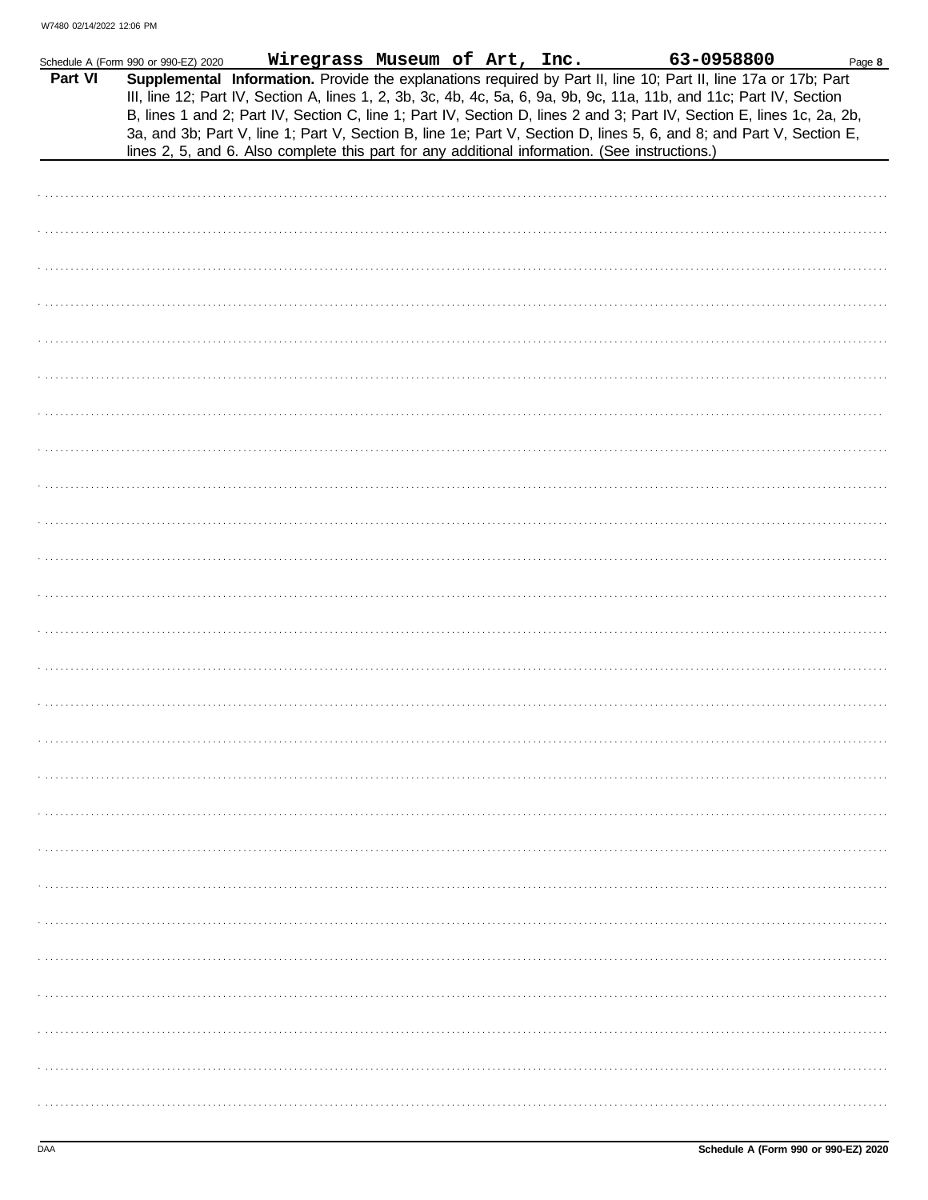| Part VI | Schedule A (Form 990 or 990-EZ) 2020 | Supplemental Information. Provide the explanations required by Part II, line 10; Part II, line 17a or 17b; Part<br>III, line 12; Part IV, Section A, lines 1, 2, 3b, 3c, 4b, 4c, 5a, 6, 9a, 9b, 9c, 11a, 11b, and 11c; Part IV, Section<br>B, lines 1 and 2; Part IV, Section C, line 1; Part IV, Section D, lines 2 and 3; Part IV, Section E, lines 1c, 2a, 2b,<br>3a, and 3b; Part V, line 1; Part V, Section B, line 1e; Part V, Section D, lines 5, 6, and 8; and Part V, Section E,<br>lines 2, 5, and 6. Also complete this part for any additional information. (See instructions.) | Wiregrass Museum of Art, Inc. |  |  | 63-0958800 | Page 8 |
|---------|--------------------------------------|---------------------------------------------------------------------------------------------------------------------------------------------------------------------------------------------------------------------------------------------------------------------------------------------------------------------------------------------------------------------------------------------------------------------------------------------------------------------------------------------------------------------------------------------------------------------------------------------|-------------------------------|--|--|------------|--------|
|         |                                      |                                                                                                                                                                                                                                                                                                                                                                                                                                                                                                                                                                                             |                               |  |  |            |        |
|         |                                      |                                                                                                                                                                                                                                                                                                                                                                                                                                                                                                                                                                                             |                               |  |  |            |        |
|         |                                      |                                                                                                                                                                                                                                                                                                                                                                                                                                                                                                                                                                                             |                               |  |  |            |        |
|         |                                      |                                                                                                                                                                                                                                                                                                                                                                                                                                                                                                                                                                                             |                               |  |  |            |        |
|         |                                      |                                                                                                                                                                                                                                                                                                                                                                                                                                                                                                                                                                                             |                               |  |  |            |        |
|         |                                      |                                                                                                                                                                                                                                                                                                                                                                                                                                                                                                                                                                                             |                               |  |  |            |        |
|         |                                      |                                                                                                                                                                                                                                                                                                                                                                                                                                                                                                                                                                                             |                               |  |  |            |        |
|         |                                      |                                                                                                                                                                                                                                                                                                                                                                                                                                                                                                                                                                                             |                               |  |  |            |        |
|         |                                      |                                                                                                                                                                                                                                                                                                                                                                                                                                                                                                                                                                                             |                               |  |  |            |        |
|         |                                      |                                                                                                                                                                                                                                                                                                                                                                                                                                                                                                                                                                                             |                               |  |  |            |        |
|         |                                      |                                                                                                                                                                                                                                                                                                                                                                                                                                                                                                                                                                                             |                               |  |  |            |        |
|         |                                      |                                                                                                                                                                                                                                                                                                                                                                                                                                                                                                                                                                                             |                               |  |  |            |        |
|         |                                      |                                                                                                                                                                                                                                                                                                                                                                                                                                                                                                                                                                                             |                               |  |  |            |        |
|         |                                      |                                                                                                                                                                                                                                                                                                                                                                                                                                                                                                                                                                                             |                               |  |  |            |        |
|         |                                      |                                                                                                                                                                                                                                                                                                                                                                                                                                                                                                                                                                                             |                               |  |  |            |        |
|         |                                      |                                                                                                                                                                                                                                                                                                                                                                                                                                                                                                                                                                                             |                               |  |  |            |        |
|         |                                      |                                                                                                                                                                                                                                                                                                                                                                                                                                                                                                                                                                                             |                               |  |  |            |        |
|         |                                      |                                                                                                                                                                                                                                                                                                                                                                                                                                                                                                                                                                                             |                               |  |  |            |        |
|         |                                      |                                                                                                                                                                                                                                                                                                                                                                                                                                                                                                                                                                                             |                               |  |  |            |        |
|         |                                      |                                                                                                                                                                                                                                                                                                                                                                                                                                                                                                                                                                                             |                               |  |  |            |        |
|         |                                      |                                                                                                                                                                                                                                                                                                                                                                                                                                                                                                                                                                                             |                               |  |  |            |        |
|         |                                      |                                                                                                                                                                                                                                                                                                                                                                                                                                                                                                                                                                                             |                               |  |  |            |        |
|         |                                      |                                                                                                                                                                                                                                                                                                                                                                                                                                                                                                                                                                                             |                               |  |  |            |        |
|         |                                      |                                                                                                                                                                                                                                                                                                                                                                                                                                                                                                                                                                                             |                               |  |  |            |        |
|         |                                      |                                                                                                                                                                                                                                                                                                                                                                                                                                                                                                                                                                                             |                               |  |  |            |        |
|         |                                      |                                                                                                                                                                                                                                                                                                                                                                                                                                                                                                                                                                                             |                               |  |  |            |        |
|         |                                      |                                                                                                                                                                                                                                                                                                                                                                                                                                                                                                                                                                                             |                               |  |  |            |        |
|         |                                      |                                                                                                                                                                                                                                                                                                                                                                                                                                                                                                                                                                                             |                               |  |  |            |        |
|         |                                      |                                                                                                                                                                                                                                                                                                                                                                                                                                                                                                                                                                                             |                               |  |  |            |        |
|         |                                      |                                                                                                                                                                                                                                                                                                                                                                                                                                                                                                                                                                                             |                               |  |  |            |        |
|         |                                      |                                                                                                                                                                                                                                                                                                                                                                                                                                                                                                                                                                                             |                               |  |  |            |        |
|         |                                      |                                                                                                                                                                                                                                                                                                                                                                                                                                                                                                                                                                                             |                               |  |  |            |        |
|         |                                      |                                                                                                                                                                                                                                                                                                                                                                                                                                                                                                                                                                                             |                               |  |  |            |        |
|         |                                      |                                                                                                                                                                                                                                                                                                                                                                                                                                                                                                                                                                                             |                               |  |  |            |        |
|         |                                      |                                                                                                                                                                                                                                                                                                                                                                                                                                                                                                                                                                                             |                               |  |  |            |        |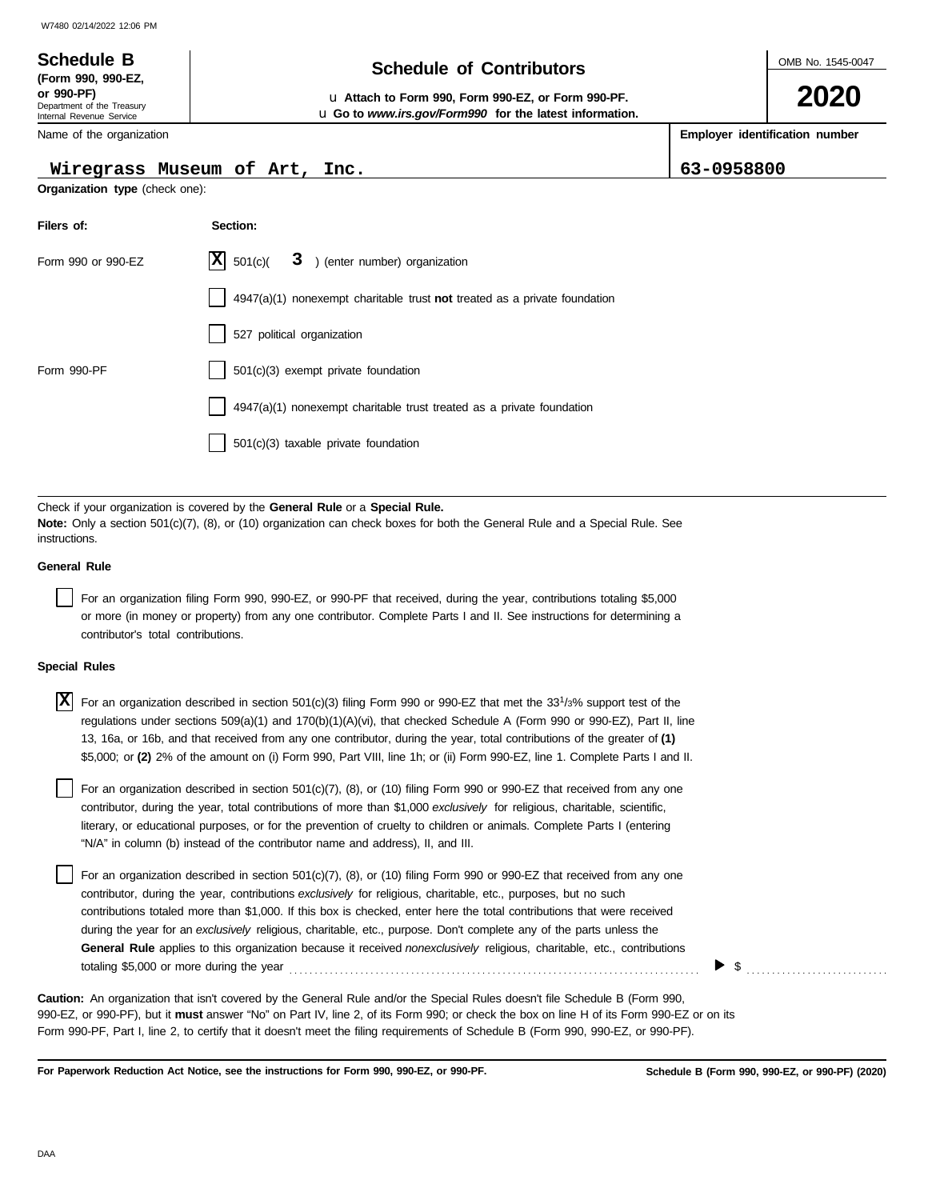### OMB No. 1545-0047 Department of the Treasury Internal Revenue Service Name of the organization **2020 Schedule of Contributors Schedule B (Form 990, 990-EZ, or 990-PF)** u **Attach to Form 990, Form 990-EZ, or Form 990-PF. Employer identification number** u **Go to** *www.irs.gov/Form990* **for the latest information. Wiregrass Museum of Art, Inc. 63-0958800**

**Organization type** (check one):

| Section:                                                                    |
|-----------------------------------------------------------------------------|
| $ \mathbf{X} $ 501(c)( $3$ ) (enter number) organization                    |
| $4947(a)(1)$ nonexempt charitable trust not treated as a private foundation |
| 527 political organization                                                  |
| 501(c)(3) exempt private foundation                                         |
| 4947(a)(1) nonexempt charitable trust treated as a private foundation       |
| 501(c)(3) taxable private foundation                                        |
|                                                                             |

Check if your organization is covered by the **General Rule** or a **Special Rule. Note:** Only a section 501(c)(7), (8), or (10) organization can check boxes for both the General Rule and a Special Rule. See instructions.

## **General Rule**

For an organization filing Form 990, 990-EZ, or 990-PF that received, during the year, contributions totaling \$5,000 or more (in money or property) from any one contributor. Complete Parts I and II. See instructions for determining a contributor's total contributions.

### **Special Rules**

| $\overline{X}$ For an organization described in section 501(c)(3) filing Form 990 or 990-EZ that met the 33 <sup>1</sup> /3% support test of the |
|--------------------------------------------------------------------------------------------------------------------------------------------------|
| regulations under sections 509(a)(1) and 170(b)(1)(A)(vi), that checked Schedule A (Form 990 or 990-EZ), Part II, line                           |
| 13, 16a, or 16b, and that received from any one contributor, during the year, total contributions of the greater of (1)                          |
| \$5,000; or (2) 2% of the amount on (i) Form 990, Part VIII, line 1h; or (ii) Form 990-EZ, line 1. Complete Parts I and II.                      |

literary, or educational purposes, or for the prevention of cruelty to children or animals. Complete Parts I (entering For an organization described in section 501(c)(7), (8), or (10) filing Form 990 or 990-EZ that received from any one contributor, during the year, total contributions of more than \$1,000 *exclusively* for religious, charitable, scientific, "N/A" in column (b) instead of the contributor name and address), II, and III.

For an organization described in section 501(c)(7), (8), or (10) filing Form 990 or 990-EZ that received from any one contributor, during the year, contributions *exclusively* for religious, charitable, etc., purposes, but no such contributions totaled more than \$1,000. If this box is checked, enter here the total contributions that were received during the year for an *exclusively* religious, charitable, etc., purpose. Don't complete any of the parts unless the **General Rule** applies to this organization because it received *nonexclusively* religious, charitable, etc., contributions totaling \$5,000 or more during the year . . . . . . . . . . . . . . . . . . . . . . . . . . . . . . . . . . . . . . . . . . . . . . . . . . . . . . . . . . . . . . . . . . . . . . . . . . . . . . . . .

990-EZ, or 990-PF), but it **must** answer "No" on Part IV, line 2, of its Form 990; or check the box on line H of its Form 990-EZ or on its Form 990-PF, Part I, line 2, to certify that it doesn't meet the filing requirements of Schedule B (Form 990, 990-EZ, or 990-PF). **Caution:** An organization that isn't covered by the General Rule and/or the Special Rules doesn't file Schedule B (Form 990,

**For Paperwork Reduction Act Notice, see the instructions for Form 990, 990-EZ, or 990-PF.**

 $\triangleright$  \$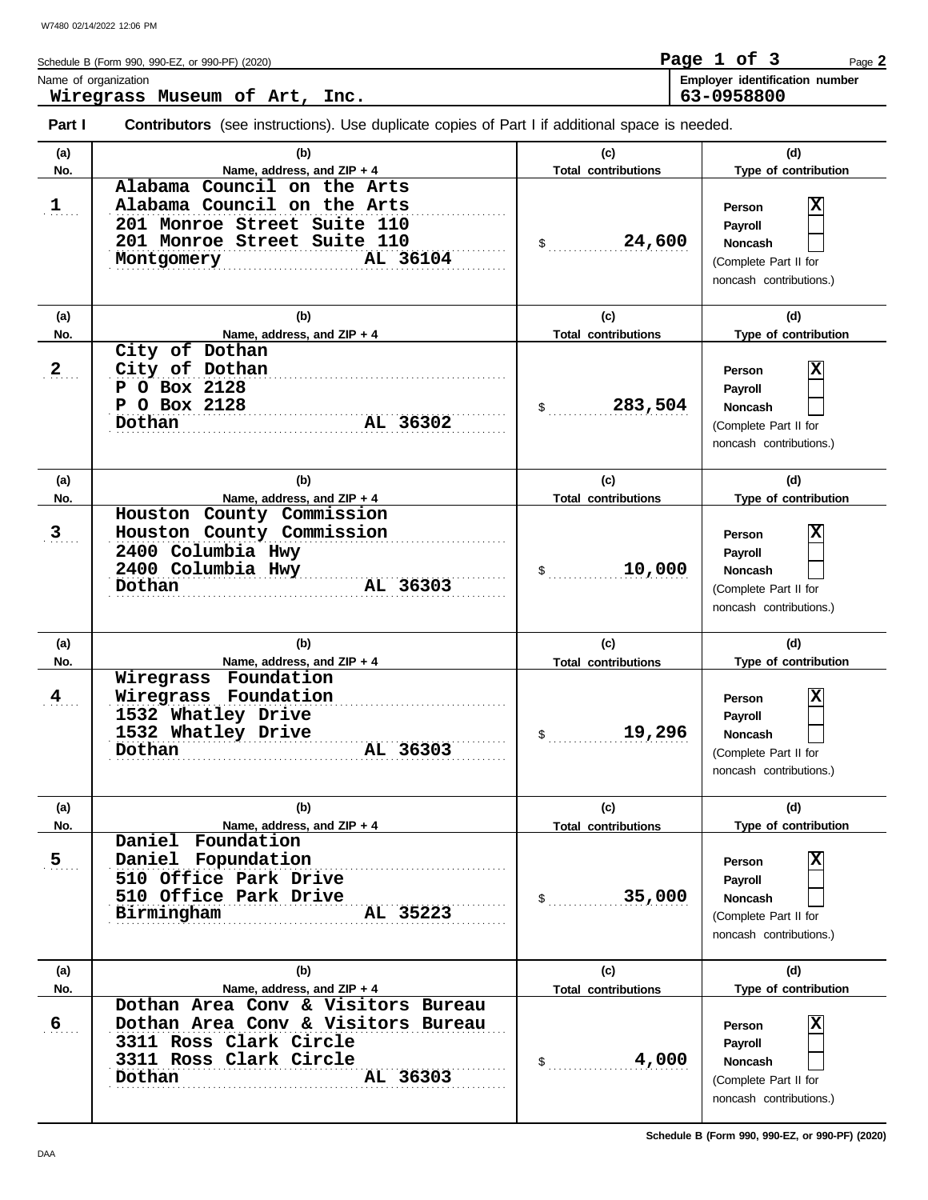| Schedule B (Form 990, 990-EZ, or 990-PF) (2020) | Page 1 of 3 |  | Page 2                                |
|-------------------------------------------------|-------------|--|---------------------------------------|
| Name of organization                            |             |  | <b>Employer identification number</b> |
| Wiregrass Museum of Art, Inc.                   | 63-0958800  |  |                                       |

**Part I Contributors** (see instructions). Use duplicate copies of Part I if additional space is needed.

| (a)<br>No.            | (b)<br>Name, address, and ZIP + 4                                                                                                                  | (c)<br><b>Total contributions</b>              | (d)<br>Type of contribution                                                                                     |
|-----------------------|----------------------------------------------------------------------------------------------------------------------------------------------------|------------------------------------------------|-----------------------------------------------------------------------------------------------------------------|
| 1                     | Alabama Council on the Arts<br>Alabama Council on the Arts<br>201 Monroe Street Suite 110<br>201 Monroe Street Suite 110<br>AL 36104<br>Montgomery | 24,600<br>$\sim$                               | Person<br><b>Payroll</b><br><b>Noncash</b><br>(Complete Part II for<br>noncash contributions.)                  |
| (a)<br>No.            | (b)<br>Name, address, and ZIP + 4                                                                                                                  | (c)<br><b>Total contributions</b>              | (d)<br>Type of contribution                                                                                     |
| $\mathbf{2}$          | City of Dothan<br>City of Dothan<br>P O Box 2128<br>P O Box 2128<br>AL 36302<br>Dothan                                                             | 283,504<br>\$                                  | Person<br>Payroll<br><b>Noncash</b><br>(Complete Part II for<br>noncash contributions.)                         |
| (a)<br>No.            | (b)<br>Name, address, and ZIP + 4                                                                                                                  | (c)<br><b>Total contributions</b>              | (d)<br>Type of contribution                                                                                     |
| 3                     | Houston County Commission<br>Houston County Commission<br>2400 Columbia Hwy<br>2400 Columbia Hwy<br>AL 36303<br>Dothan                             | 10,000<br>$\mathfrak s$                        | Person<br>Payroll<br><b>Noncash</b><br>(Complete Part II for<br>noncash contributions.)                         |
| (a)                   | (b)                                                                                                                                                | (c)                                            | (d)                                                                                                             |
| No.<br>4              | Name, address, and ZIP + 4<br>Wiregrass Foundation<br>Wiregrass Foundation<br>1532 Whatley Drive<br>1532 Whatley Drive<br>AL 36303<br>Dothan       | <b>Total contributions</b><br>19,296<br>$\sim$ | Type of contribution<br>Person<br>Payroll<br><b>Noncash</b><br>(Complete Part II for<br>noncash contributions.) |
| (a)                   | (b)                                                                                                                                                | (c)                                            | (d)                                                                                                             |
| No.<br>$\overline{5}$ | Name, address, and ZIP + 4<br>Daniel Foundation<br>Daniel Fopundation<br>510 Office Park Drive<br>510 Office Park Drive<br>AL 35223<br>Birmingham  | <b>Total contributions</b><br>35,000<br>$\sim$ | Type of contribution<br>Person<br>Payroll<br><b>Noncash</b><br>(Complete Part II for<br>noncash contributions.) |
| (a)<br>No.            | (b)<br>Name, address, and ZIP + 4                                                                                                                  | (c)<br><b>Total contributions</b>              | (d)<br>Type of contribution                                                                                     |
| 6                     | Dothan Area Conv & Visitors Bureau<br>Dothan Area Conv & Visitors Bureau<br>3311 Ross Clark Circle<br>3311 Ross Clark Circle<br>Dothan<br>AL 36303 | 4,000<br>$\sim$                                | Person<br>Payroll<br>Noncash<br>(Complete Part II for<br>noncash contributions.)                                |

**Schedule B (Form 990, 990-EZ, or 990-PF) (2020)**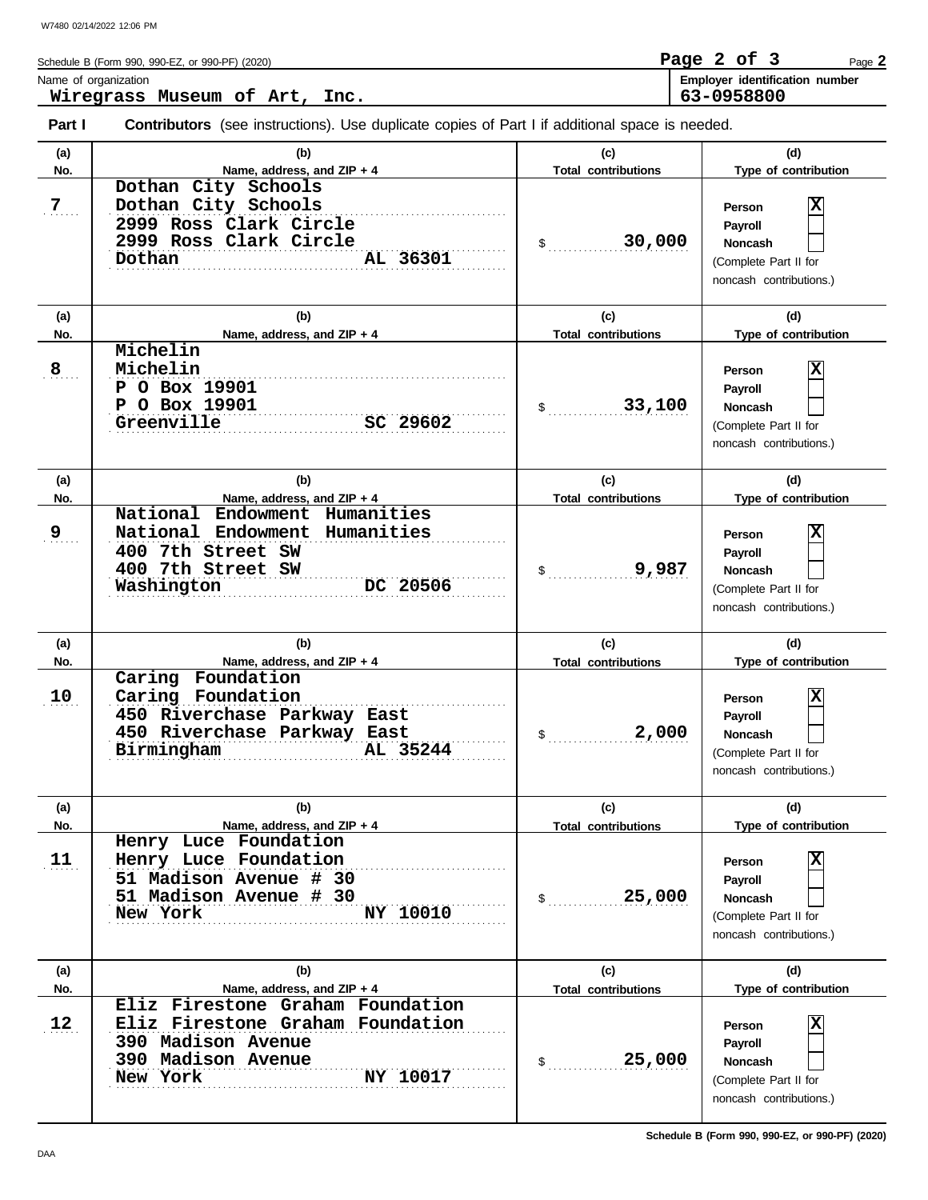| Schedule B (Form 990, 990-EZ, or 990-PF) (2020) | Page 2 of 3 |  | Page 2                                |
|-------------------------------------------------|-------------|--|---------------------------------------|
| Name of organization                            |             |  | <b>Employer identification number</b> |
| Wiregrass Museum of Art, Inc.                   | 63-0958800  |  |                                       |

#### **Part I Contributors** (see instructions). Use duplicate copies of Part I if additional space is needed.

| (a)            | (b)                                                                                                                                   | (c)                        | (d)                                                                                     |
|----------------|---------------------------------------------------------------------------------------------------------------------------------------|----------------------------|-----------------------------------------------------------------------------------------|
| No.            | Name, address, and ZIP + 4                                                                                                            | <b>Total contributions</b> | Type of contribution                                                                    |
| 7 <sub>1</sub> | Dothan City Schools<br>Dothan City Schools<br>2999 Ross Clark Circle<br>2999 Ross Clark Circle<br>Dothan<br>AL 36301                  | 30,000<br>$\sim$           | Person<br>Payroll<br>Noncash<br>(Complete Part II for<br>noncash contributions.)        |
| (a)            | (b)                                                                                                                                   | (c)                        | (d)                                                                                     |
| No.            | Name, address, and ZIP + 4                                                                                                            | <b>Total contributions</b> | Type of contribution                                                                    |
| 8              | Michelin<br>Michelin<br>P O Box 19901<br>P O Box 19901<br>Greenville<br>SC 29602                                                      | 33,100<br>$\sim$           | Person<br>Payroll<br><b>Noncash</b><br>(Complete Part II for<br>noncash contributions.) |
| (a)            | (b)                                                                                                                                   | (c)                        | (d)                                                                                     |
| No.            | Name, address, and ZIP + 4                                                                                                            | <b>Total contributions</b> | Type of contribution                                                                    |
| 9              | Endowment Humanities<br>National<br>National Endowment Humanities<br>400 7th Street SW<br>400 7th Street SW<br>Washington<br>DC 20506 | 9,987<br>\$                | Person<br>Payroll<br><b>Noncash</b><br>(Complete Part II for<br>noncash contributions.) |
| (a)            | (b)                                                                                                                                   | (c)                        | (d)                                                                                     |
| No.            | Name, address, and ZIP + 4                                                                                                            | <b>Total contributions</b> | Type of contribution                                                                    |
| 10             | Caring Foundation<br>Caring Foundation<br>450 Riverchase Parkway East                                                                 |                            | Person<br>Payroll                                                                       |
|                | 450 Riverchase Parkway East<br>Birmingham<br>AL 35244                                                                                 | 2,000<br>\$                | <b>Noncash</b><br>(Complete Part II for<br>noncash contributions.)                      |
| (a)            | (b)                                                                                                                                   | (c)                        | (d)                                                                                     |
| No.            | Name, address, and ZIP + 4                                                                                                            | <b>Total contributions</b> | Type of contribution                                                                    |
| 11             | Henry Luce Foundation<br>Henry Luce Foundation<br>51 Madison Avenue # 30<br>51 Madison Avenue # 30<br>New York<br>NY 10010            | 25,000<br>$\sim$           | Person<br>Payroll<br>Noncash<br>(Complete Part II for<br>noncash contributions.)        |
| (a)            | (b)<br>Name, address, and ZIP + 4                                                                                                     | (c)                        | (d)<br>Type of contribution                                                             |

**Schedule B (Form 990, 990-EZ, or 990-PF) (2020)**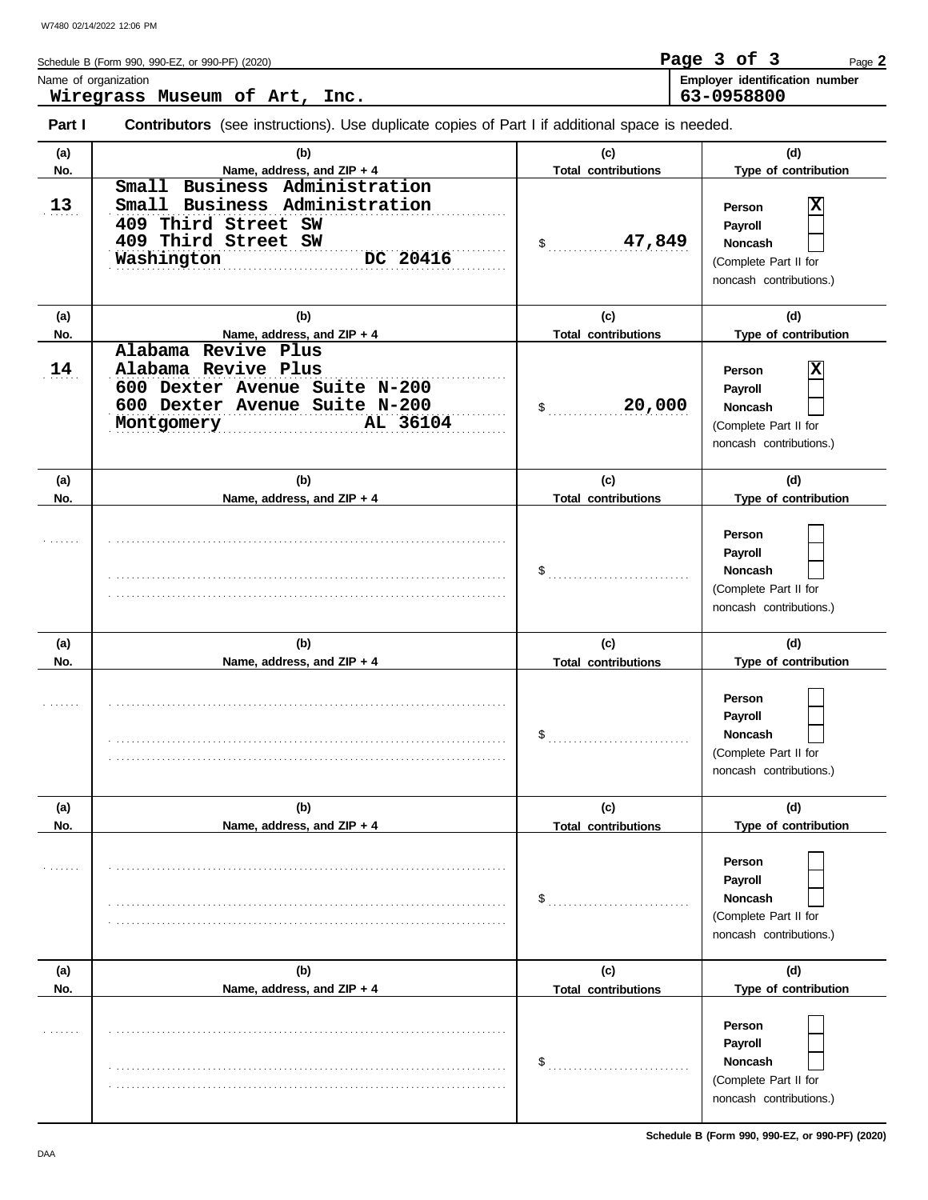| Schedule B (Form 990, 990-EZ, or 990-PF) (2020) | Page 3 of 3    |  | Page 2                                |
|-------------------------------------------------|----------------|--|---------------------------------------|
| Name of organization                            |                |  | <b>Employer identification number</b> |
| Wiregrass Museum of Art, Inc.                   | $63 - 0958800$ |  |                                       |

**Part I Contributors** (see instructions). Use duplicate copies of Part I if additional space is needed.

| (a) | (b)                                                                                                                                    | (c)                        | (d)                                                                                     |
|-----|----------------------------------------------------------------------------------------------------------------------------------------|----------------------------|-----------------------------------------------------------------------------------------|
| No. | Name, address, and ZIP + 4                                                                                                             | <b>Total contributions</b> | Type of contribution                                                                    |
| 13  | Small Business Administration<br>Small Business Administration<br>409 Third Street SW<br>409 Third Street SW<br>DC 20416<br>Washington | 47,849<br>$\sim$           | Person<br>Payroll<br><b>Noncash</b><br>(Complete Part II for<br>noncash contributions.) |
| (a) | (b)                                                                                                                                    | (c)                        | (d)                                                                                     |
| No. | Name, address, and ZIP + 4                                                                                                             | <b>Total contributions</b> | Type of contribution                                                                    |
| 14  | Alabama Revive Plus<br>Alabama Revive Plus<br>600 Dexter Avenue Suite N-200<br>600 Dexter Avenue Suite N-200<br>AL 36104<br>Montgomery | 20,000<br>\$               | Person<br>Payroll<br><b>Noncash</b><br>(Complete Part II for<br>noncash contributions.) |
| (a) | (b)                                                                                                                                    | (c)                        | (d)                                                                                     |
| No. | Name, address, and ZIP + 4                                                                                                             | <b>Total contributions</b> | Type of contribution                                                                    |
|     |                                                                                                                                        | $\$\$                      | Person<br>Payroll<br><b>Noncash</b><br>(Complete Part II for<br>noncash contributions.) |
| (a) | (b)                                                                                                                                    | (c)                        | (d)                                                                                     |
| No. | Name, address, and ZIP + 4                                                                                                             | <b>Total contributions</b> | Type of contribution                                                                    |
|     |                                                                                                                                        |                            | Person<br>Payroll<br><b>Noncash</b><br>(Complete Part II for<br>noncash contributions.) |
| (a) | (b)                                                                                                                                    | (c)                        | (d)                                                                                     |
| No. | Name, address, and ZIP + 4                                                                                                             | <b>Total contributions</b> | Type of contribution                                                                    |
|     |                                                                                                                                        | \$                         | Person<br>Payroll<br>Noncash<br>(Complete Part II for<br>noncash contributions.)        |
| (a) | (b)                                                                                                                                    | (c)                        | (d)                                                                                     |
| No. | Name, address, and ZIP + 4                                                                                                             | <b>Total contributions</b> | Type of contribution                                                                    |
|     |                                                                                                                                        | \$                         | Person<br>Payroll<br>Noncash<br>(Complete Part II for<br>noncash contributions.)        |

**Schedule B (Form 990, 990-EZ, or 990-PF) (2020)**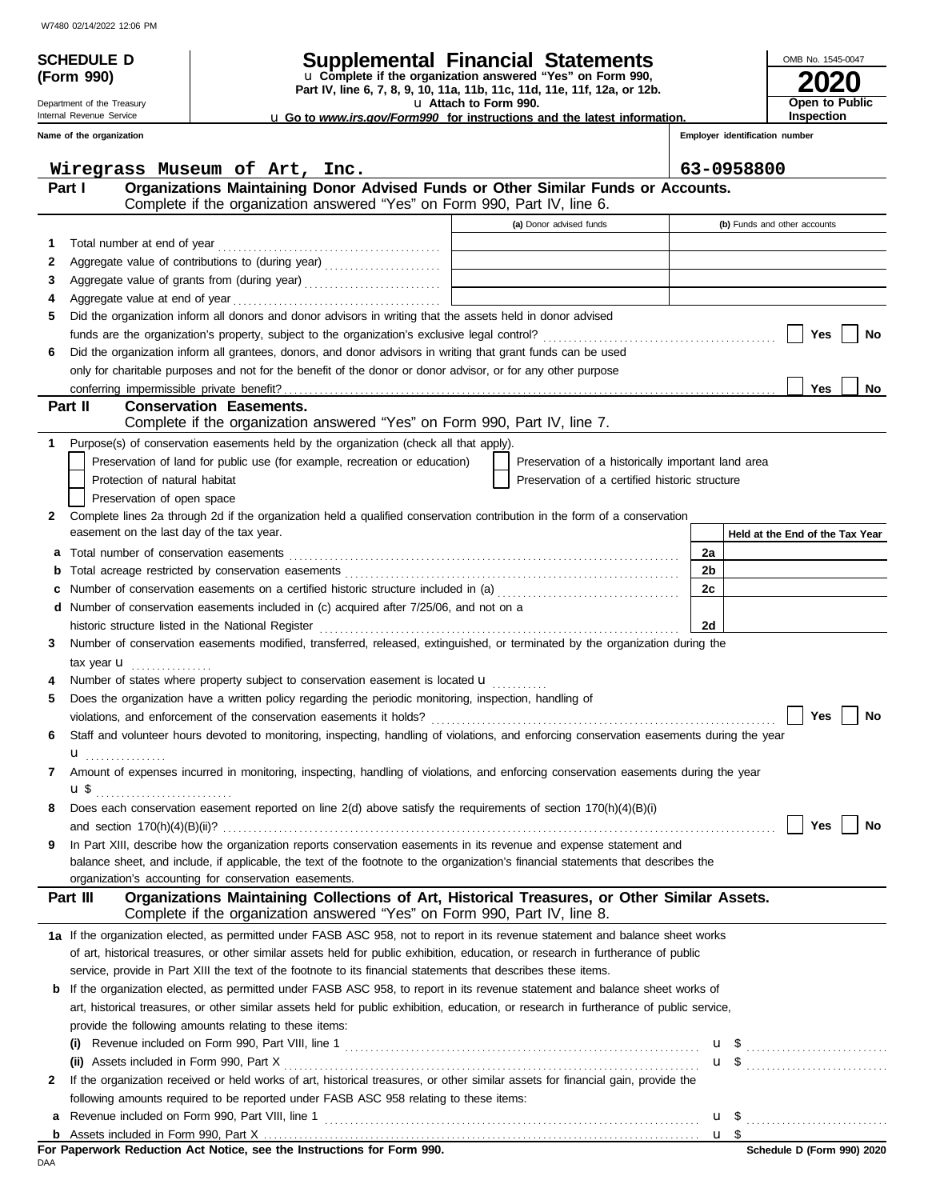**(Form 990)**

Department of the Treasury Internal Revenue Service

# **SCHEDULE D Supplemental Financial Statements**

**Part IV, line 6, 7, 8, 9, 10, 11a, 11b, 11c, 11d, 11e, 11f, 12a, or 12b.** u **Complete if the organization answered "Yes" on Form 990,**

u **Attach to Form 990.**  u **Go to** *www.irs.gov/Form990* **for instructions and the latest information.**

**Inspection**

**2020**

**Open to Public**

OMB No. 1545-0047

|              | Name of the organization                                                                                                                  |                                                    |                | Employer identification number  |
|--------------|-------------------------------------------------------------------------------------------------------------------------------------------|----------------------------------------------------|----------------|---------------------------------|
|              | Wiregrass Museum of Art, Inc.                                                                                                             |                                                    |                | 63-0958800                      |
|              | Organizations Maintaining Donor Advised Funds or Other Similar Funds or Accounts.<br>Part I                                               |                                                    |                |                                 |
|              | Complete if the organization answered "Yes" on Form 990, Part IV, line 6.                                                                 |                                                    |                |                                 |
|              |                                                                                                                                           | (a) Donor advised funds                            |                | (b) Funds and other accounts    |
| 1            | Total number at end of year                                                                                                               |                                                    |                |                                 |
| 2            |                                                                                                                                           |                                                    |                |                                 |
| 3            | Aggregate value of grants from (during year)                                                                                              |                                                    |                |                                 |
| 4            | Aggregate value at end of year                                                                                                            |                                                    |                |                                 |
| 5            | Did the organization inform all donors and donor advisors in writing that the assets held in donor advised                                |                                                    |                |                                 |
|              |                                                                                                                                           |                                                    |                | Yes<br>No                       |
| 6            | Did the organization inform all grantees, donors, and donor advisors in writing that grant funds can be used                              |                                                    |                |                                 |
|              | only for charitable purposes and not for the benefit of the donor or donor advisor, or for any other purpose                              |                                                    |                |                                 |
|              |                                                                                                                                           |                                                    |                | Yes<br>No                       |
|              | Part II<br><b>Conservation Easements.</b><br>Complete if the organization answered "Yes" on Form 990, Part IV, line 7.                    |                                                    |                |                                 |
| 1.           | Purpose(s) of conservation easements held by the organization (check all that apply).                                                     |                                                    |                |                                 |
|              | Preservation of land for public use (for example, recreation or education)                                                                | Preservation of a historically important land area |                |                                 |
|              | Protection of natural habitat                                                                                                             | Preservation of a certified historic structure     |                |                                 |
|              | Preservation of open space                                                                                                                |                                                    |                |                                 |
| $\mathbf{2}$ | Complete lines 2a through 2d if the organization held a qualified conservation contribution in the form of a conservation                 |                                                    |                |                                 |
|              | easement on the last day of the tax year.                                                                                                 |                                                    |                | Held at the End of the Tax Year |
| a            |                                                                                                                                           |                                                    | 2a             |                                 |
| b            |                                                                                                                                           |                                                    | 2b             |                                 |
|              | Number of conservation easements on a certified historic structure included in (a) [[[[[[[[[[[[[[[[[[[[[[[[[]]]]]]]                       |                                                    | 2 <sub>c</sub> |                                 |
| d            | Number of conservation easements included in (c) acquired after 7/25/06, and not on a                                                     |                                                    |                |                                 |
|              | historic structure listed in the National Register                                                                                        |                                                    | 2d             |                                 |
| 3            | Number of conservation easements modified, transferred, released, extinguished, or terminated by the organization during the              |                                                    |                |                                 |
|              | tax year $\mathbf u$                                                                                                                      |                                                    |                |                                 |
|              | Number of states where property subject to conservation easement is located <b>u</b>                                                      |                                                    |                |                                 |
| 5            | Does the organization have a written policy regarding the periodic monitoring, inspection, handling of                                    |                                                    |                |                                 |
|              |                                                                                                                                           |                                                    |                | Yes<br>No                       |
| 6            | Staff and volunteer hours devoted to monitoring, inspecting, handling of violations, and enforcing conservation easements during the year |                                                    |                |                                 |
|              | <b>u</b>                                                                                                                                  |                                                    |                |                                 |
| 7            | Amount of expenses incurred in monitoring, inspecting, handling of violations, and enforcing conservation easements during the year       |                                                    |                |                                 |
|              | u \$                                                                                                                                      |                                                    |                |                                 |
|              | Does each conservation easement reported on line 2(d) above satisfy the requirements of section 170(h)(4)(B)(i)                           |                                                    |                | Yes<br>No                       |
| 9            | In Part XIII, describe how the organization reports conservation easements in its revenue and expense statement and                       |                                                    |                |                                 |
|              | balance sheet, and include, if applicable, the text of the footnote to the organization's financial statements that describes the         |                                                    |                |                                 |
|              | organization's accounting for conservation easements.                                                                                     |                                                    |                |                                 |
|              | Organizations Maintaining Collections of Art, Historical Treasures, or Other Similar Assets.<br>Part III                                  |                                                    |                |                                 |
|              | Complete if the organization answered "Yes" on Form 990, Part IV, line 8.                                                                 |                                                    |                |                                 |
|              | 1a If the organization elected, as permitted under FASB ASC 958, not to report in its revenue statement and balance sheet works           |                                                    |                |                                 |
|              | of art, historical treasures, or other similar assets held for public exhibition, education, or research in furtherance of public         |                                                    |                |                                 |
|              | service, provide in Part XIII the text of the footnote to its financial statements that describes these items.                            |                                                    |                |                                 |
| b            | If the organization elected, as permitted under FASB ASC 958, to report in its revenue statement and balance sheet works of               |                                                    |                |                                 |
|              | art, historical treasures, or other similar assets held for public exhibition, education, or research in furtherance of public service,   |                                                    |                |                                 |
|              | provide the following amounts relating to these items:                                                                                    |                                                    |                |                                 |
|              |                                                                                                                                           |                                                    |                |                                 |
|              |                                                                                                                                           |                                                    |                |                                 |
| 2            | If the organization received or held works of art, historical treasures, or other similar assets for financial gain, provide the          |                                                    |                |                                 |
|              | following amounts required to be reported under FASB ASC 958 relating to these items:                                                     |                                                    |                |                                 |
| а            |                                                                                                                                           |                                                    |                | $u \sqrt{s}$<br>u <sub>s</sub>  |
| b            |                                                                                                                                           |                                                    |                |                                 |

DAA **For Paperwork Reduction Act Notice, see the Instructions for Form 990.**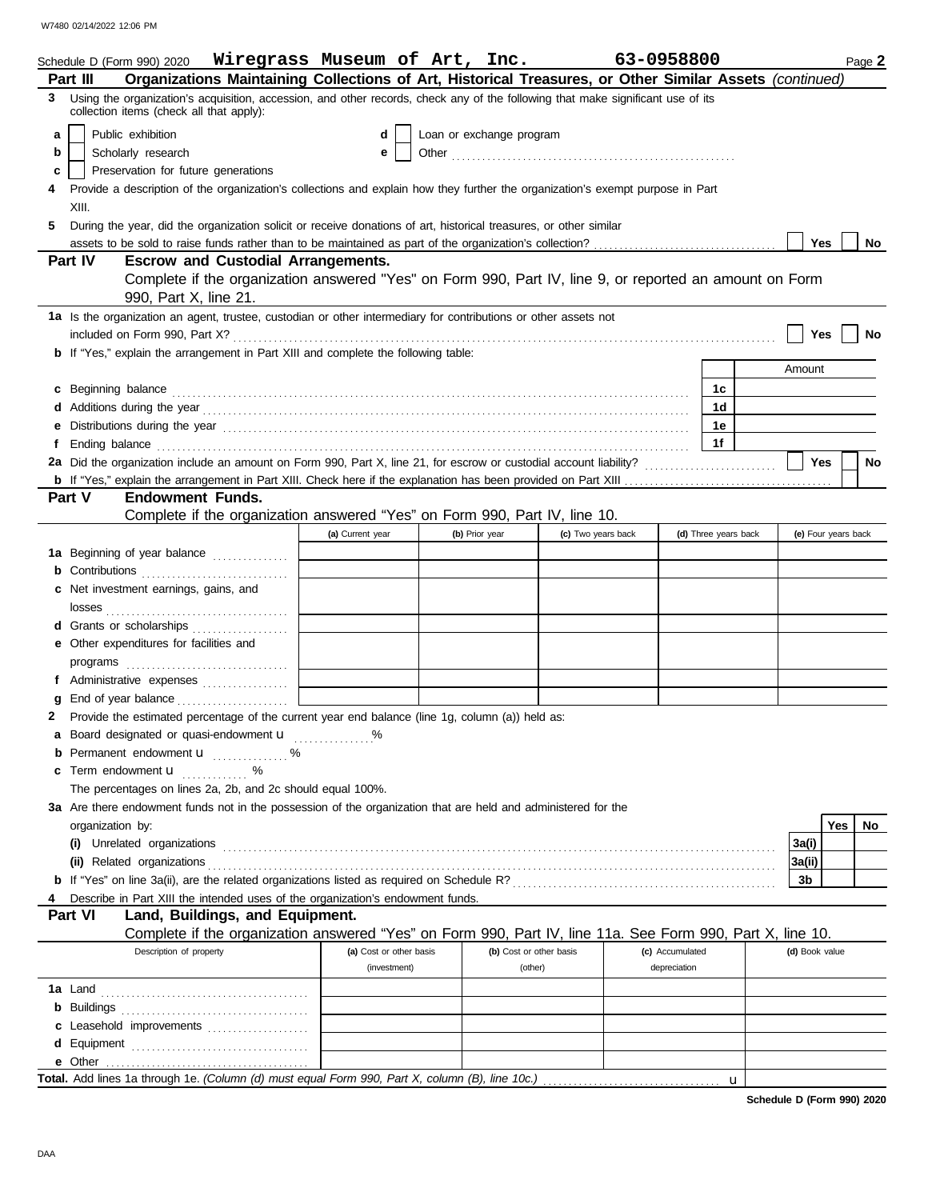|   | Schedule D (Form 990) 2020                                                                                                                                                                                                          | Wiregrass Museum of Art, Inc. |                          |                         |                    | 63-0958800 |                 |                      |  |                     |     | Page 2    |
|---|-------------------------------------------------------------------------------------------------------------------------------------------------------------------------------------------------------------------------------------|-------------------------------|--------------------------|-------------------------|--------------------|------------|-----------------|----------------------|--|---------------------|-----|-----------|
|   | Organizations Maintaining Collections of Art, Historical Treasures, or Other Similar Assets (continued)<br>Part III                                                                                                                 |                               |                          |                         |                    |            |                 |                      |  |                     |     |           |
| 3 | Using the organization's acquisition, accession, and other records, check any of the following that make significant use of its<br>collection items (check all that apply):                                                         |                               |                          |                         |                    |            |                 |                      |  |                     |     |           |
| a | Public exhibition                                                                                                                                                                                                                   | d                             | Loan or exchange program |                         |                    |            |                 |                      |  |                     |     |           |
| b | Scholarly research                                                                                                                                                                                                                  | е                             |                          |                         |                    |            |                 |                      |  |                     |     |           |
| с | Preservation for future generations                                                                                                                                                                                                 |                               |                          |                         |                    |            |                 |                      |  |                     |     |           |
|   | Provide a description of the organization's collections and explain how they further the organization's exempt purpose in Part<br>XIII.                                                                                             |                               |                          |                         |                    |            |                 |                      |  |                     |     |           |
| 5 | During the year, did the organization solicit or receive donations of art, historical treasures, or other similar                                                                                                                   |                               |                          |                         |                    |            |                 |                      |  |                     |     |           |
|   |                                                                                                                                                                                                                                     |                               |                          |                         |                    |            |                 |                      |  | Yes                 |     | No        |
|   | Part IV<br><b>Escrow and Custodial Arrangements.</b>                                                                                                                                                                                |                               |                          |                         |                    |            |                 |                      |  |                     |     |           |
|   | Complete if the organization answered "Yes" on Form 990, Part IV, line 9, or reported an amount on Form                                                                                                                             |                               |                          |                         |                    |            |                 |                      |  |                     |     |           |
|   | 990, Part X, line 21.                                                                                                                                                                                                               |                               |                          |                         |                    |            |                 |                      |  |                     |     |           |
|   | 1a Is the organization an agent, trustee, custodian or other intermediary for contributions or other assets not                                                                                                                     |                               |                          |                         |                    |            |                 |                      |  | Yes                 |     |           |
|   | <b>b</b> If "Yes," explain the arrangement in Part XIII and complete the following table:                                                                                                                                           |                               |                          |                         |                    |            |                 |                      |  |                     |     |           |
|   |                                                                                                                                                                                                                                     |                               |                          |                         |                    |            |                 |                      |  | Amount              |     |           |
|   |                                                                                                                                                                                                                                     |                               |                          |                         |                    |            |                 | 1c                   |  |                     |     |           |
| c |                                                                                                                                                                                                                                     |                               |                          |                         |                    |            |                 | 1d                   |  |                     |     |           |
|   |                                                                                                                                                                                                                                     |                               |                          |                         |                    |            |                 | 1e                   |  |                     |     |           |
|   |                                                                                                                                                                                                                                     |                               |                          |                         |                    |            |                 | 1f                   |  |                     |     |           |
|   | Ending balance <b>construction and the construction of the construction</b> of the construction of the construction of the construction of the construction of the construction of the construction of the construction of the cons |                               |                          |                         |                    |            |                 |                      |  | Yes                 |     | <b>No</b> |
|   |                                                                                                                                                                                                                                     |                               |                          |                         |                    |            |                 |                      |  |                     |     |           |
|   | Part V<br><b>Endowment Funds.</b>                                                                                                                                                                                                   |                               |                          |                         |                    |            |                 |                      |  |                     |     |           |
|   | Complete if the organization answered "Yes" on Form 990, Part IV, line 10.                                                                                                                                                          |                               |                          |                         |                    |            |                 |                      |  |                     |     |           |
|   |                                                                                                                                                                                                                                     | (a) Current year              |                          | (b) Prior year          | (c) Two years back |            |                 | (d) Three years back |  | (e) Four years back |     |           |
|   | 1a Beginning of year balance                                                                                                                                                                                                        |                               |                          |                         |                    |            |                 |                      |  |                     |     |           |
|   |                                                                                                                                                                                                                                     |                               |                          |                         |                    |            |                 |                      |  |                     |     |           |
|   | c Net investment earnings, gains, and                                                                                                                                                                                               |                               |                          |                         |                    |            |                 |                      |  |                     |     |           |
|   |                                                                                                                                                                                                                                     |                               |                          |                         |                    |            |                 |                      |  |                     |     |           |
|   | d Grants or scholarships                                                                                                                                                                                                            |                               |                          |                         |                    |            |                 |                      |  |                     |     |           |
|   | e Other expenditures for facilities and                                                                                                                                                                                             |                               |                          |                         |                    |            |                 |                      |  |                     |     |           |
|   |                                                                                                                                                                                                                                     |                               |                          |                         |                    |            |                 |                      |  |                     |     |           |
|   | f Administrative expenses                                                                                                                                                                                                           |                               |                          |                         |                    |            |                 |                      |  |                     |     |           |
|   | End of year balance                                                                                                                                                                                                                 |                               |                          |                         |                    |            |                 |                      |  |                     |     |           |
|   | Provide the estimated percentage of the current year end balance (line 1g, column (a)) held as:                                                                                                                                     |                               |                          |                         |                    |            |                 |                      |  |                     |     |           |
|   | a Board designated or quasi-endowment u                                                                                                                                                                                             |                               |                          |                         |                    |            |                 |                      |  |                     |     |           |
| b | Permanent endowment <b>u</b> %                                                                                                                                                                                                      |                               |                          |                         |                    |            |                 |                      |  |                     |     |           |
| c | Term endowment <b>u</b> %                                                                                                                                                                                                           |                               |                          |                         |                    |            |                 |                      |  |                     |     |           |
|   | The percentages on lines 2a, 2b, and 2c should equal 100%.                                                                                                                                                                          |                               |                          |                         |                    |            |                 |                      |  |                     |     |           |
|   | 3a Are there endowment funds not in the possession of the organization that are held and administered for the                                                                                                                       |                               |                          |                         |                    |            |                 |                      |  |                     |     |           |
|   | organization by:                                                                                                                                                                                                                    |                               |                          |                         |                    |            |                 |                      |  |                     | Yes | No        |
|   |                                                                                                                                                                                                                                     |                               |                          |                         |                    |            |                 |                      |  | 3a(i)               |     |           |
|   | (ii) Related organizations <b>constants</b> and constant of the constant of the constant of the constant of the constant of the constant of the constant of the constant of the constant of the constant of the constant of the con |                               |                          |                         |                    |            |                 |                      |  | 3a(ii)              |     |           |
|   |                                                                                                                                                                                                                                     |                               |                          |                         |                    |            |                 |                      |  | 3b                  |     |           |
|   | Describe in Part XIII the intended uses of the organization's endowment funds.                                                                                                                                                      |                               |                          |                         |                    |            |                 |                      |  |                     |     |           |
|   | Land, Buildings, and Equipment.<br><b>Part VI</b>                                                                                                                                                                                   |                               |                          |                         |                    |            |                 |                      |  |                     |     |           |
|   | Complete if the organization answered "Yes" on Form 990, Part IV, line 11a. See Form 990, Part X, line 10.                                                                                                                          |                               |                          |                         |                    |            |                 |                      |  |                     |     |           |
|   | Description of property                                                                                                                                                                                                             | (a) Cost or other basis       |                          | (b) Cost or other basis |                    |            | (c) Accumulated |                      |  | (d) Book value      |     |           |
|   |                                                                                                                                                                                                                                     | (investment)                  |                          | (other)                 |                    |            | depreciation    |                      |  |                     |     |           |
|   |                                                                                                                                                                                                                                     |                               |                          |                         |                    |            |                 |                      |  |                     |     |           |
| b |                                                                                                                                                                                                                                     |                               |                          |                         |                    |            |                 |                      |  |                     |     |           |
| С | Leasehold improvements                                                                                                                                                                                                              |                               |                          |                         |                    |            |                 |                      |  |                     |     |           |
| d |                                                                                                                                                                                                                                     |                               |                          |                         |                    |            |                 |                      |  |                     |     |           |
|   | e Other                                                                                                                                                                                                                             |                               |                          |                         |                    |            |                 |                      |  |                     |     |           |
|   | Total. Add lines 1a through 1e. (Column (d) must equal Form 990, Part X, column (B), line 10c.)                                                                                                                                     |                               |                          |                         |                    |            |                 | u                    |  |                     |     |           |

**Schedule D (Form 990) 2020**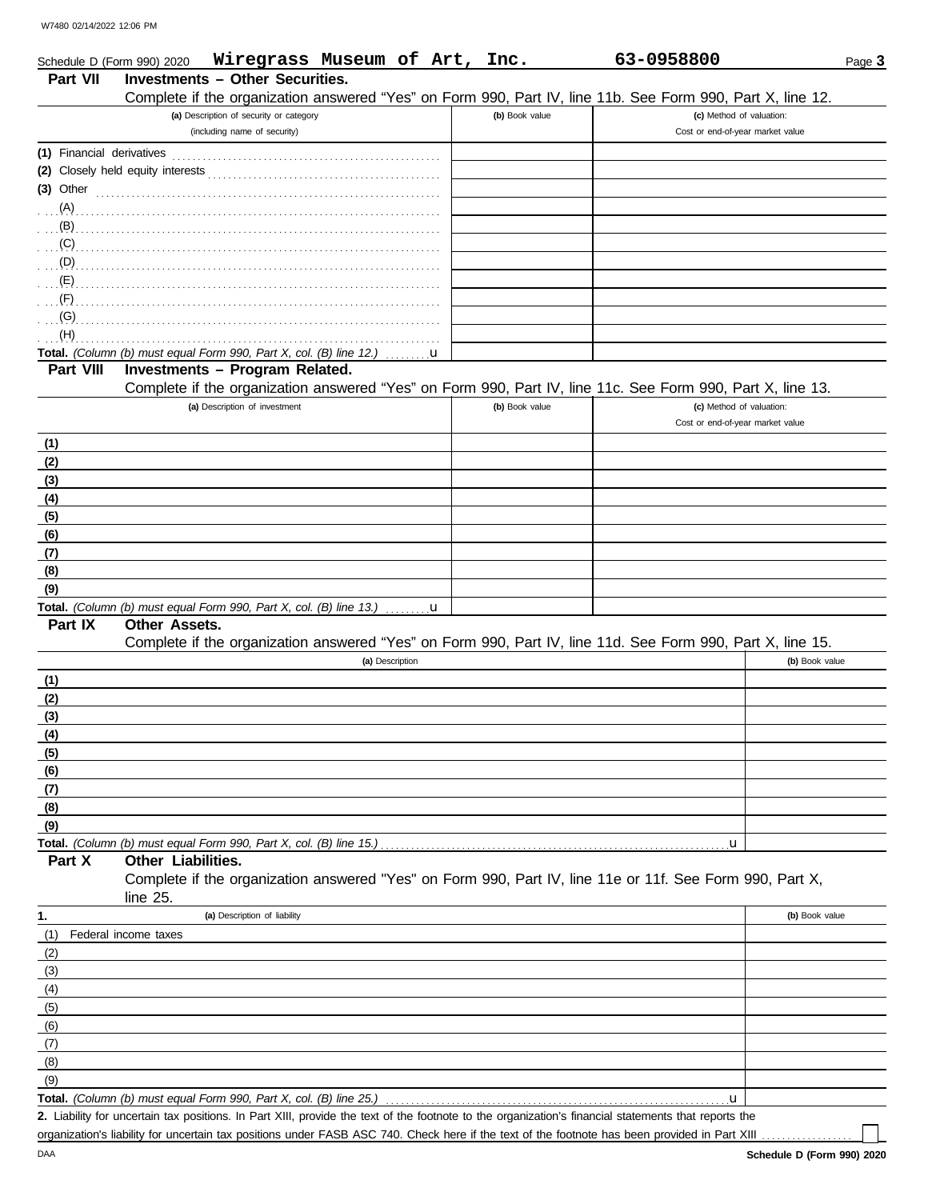| Schedule D (Form 990) 2020 | Wiregrass Museum of Art, Inc.                                                                                                                |                | 63-0958800                       |                | Page 3 |
|----------------------------|----------------------------------------------------------------------------------------------------------------------------------------------|----------------|----------------------------------|----------------|--------|
| <b>Part VII</b>            | <b>Investments - Other Securities.</b>                                                                                                       |                |                                  |                |        |
|                            | Complete if the organization answered "Yes" on Form 990, Part IV, line 11b. See Form 990, Part X, line 12.                                   |                |                                  |                |        |
|                            | (a) Description of security or category                                                                                                      | (b) Book value | (c) Method of valuation:         |                |        |
|                            | (including name of security)                                                                                                                 |                | Cost or end-of-year market value |                |        |
|                            |                                                                                                                                              |                |                                  |                |        |
|                            |                                                                                                                                              |                |                                  |                |        |
| $(3)$ Other                |                                                                                                                                              |                |                                  |                |        |
|                            |                                                                                                                                              |                |                                  |                |        |
| $\ldots$ (B)               |                                                                                                                                              |                |                                  |                |        |
| (C)                        |                                                                                                                                              |                |                                  |                |        |
| (D)                        |                                                                                                                                              |                |                                  |                |        |
| (E)                        |                                                                                                                                              |                |                                  |                |        |
| (F)                        |                                                                                                                                              |                |                                  |                |        |
| (G)                        |                                                                                                                                              |                |                                  |                |        |
| (H)                        |                                                                                                                                              |                |                                  |                |        |
|                            | Total. (Column (b) must equal Form 990, Part X, col. (B) line 12.)<br>u                                                                      |                |                                  |                |        |
| Part VIII                  | Investments - Program Related.<br>Complete if the organization answered "Yes" on Form 990, Part IV, line 11c. See Form 990, Part X, line 13. |                |                                  |                |        |
|                            | (a) Description of investment                                                                                                                | (b) Book value | (c) Method of valuation:         |                |        |
|                            |                                                                                                                                              |                | Cost or end-of-year market value |                |        |
| (1)                        |                                                                                                                                              |                |                                  |                |        |
| (2)                        |                                                                                                                                              |                |                                  |                |        |
| (3)                        |                                                                                                                                              |                |                                  |                |        |
| (4)                        |                                                                                                                                              |                |                                  |                |        |
| (5)                        |                                                                                                                                              |                |                                  |                |        |
| (6)                        |                                                                                                                                              |                |                                  |                |        |
| (7)                        |                                                                                                                                              |                |                                  |                |        |
| (8)                        |                                                                                                                                              |                |                                  |                |        |
| (9)                        |                                                                                                                                              |                |                                  |                |        |
|                            | Total. (Column (b) must equal Form 990, Part X, col. (B) line 13.)<br>$\mathbf{u}$                                                           |                |                                  |                |        |
| Part IX                    | Other Assets.                                                                                                                                |                |                                  |                |        |
|                            | Complete if the organization answered "Yes" on Form 990, Part IV, line 11d. See Form 990, Part X, line 15.                                   |                |                                  |                |        |
|                            | (a) Description                                                                                                                              |                |                                  | (b) Book value |        |
| (1)                        |                                                                                                                                              |                |                                  |                |        |
| (2)                        |                                                                                                                                              |                |                                  |                |        |
| (3)                        |                                                                                                                                              |                |                                  |                |        |
| (4)                        |                                                                                                                                              |                |                                  |                |        |
| (5)                        |                                                                                                                                              |                |                                  |                |        |
| (6)                        |                                                                                                                                              |                |                                  |                |        |
| (7)                        |                                                                                                                                              |                |                                  |                |        |
| (8)                        |                                                                                                                                              |                |                                  |                |        |
| (9)                        | Total. (Column (b) must equal Form 990, Part X, col. (B) line 15.)                                                                           |                |                                  |                |        |
| Part X                     | Other Liabilities.                                                                                                                           |                | u                                |                |        |
|                            | Complete if the organization answered "Yes" on Form 990, Part IV, line 11e or 11f. See Form 990, Part X,                                     |                |                                  |                |        |
|                            | line 25.                                                                                                                                     |                |                                  |                |        |
| 1.                         | (a) Description of liability                                                                                                                 |                |                                  | (b) Book value |        |
| (1)                        | Federal income taxes                                                                                                                         |                |                                  |                |        |
| (2)                        |                                                                                                                                              |                |                                  |                |        |
| (3)                        |                                                                                                                                              |                |                                  |                |        |
| (4)                        |                                                                                                                                              |                |                                  |                |        |
| (5)                        |                                                                                                                                              |                |                                  |                |        |
| (6)                        |                                                                                                                                              |                |                                  |                |        |
| (7)                        |                                                                                                                                              |                |                                  |                |        |
| (8)                        |                                                                                                                                              |                |                                  |                |        |
| (9)                        |                                                                                                                                              |                |                                  |                |        |
|                            | Total. (Column (b) must equal Form 990, Part X, col. (B) line 25.)                                                                           |                | u                                |                |        |

**Total.** *(Column (b) must equal Form 990, Part X, col. (B) line 25.)* . .

Liability for uncertain tax positions. In Part XIII, provide the text of the footnote to the organization's financial statements that reports the **2.** organization's liability for uncertain tax positions under FASB ASC 740. Check here if the text of the footnote has been provided in Part XIII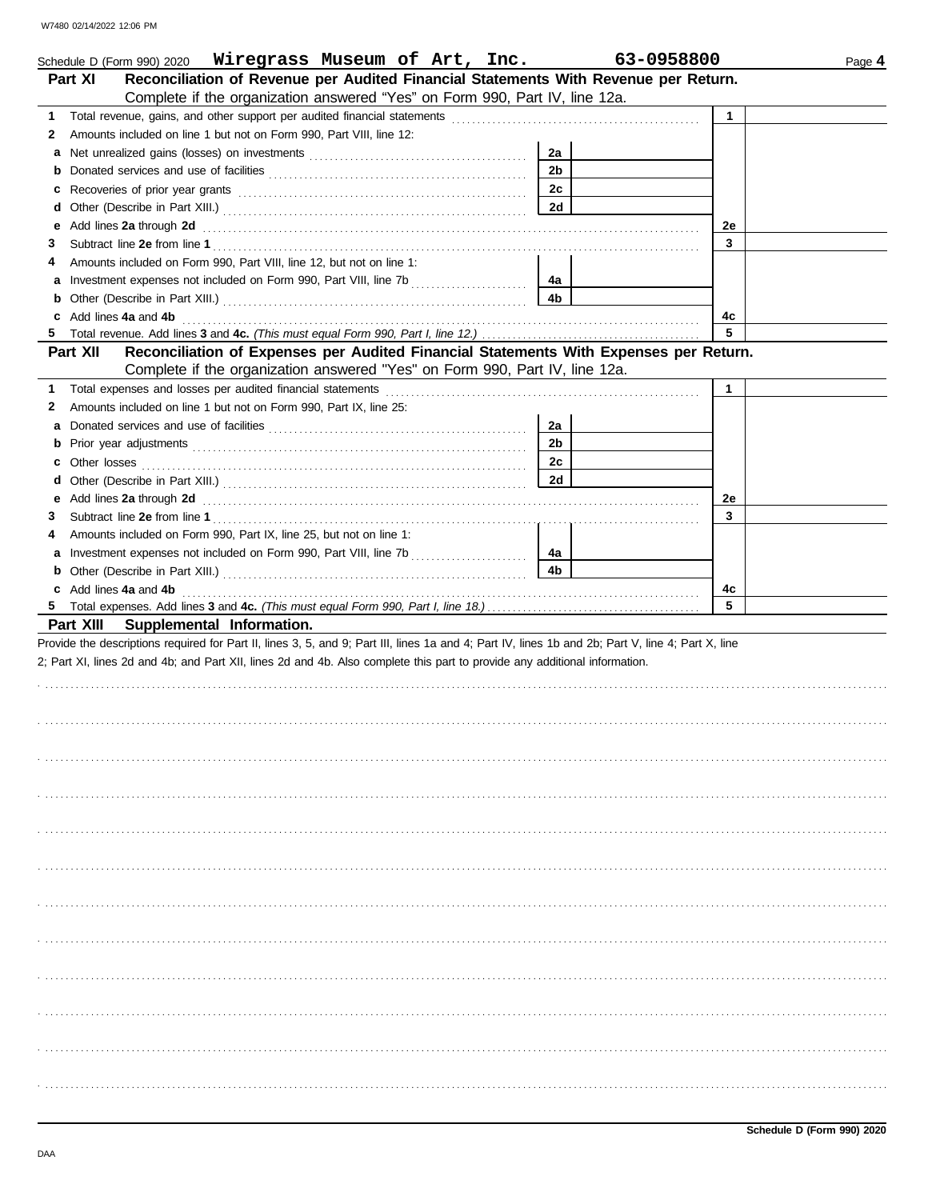|        | Schedule D (Form 990) 2020  Wiregrass Museum of Art, Inc.                                                                                                                                                                            |                | 63-0958800 |              | Page 4 |
|--------|--------------------------------------------------------------------------------------------------------------------------------------------------------------------------------------------------------------------------------------|----------------|------------|--------------|--------|
|        | Reconciliation of Revenue per Audited Financial Statements With Revenue per Return.<br>Part XI                                                                                                                                       |                |            |              |        |
|        | Complete if the organization answered "Yes" on Form 990, Part IV, line 12a.                                                                                                                                                          |                |            |              |        |
| 1.     |                                                                                                                                                                                                                                      |                |            | $\mathbf{1}$ |        |
| 2      | Amounts included on line 1 but not on Form 990, Part VIII, line 12:                                                                                                                                                                  |                |            |              |        |
| а      |                                                                                                                                                                                                                                      | 2a             |            |              |        |
| b      |                                                                                                                                                                                                                                      | 2 <sub>b</sub> |            |              |        |
| c      |                                                                                                                                                                                                                                      | 2c             |            |              |        |
| d      |                                                                                                                                                                                                                                      | 2d             |            |              |        |
| е      | Add lines 2a through 2d <b>Martin Community 20</b> and 20 and 20 and 20 and 20 and 20 and 20 and 20 and 20 and 20 and 20 and 20 and 20 and 20 and 20 and 20 and 20 and 20 and 20 and 20 and 20 and 20 and 20 and 20 and 20 and 20 a  |                |            | 2e           |        |
| З      |                                                                                                                                                                                                                                      |                |            | 3            |        |
| 4      | Amounts included on Form 990, Part VIII, line 12, but not on line 1:                                                                                                                                                                 |                |            |              |        |
| а      |                                                                                                                                                                                                                                      | 4a             |            |              |        |
| b      |                                                                                                                                                                                                                                      | 4b             |            |              |        |
| c      | Add lines 4a and 4b                                                                                                                                                                                                                  |                |            | 4c           |        |
| 5      |                                                                                                                                                                                                                                      |                |            | 5            |        |
|        | Reconciliation of Expenses per Audited Financial Statements With Expenses per Return.<br>Part XII                                                                                                                                    |                |            |              |        |
|        | Complete if the organization answered "Yes" on Form 990, Part IV, line 12a.                                                                                                                                                          |                |            |              |        |
| 1      | Total expenses and losses per audited financial statements                                                                                                                                                                           |                |            | 1            |        |
| 2      | Amounts included on line 1 but not on Form 990, Part IX, line 25:                                                                                                                                                                    |                |            |              |        |
| а      |                                                                                                                                                                                                                                      | 2a             |            |              |        |
| b      |                                                                                                                                                                                                                                      | 2 <sub>b</sub> |            |              |        |
| c      |                                                                                                                                                                                                                                      | 2c             |            |              |        |
| d      |                                                                                                                                                                                                                                      | 2d             |            |              |        |
| е      |                                                                                                                                                                                                                                      |                |            | 2e           |        |
| З      | Add lines 2a through 2d <b>contained a contained a contained a contained a contained a contained a contained a contained a contained a contained a contained a contained a contained a contained a contained a contained a conta</b> |                |            | 3            |        |
| 4      | Amounts included on Form 990, Part IX, line 25, but not on line 1:                                                                                                                                                                   |                |            |              |        |
|        |                                                                                                                                                                                                                                      | 4a             |            |              |        |
| а      |                                                                                                                                                                                                                                      | 4b             |            |              |        |
| b      |                                                                                                                                                                                                                                      |                |            |              |        |
| c<br>5 | Add lines 4a and 4b                                                                                                                                                                                                                  |                |            | 4c<br>5      |        |
|        | Part XIII                                                                                                                                                                                                                            |                |            |              |        |
|        | Supplemental Information.<br>Provide the descriptions required for Part II, lines 3, 5, and 9; Part III, lines 1a and 4; Part IV, lines 1b and 2b; Part V, line 4; Part X, line                                                      |                |            |              |        |
|        | 2; Part XI, lines 2d and 4b; and Part XII, lines 2d and 4b. Also complete this part to provide any additional information.                                                                                                           |                |            |              |        |
|        |                                                                                                                                                                                                                                      |                |            |              |        |
|        |                                                                                                                                                                                                                                      |                |            |              |        |
|        |                                                                                                                                                                                                                                      |                |            |              |        |
|        |                                                                                                                                                                                                                                      |                |            |              |        |
|        |                                                                                                                                                                                                                                      |                |            |              |        |
|        |                                                                                                                                                                                                                                      |                |            |              |        |
|        |                                                                                                                                                                                                                                      |                |            |              |        |
|        |                                                                                                                                                                                                                                      |                |            |              |        |
|        |                                                                                                                                                                                                                                      |                |            |              |        |
|        |                                                                                                                                                                                                                                      |                |            |              |        |
|        |                                                                                                                                                                                                                                      |                |            |              |        |
|        |                                                                                                                                                                                                                                      |                |            |              |        |
|        |                                                                                                                                                                                                                                      |                |            |              |        |
|        |                                                                                                                                                                                                                                      |                |            |              |        |
|        |                                                                                                                                                                                                                                      |                |            |              |        |
|        |                                                                                                                                                                                                                                      |                |            |              |        |
|        |                                                                                                                                                                                                                                      |                |            |              |        |
|        |                                                                                                                                                                                                                                      |                |            |              |        |
|        |                                                                                                                                                                                                                                      |                |            |              |        |
|        |                                                                                                                                                                                                                                      |                |            |              |        |
|        |                                                                                                                                                                                                                                      |                |            |              |        |
|        |                                                                                                                                                                                                                                      |                |            |              |        |
|        |                                                                                                                                                                                                                                      |                |            |              |        |
|        |                                                                                                                                                                                                                                      |                |            |              |        |
|        |                                                                                                                                                                                                                                      |                |            |              |        |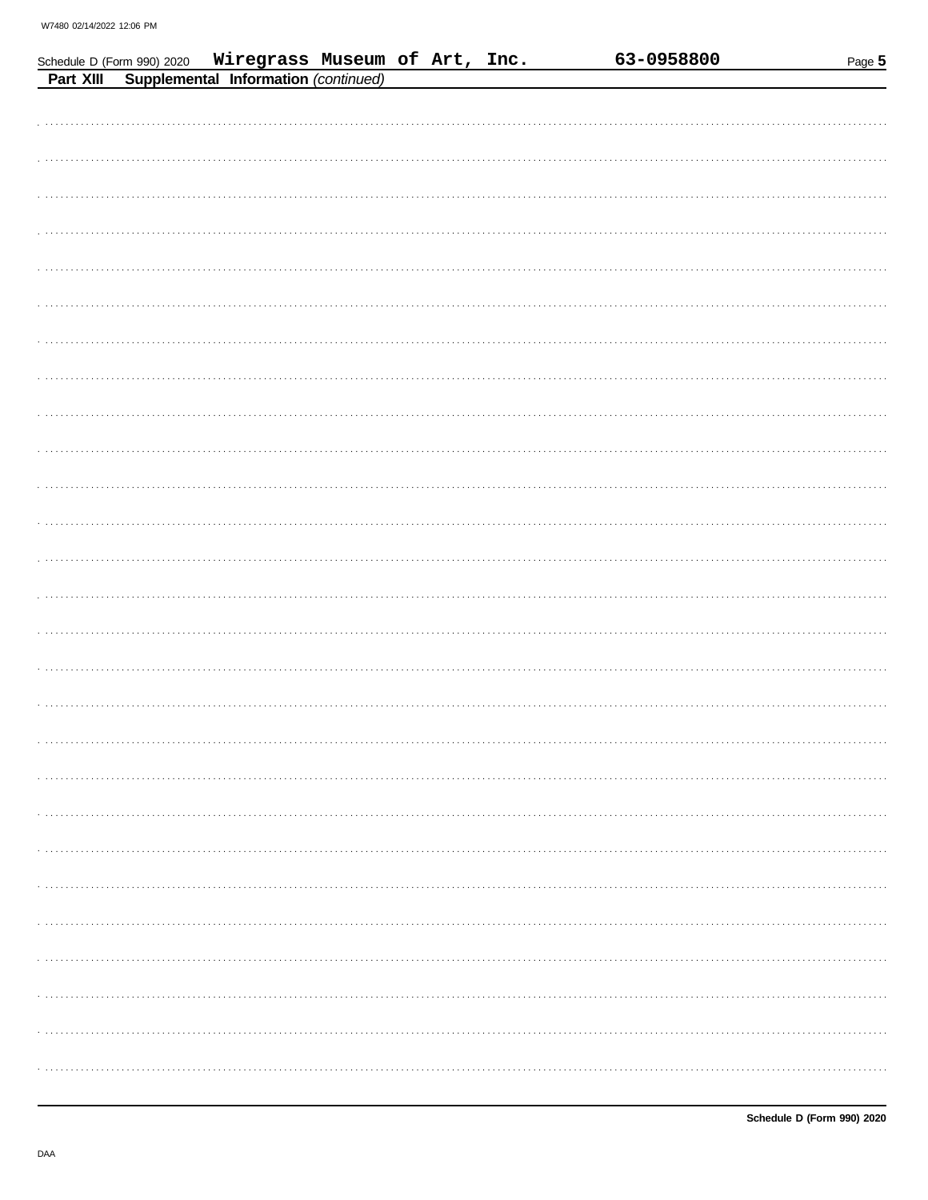|           | Schedule D (Form 990) 2020  Wiregrass Museum of Art, Inc. |  | 63-0958800 | Page 5 |
|-----------|-----------------------------------------------------------|--|------------|--------|
| Part XIII | Supplemental Information (continued)                      |  |            |        |
|           |                                                           |  |            |        |
|           |                                                           |  |            |        |
|           |                                                           |  |            |        |
|           |                                                           |  |            |        |
|           |                                                           |  |            |        |
|           |                                                           |  |            |        |
|           |                                                           |  |            |        |
|           |                                                           |  |            |        |
|           |                                                           |  |            |        |
|           |                                                           |  |            |        |
|           |                                                           |  |            |        |
|           |                                                           |  |            |        |
|           |                                                           |  |            |        |
|           |                                                           |  |            |        |
|           |                                                           |  |            |        |
|           |                                                           |  |            |        |
|           |                                                           |  |            |        |
|           |                                                           |  |            |        |
|           |                                                           |  |            |        |
|           |                                                           |  |            |        |
|           |                                                           |  |            |        |
|           |                                                           |  |            |        |
|           |                                                           |  |            |        |
|           |                                                           |  |            |        |
|           |                                                           |  |            |        |
|           |                                                           |  |            |        |
|           |                                                           |  |            |        |
|           |                                                           |  |            |        |
|           |                                                           |  |            |        |
|           |                                                           |  |            |        |
|           |                                                           |  |            |        |
|           |                                                           |  |            |        |
|           |                                                           |  |            |        |
|           |                                                           |  |            |        |
|           |                                                           |  |            |        |
|           |                                                           |  |            |        |
|           |                                                           |  |            |        |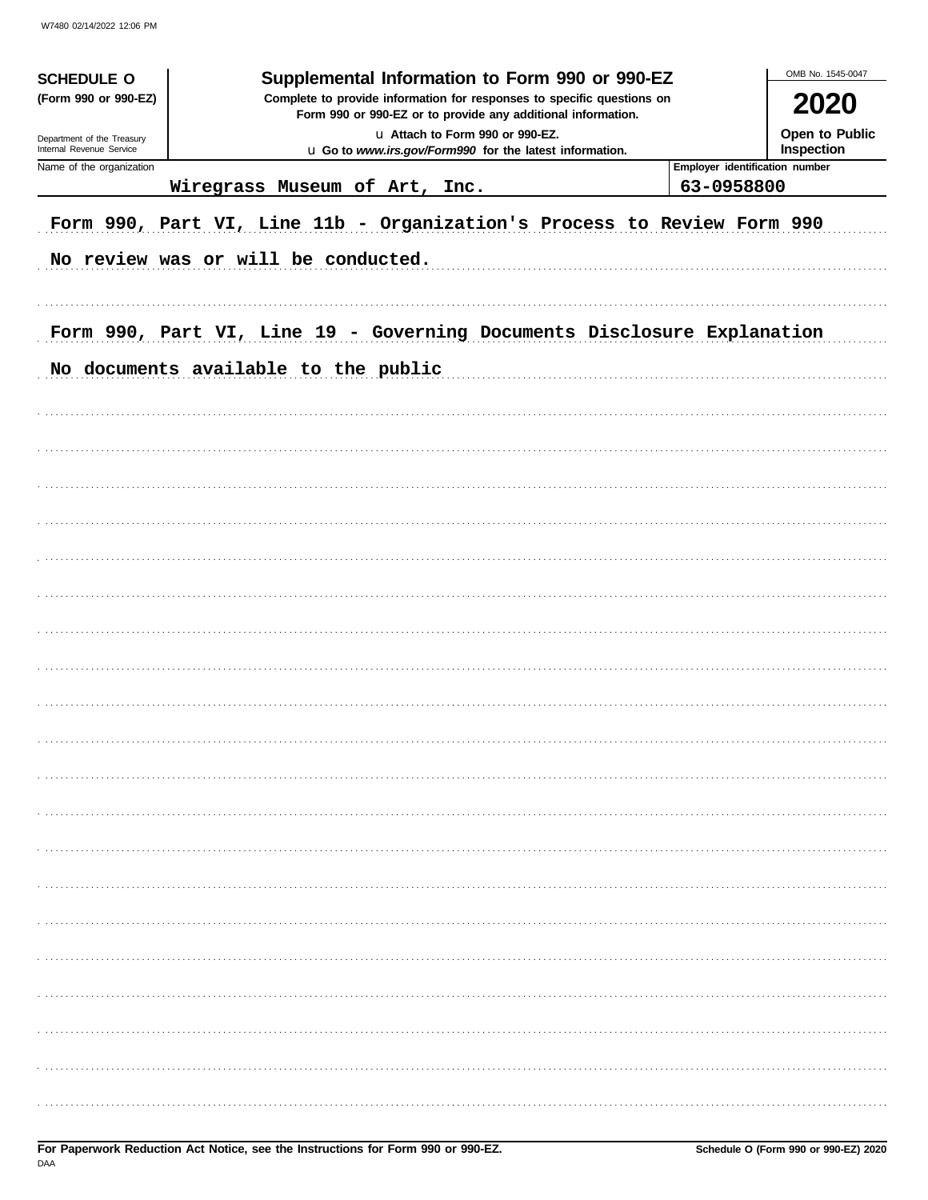| Supplemental Information to Form 990 or 990-EZ<br><b>SCHEDULE O</b>                                                                                            |                                                                                            |  |                                              |            |  |  |
|----------------------------------------------------------------------------------------------------------------------------------------------------------------|--------------------------------------------------------------------------------------------|--|----------------------------------------------|------------|--|--|
| Complete to provide information for responses to specific questions on<br>(Form 990 or 990-EZ)<br>Form 990 or 990-EZ or to provide any additional information. |                                                                                            |  |                                              |            |  |  |
| Department of the Treasury<br>Internal Revenue Service                                                                                                         | u Attach to Form 990 or 990-EZ.<br>u Go to www.irs.gov/Form990 for the latest information. |  |                                              |            |  |  |
| Name of the organization                                                                                                                                       |                                                                                            |  | Employer identification number<br>63-0958800 | Inspection |  |  |
|                                                                                                                                                                | Wiregrass Museum of Art, Inc.                                                              |  |                                              |            |  |  |
|                                                                                                                                                                | Form 990, Part VI, Line 11b - Organization's Process to Review Form 990                    |  |                                              |            |  |  |
|                                                                                                                                                                | No review was or will be conducted.                                                        |  |                                              |            |  |  |
|                                                                                                                                                                |                                                                                            |  |                                              |            |  |  |
|                                                                                                                                                                | Form 990, Part VI, Line 19 - Governing Documents Disclosure Explanation                    |  |                                              |            |  |  |
|                                                                                                                                                                | No documents available to the public                                                       |  |                                              |            |  |  |
|                                                                                                                                                                |                                                                                            |  |                                              |            |  |  |
|                                                                                                                                                                |                                                                                            |  |                                              |            |  |  |
|                                                                                                                                                                |                                                                                            |  |                                              |            |  |  |
|                                                                                                                                                                |                                                                                            |  |                                              |            |  |  |
|                                                                                                                                                                |                                                                                            |  |                                              |            |  |  |
|                                                                                                                                                                |                                                                                            |  |                                              |            |  |  |
|                                                                                                                                                                |                                                                                            |  |                                              |            |  |  |
|                                                                                                                                                                |                                                                                            |  |                                              |            |  |  |
|                                                                                                                                                                |                                                                                            |  |                                              |            |  |  |
|                                                                                                                                                                |                                                                                            |  |                                              |            |  |  |
|                                                                                                                                                                |                                                                                            |  |                                              |            |  |  |
|                                                                                                                                                                |                                                                                            |  |                                              |            |  |  |
|                                                                                                                                                                |                                                                                            |  |                                              |            |  |  |
|                                                                                                                                                                |                                                                                            |  |                                              |            |  |  |
|                                                                                                                                                                |                                                                                            |  |                                              |            |  |  |
|                                                                                                                                                                |                                                                                            |  |                                              |            |  |  |
|                                                                                                                                                                |                                                                                            |  |                                              |            |  |  |
|                                                                                                                                                                |                                                                                            |  |                                              |            |  |  |
|                                                                                                                                                                |                                                                                            |  |                                              |            |  |  |
|                                                                                                                                                                |                                                                                            |  |                                              |            |  |  |
|                                                                                                                                                                |                                                                                            |  |                                              |            |  |  |
|                                                                                                                                                                |                                                                                            |  |                                              |            |  |  |
|                                                                                                                                                                |                                                                                            |  |                                              |            |  |  |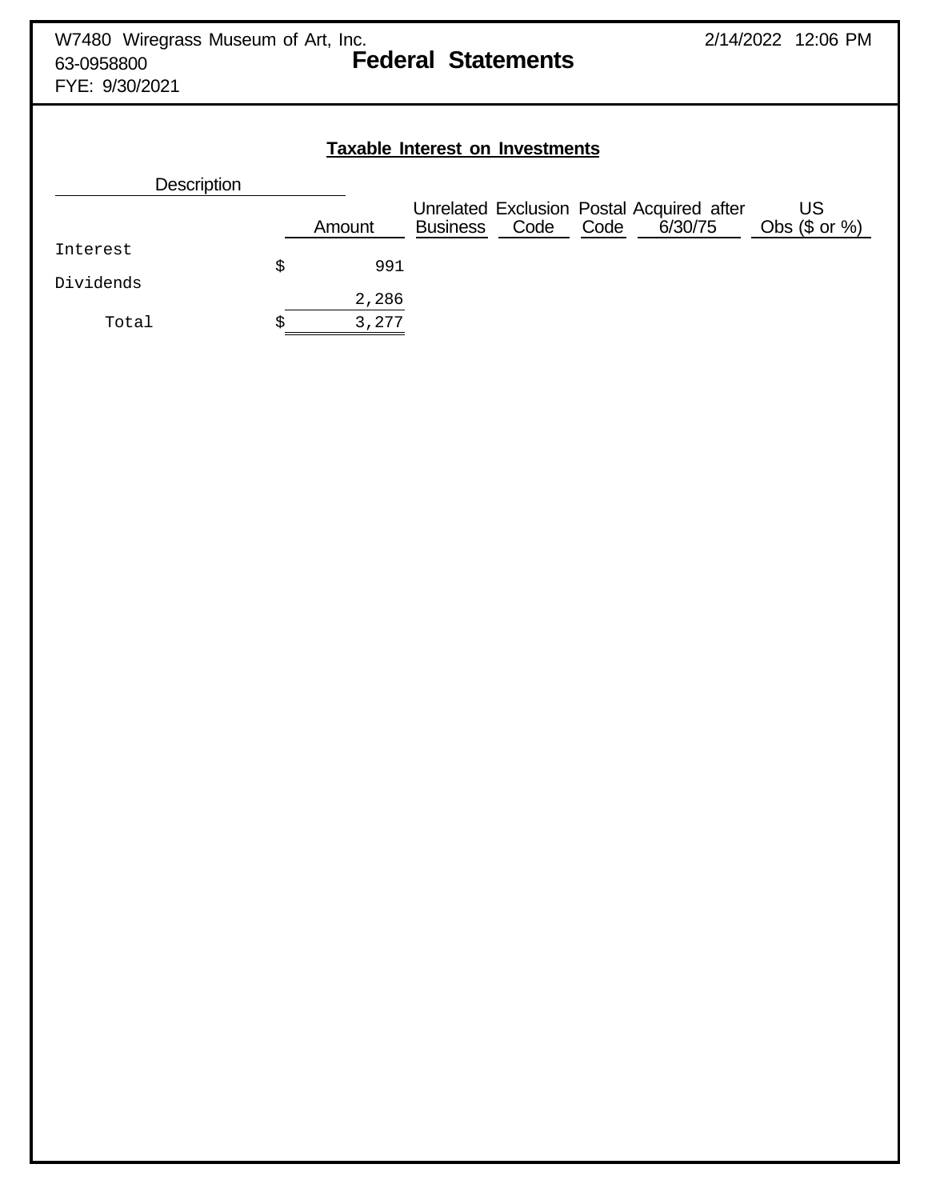## **Taxable Interest on Investments**

| <b>Description</b> |   |                |                 |      |      |                                                      |                          |
|--------------------|---|----------------|-----------------|------|------|------------------------------------------------------|--------------------------|
|                    |   | Amount         | <b>Business</b> | Code | Code | Unrelated Exclusion Postal Acquired after<br>6/30/75 | US<br>Obs $(\$$ or $%$ ) |
| Interest           | S | 991            |                 |      |      |                                                      |                          |
| Dividends          |   |                |                 |      |      |                                                      |                          |
| Total              |   | 2,286<br>3,277 |                 |      |      |                                                      |                          |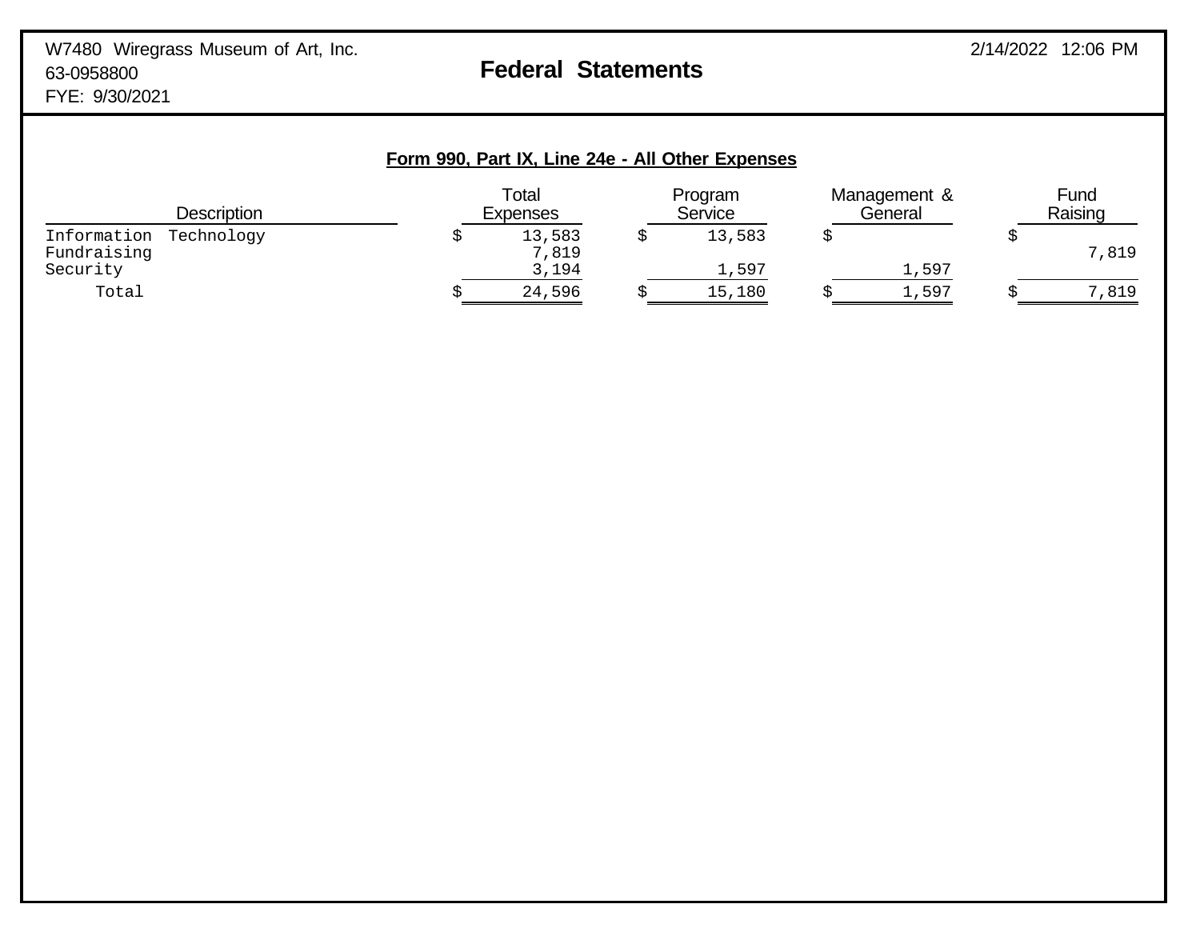|                                                      |                          | Form 990, Part IX, Line 24e - All Other Expenses |                         |                 |
|------------------------------------------------------|--------------------------|--------------------------------------------------|-------------------------|-----------------|
| <b>Description</b>                                   | Total<br><b>Expenses</b> | Program<br>Service                               | Management &<br>General | Fund<br>Raising |
| Information<br>Technology<br>Fundraising<br>Security | 13,583<br>7,819<br>3,194 | 13,583<br>1,597                                  | 1,597                   | 7,819           |
| Total                                                | 24,596                   | 15,180                                           | 1,597                   | 7,819           |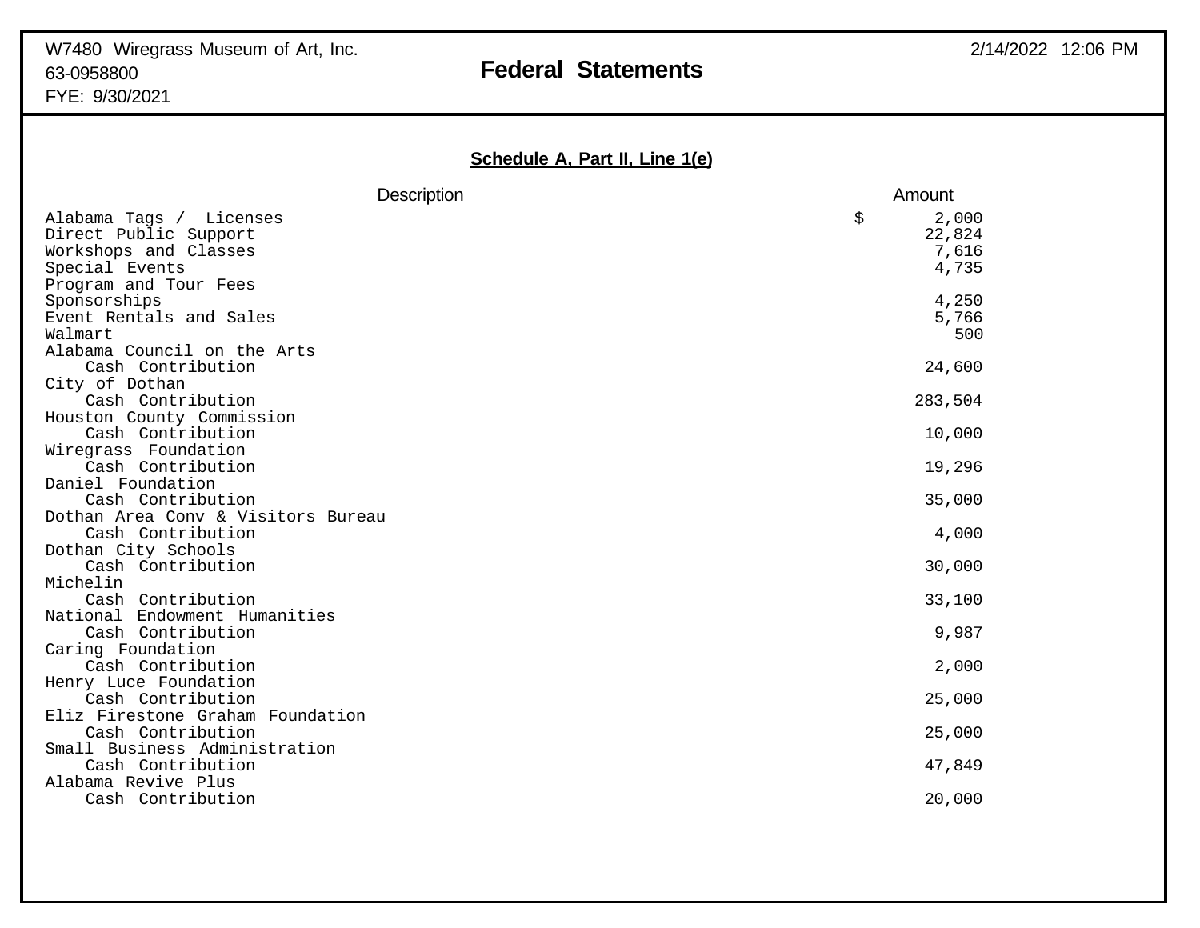| Schedule A, Part II, Line 1(e) |  |  |  |
|--------------------------------|--|--|--|
|                                |  |  |  |

| <b>Description</b>                                                                                                   | Amount                                  |
|----------------------------------------------------------------------------------------------------------------------|-----------------------------------------|
| Alabama Tags / Licenses<br>Direct Public Support<br>Workshops and Classes<br>Special Events<br>Program and Tour Fees | \$<br>2,000<br>22,824<br>7,616<br>4,735 |
| Sponsorships<br>Event Rentals and Sales<br>Walmart<br>Alabama Council on the Arts                                    | 4,250<br>5,766<br>500                   |
| Cash Contribution                                                                                                    | 24,600                                  |
| City of Dothan<br>Cash Contribution<br>Houston County Commission                                                     | 283,504                                 |
| Cash Contribution                                                                                                    | 10,000                                  |
| Wiregrass Foundation<br>Cash Contribution                                                                            | 19,296                                  |
| Daniel Foundation<br>Cash Contribution                                                                               | 35,000                                  |
| Dothan Area Conv & Visitors Bureau<br>Cash Contribution                                                              | 4,000                                   |
| Dothan City Schools<br>Cash Contribution                                                                             | 30,000                                  |
| Michelin<br>Cash Contribution                                                                                        | 33,100                                  |
| National Endowment Humanities<br>Cash Contribution<br>Caring Foundation                                              | 9,987                                   |
| Cash Contribution                                                                                                    | 2,000                                   |
| Henry Luce Foundation<br>Cash Contribution                                                                           | 25,000                                  |
| Eliz Firestone Graham Foundation<br>Cash Contribution                                                                | 25,000                                  |
| Small Business Administration<br>Cash Contribution                                                                   | 47,849                                  |
| Alabama Revive Plus<br>Cash Contribution                                                                             | 20,000                                  |